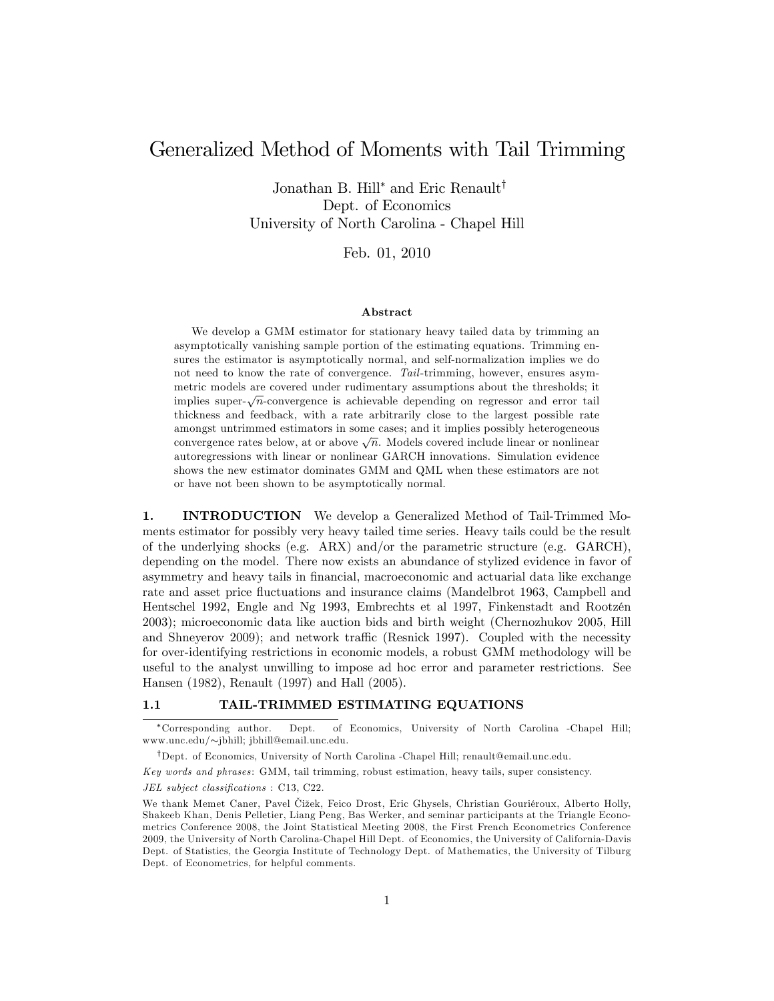# Generalized Method of Moments with Tail Trimming

Jonathan B. Hill<sup>\*</sup> and Eric Renault<sup>†</sup> Dept. of Economics University of North Carolina - Chapel Hill

Feb. 01, 2010

#### Abstract

We develop a GMM estimator for stationary heavy tailed data by trimming an asymptotically vanishing sample portion of the estimating equations. Trimming ensures the estimator is asymptotically normal, and self-normalization implies we do not need to know the rate of convergence. Tail-trimming, however, ensures asymmetric models are covered under rudimentary assumptions about the thresholds; it implies super- $\sqrt{n}$ -convergence is achievable depending on regressor and error tail thickness and feedback, with a rate arbitrarily close to the largest possible rate amongst untrimmed estimators in some cases; and it implies possibly heterogeneous convergence rates below, at or above  $\sqrt{n}$ . Models covered include linear or nonlinear autoregressions with linear or nonlinear GARCH innovations. Simulation evidence shows the new estimator dominates GMM and QML when these estimators are not or have not been shown to be asymptotically normal.

1. INTRODUCTION We develop a Generalized Method of Tail-Trimmed Moments estimator for possibly very heavy tailed time series. Heavy tails could be the result of the underlying shocks (e.g. ARX) and/or the parametric structure (e.g. GARCH), depending on the model. There now exists an abundance of stylized evidence in favor of asymmetry and heavy tails in Önancial, macroeconomic and actuarial data like exchange rate and asset price fluctuations and insurance claims (Mandelbrot 1963, Campbell and Hentschel 1992, Engle and Ng 1993, Embrechts et al 1997, Finkenstadt and Rootzén 2003); microeconomic data like auction bids and birth weight (Chernozhukov 2005, Hill and Shneyerov 2009); and network traffic (Resnick 1997). Coupled with the necessity for over-identifying restrictions in economic models, a robust GMM methodology will be useful to the analyst unwilling to impose ad hoc error and parameter restrictions. See Hansen (1982), Renault (1997) and Hall (2005).

#### 1.1 TAIL-TRIMMED ESTIMATING EQUATIONS

JEL subject classifications : C13, C22.

Corresponding author. Dept. of Economics, University of North Carolina -Chapel Hill; www.unc.edu/ $\sim$ jbhill; jbhill@email.unc.edu.

<sup>&</sup>lt;sup>†</sup>Dept. of Economics, University of North Carolina -Chapel Hill; renault@email.unc.edu.

Key words and phrases : GMM, tail trimming, robust estimation, heavy tails, super consistency.

We thank Memet Caner, Pavel Čižek, Feico Drost, Eric Ghysels, Christian Gouriéroux, Alberto Holly, Shakeeb Khan, Denis Pelletier, Liang Peng, Bas Werker, and seminar participants at the Triangle Econometrics Conference 2008, the Joint Statistical Meeting 2008, the First French Econometrics Conference 2009, the University of North Carolina-Chapel Hill Dept. of Economics, the University of California-Davis Dept. of Statistics, the Georgia Institute of Technology Dept. of Mathematics, the University of Tilburg Dept. of Econometrics, for helpful comments.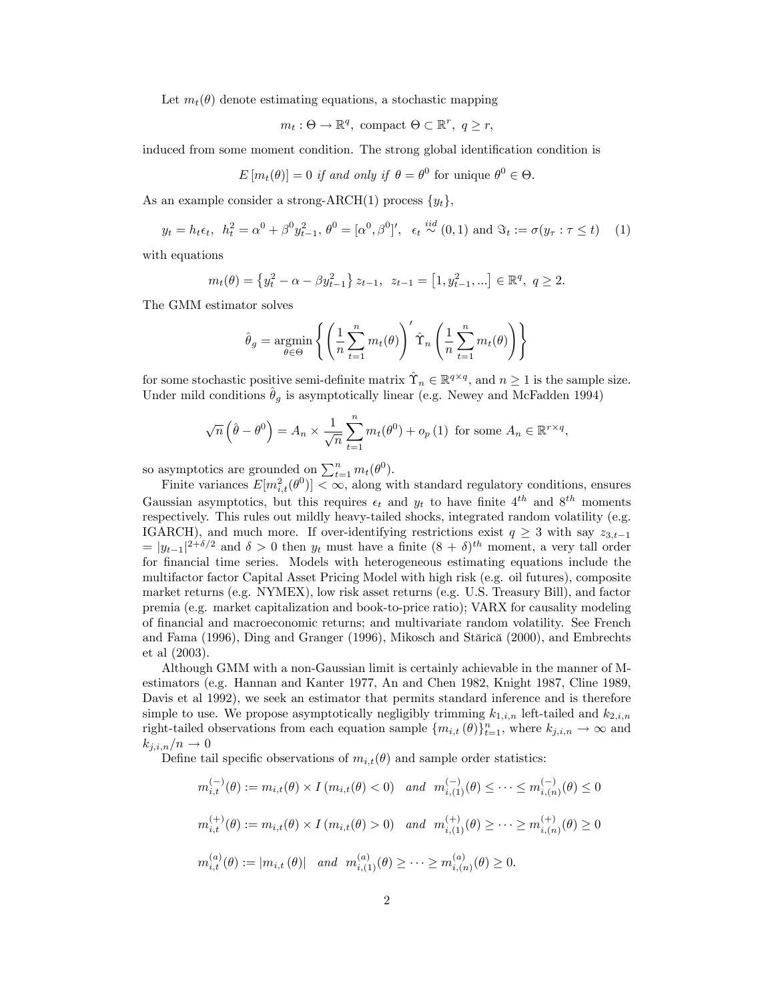Let  $m_t(\theta)$  denote estimating equations, a stochastic mapping

$$
m_t: \Theta \to \mathbb{R}^q, \text{ compact } \Theta \subset \mathbb{R}^r, \ q \geq r,
$$

induced from some moment condition. The strong global identification condition is

$$
E[m_t(\theta)] = 0 \text{ if and only if } \theta = \theta^0 \text{ for unique } \theta^0 \in \Theta.
$$

As an example consider a strong-ARCH(1) process  $\{y_t\}$ ,

$$
y_t = h_t \epsilon_t, \ \ h_t^2 = \alpha^0 + \beta^0 y_{t-1}^2, \ \theta^0 = [\alpha^0, \beta^0]', \ \ \epsilon_t \stackrel{iid}{\sim} (0, 1) \text{ and } \Im_t := \sigma(y_\tau : \tau \le t) \tag{1}
$$

with equations

$$
m_t(\theta) = \left\{ y_t^2 - \alpha - \beta y_{t-1}^2 \right\} z_{t-1}, \ z_{t-1} = \left[ 1, y_{t-1}^2, \ldots \right] \in \mathbb{R}^q, \ q \ge 2.
$$

The GMM estimator solves

$$
\hat{\theta}_g = \underset{\theta \in \Theta}{\text{argmin}} \left\{ \left( \frac{1}{n} \sum_{t=1}^n m_t(\theta) \right)' \hat{\Upsilon}_n \left( \frac{1}{n} \sum_{t=1}^n m_t(\theta) \right) \right\}
$$

for some stochastic positive semi-definite matrix  $\hat{\Upsilon}_n \in \mathbb{R}^{q \times q}$ , and  $n \geq 1$  is the sample size. Under mild conditions  $\hat{\theta}_g$  is asymptotically linear (e.g. Newey and McFadden 1994)

$$
\sqrt{n}\left(\hat{\theta} - \theta^0\right) = A_n \times \frac{1}{\sqrt{n}} \sum_{t=1}^n m_t(\theta^0) + o_p(1) \text{ for some } A_n \in \mathbb{R}^{r \times q},
$$

so asymptotics are grounded on  $\sum_{t=1}^{n} m_t(\theta^0)$ .

Finite variances  $E[m_{i,t}^2(\theta^0)] < \infty$ , along with standard regulatory conditions, ensures Gaussian asymptotics, but this requires  $\epsilon_t$  and  $y_t$  to have finite  $4^{th}$  and  $8^{th}$  moments respectively. This rules out mildly heavy-tailed shocks, integrated random volatility (e.g. IGARCH), and much more. If over-identifying restrictions exist  $q \geq 3$  with say  $z_{3,t-1}$  $= |y_{t-1}|^{2+\delta/2}$  and  $\delta > 0$  then  $y_t$  must have a finite  $(8+\delta)^{th}$  moment, a very tall order for Önancial time series. Models with heterogeneous estimating equations include the multifactor factor Capital Asset Pricing Model with high risk (e.g. oil futures), composite market returns (e.g. NYMEX), low risk asset returns (e.g. U.S. Treasury Bill), and factor premia (e.g. market capitalization and book-to-price ratio); VARX for causality modeling of Önancial and macroeconomic returns; and multivariate random volatility. See French and Fama (1996), Ding and Granger (1996), Mikosch and Stărică (2000), and Embrechts et al (2003).

Although GMM with a non-Gaussian limit is certainly achievable in the manner of Mestimators (e.g. Hannan and Kanter 1977, An and Chen 1982, Knight 1987, Cline 1989, Davis et al 1992), we seek an estimator that permits standard inference and is therefore simple to use. We propose asymptotically negligibly trimming  $k_{1,i,n}$  left-tailed and  $k_{2,i,n}$ right-tailed observations from each equation sample  $\{m_{i,t}(\theta)\}_{t=1}^n$ , where  $k_{j,i,n} \to \infty$  and  $k_{j,i,n}/n \to 0$ 

Define tail specific observations of  $m_{i,t}(\theta)$  and sample order statistics:

$$
m_{i,t}^{(-)}(\theta) := m_{i,t}(\theta) \times I \left( m_{i,t}(\theta) < 0 \right) \quad \text{and} \quad m_{i,(1)}^{(-)}(\theta) \le \dots \le m_{i,(n)}^{(-)}(\theta) \le 0
$$
\n
$$
m_{i,t}^{(+)}(\theta) := m_{i,t}(\theta) \times I \left( m_{i,t}(\theta) > 0 \right) \quad \text{and} \quad m_{i,(1)}^{(+)}(\theta) \ge \dots \ge m_{i,(n)}^{(+)}(\theta) \ge 0
$$
\n
$$
m_{i,t}^{(a)}(\theta) := |m_{i,t}(\theta)| \quad \text{and} \quad m_{i,(1)}^{(a)}(\theta) \ge \dots \ge m_{i,(n)}^{(a)}(\theta) \ge 0.
$$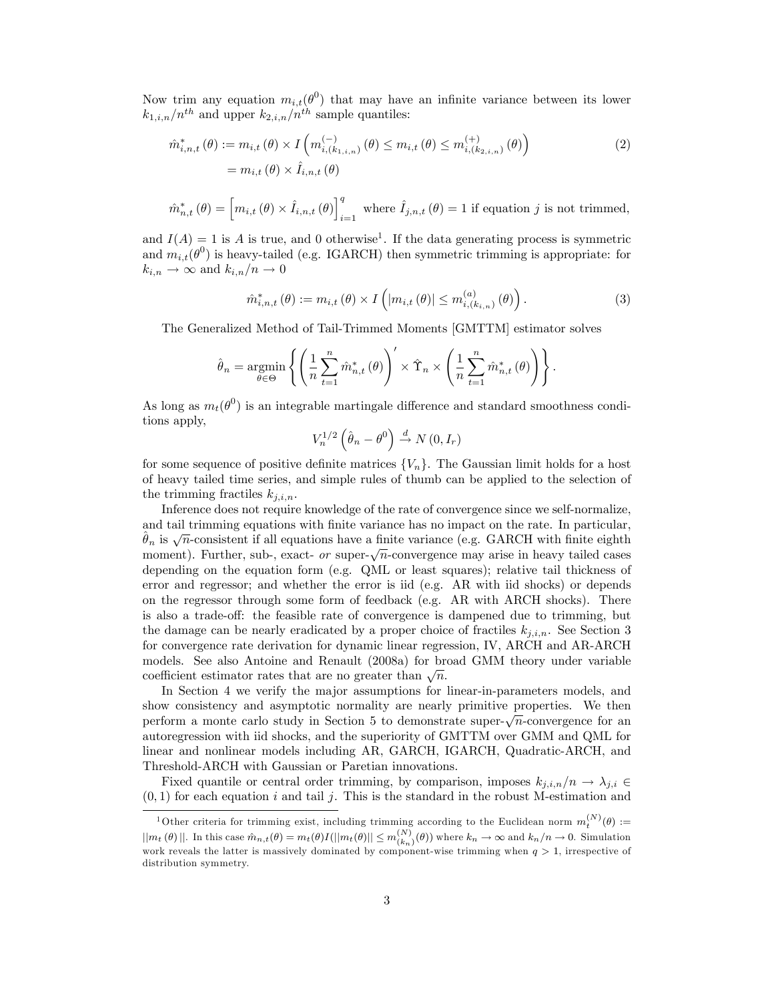Now trim any equation  $m_{i,t}(\theta^0)$  that may have an infinite variance between its lower  $k_{1,i,n}/n^{th}$  and upper  $k_{2,i,n}/n^{th}$  sample quantiles:

$$
\hat{m}_{i,n,t}^*(\theta) := m_{i,t}(\theta) \times I\left(m_{i,(k_{1,i,n})}^{(-)}(\theta) \le m_{i,t}(\theta) \le m_{i,(k_{2,i,n})}^{(+)}(\theta)\right)
$$
\n
$$
= m_{i,t}(\theta) \times \hat{I}_{i,n,t}(\theta)
$$
\n(2)

$$
\hat{m}_{n,t}^{*}(\theta) = \left[m_{i,t}(\theta) \times \hat{I}_{i,n,t}(\theta)\right]_{i=1}^{q} \text{ where } \hat{I}_{j,n,t}(\theta) = 1 \text{ if equation } j \text{ is not trimmed,}
$$

and  $I(A) = 1$  is A is true, and 0 otherwise<sup>1</sup>. If the data generating process is symmetric and  $m_{i,t}(\theta^0)$  is heavy-tailed (e.g. IGARCH) then symmetric trimming is appropriate: for  $k_{i,n} \to \infty$  and  $k_{i,n}/n \to 0$ 

$$
\hat{m}_{i,n,t}^{*}(\theta) := m_{i,t}(\theta) \times I\left( |m_{i,t}(\theta)| \le m_{i,(k_{i,n})}^{(a)}(\theta) \right).
$$
\n(3)

The Generalized Method of Tail-Trimmed Moments [GMTTM] estimator solves

$$
\hat{\theta}_n = \underset{\theta \in \Theta}{\operatorname{argmin}} \left\{ \left( \frac{1}{n} \sum_{t=1}^n \hat{m}_{n,t}^*(\theta) \right)' \times \hat{\Upsilon}_n \times \left( \frac{1}{n} \sum_{t=1}^n \hat{m}_{n,t}^*(\theta) \right) \right\}.
$$

As long as  $m_t(\theta^0)$  is an integrable martingale difference and standard smoothness conditions apply,

$$
V_n^{1/2} \left( \hat{\theta}_n - \theta^0 \right) \stackrel{d}{\rightarrow} N(0, I_r)
$$

for some sequence of positive definite matrices  $\{V_n\}$ . The Gaussian limit holds for a host of heavy tailed time series, and simple rules of thumb can be applied to the selection of the trimming fractiles  $k_{j,i,n}$ .

Inference does not require knowledge of the rate of convergence since we self-normalize, and tail trimming equations with finite variance has no impact on the rate. In particular,  $\hat{\theta}_n$  is  $\sqrt{n}$ -consistent if all equations have a finite variance (e.g. GARCH with finite eighth moment). Further, sub-, exact- or super- $\sqrt{n}$ -convergence may arise in heavy tailed cases depending on the equation form (e.g. QML or least squares); relative tail thickness of error and regressor; and whether the error is iid (e.g. AR with iid shocks) or depends on the regressor through some form of feedback (e.g. AR with ARCH shocks). There is also a trade-off: the feasible rate of convergence is dampened due to trimming, but the damage can be nearly eradicated by a proper choice of fractiles  $k_{i,i,n}$ . See Section 3 for convergence rate derivation for dynamic linear regression, IV, ARCH and AR-ARCH models. See also Antoine and Renault (2008a) for broad GMM theory under variable coefficient estimator rates that are no greater than  $\sqrt{n}$ .

In Section 4 we verify the major assumptions for linear-in-parameters models, and show consistency and asymptotic normality are nearly primitive properties. We then perform a monte carlo study in Section 5 to demonstrate super- $\sqrt{n}$ -convergence for an autoregression with iid shocks, and the superiority of GMTTM over GMM and QML for linear and nonlinear models including AR, GARCH, IGARCH, Quadratic-ARCH, and Threshold-ARCH with Gaussian or Paretian innovations.

Fixed quantile or central order trimming, by comparison, imposes  $k_{j,i,n}/n \to \lambda_{j,i} \in$  $(0, 1)$  for each equation i and tail j. This is the standard in the robust M-estimation and

<sup>&</sup>lt;sup>1</sup>Other criteria for trimming exist, including trimming according to the Euclidean norm  $m_t^{(N)}(\theta) :=$  $||m_t(\theta)||$ . In this case  $\hat{m}_{n,t}(\theta) = m_t(\theta)I(||m_t(\theta)|| \le m_{(k_n)}^{(N)}(\theta))$  where  $k_n \to \infty$  and  $k_n/n \to 0$ . Simulation work reveals the latter is massively dominated by component-wise trimming when  $q > 1$ , irrespective of distribution symmetry.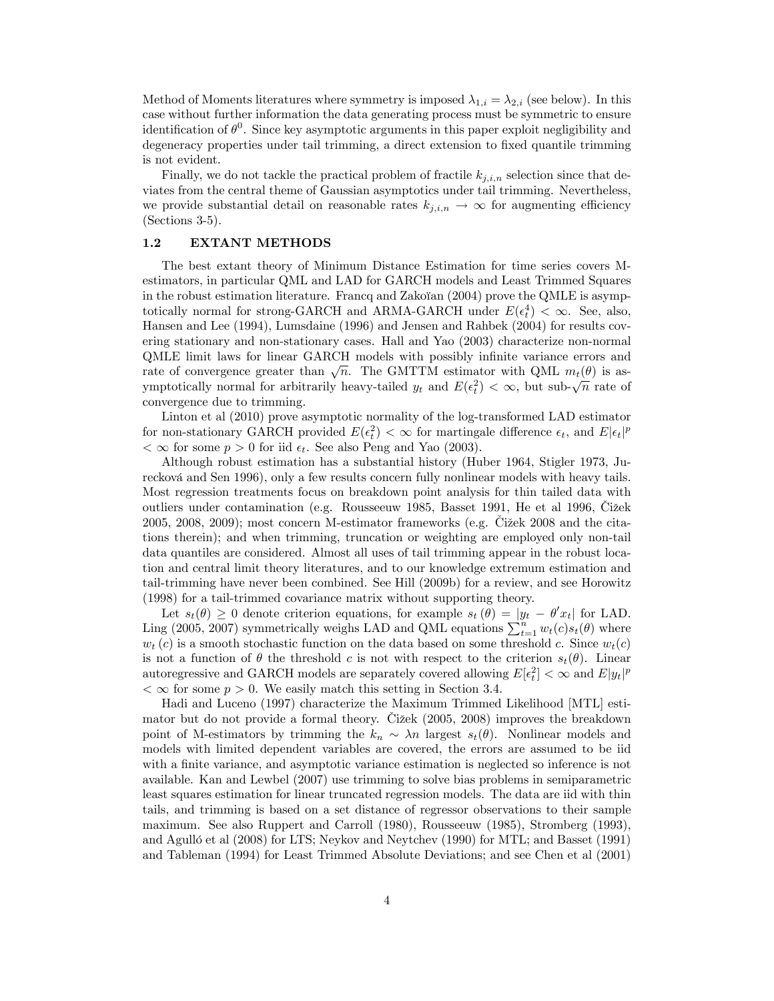Method of Moments literatures where symmetry is imposed  $\lambda_{1,i} = \lambda_{2,i}$  (see below). In this case without further information the data generating process must be symmetric to ensure identification of  $\theta^0$ . Since key asymptotic arguments in this paper exploit negligibility and degeneracy properties under tail trimming, a direct extension to fixed quantile trimming is not evident.

Finally, we do not tackle the practical problem of fractile  $k_{i,i,n}$  selection since that deviates from the central theme of Gaussian asymptotics under tail trimming. Nevertheless, we provide substantial detail on reasonable rates  $k_{j,i,n} \to \infty$  for augmenting efficiency (Sections 3-5).

# 1.2 EXTANT METHODS

The best extant theory of Minimum Distance Estimation for time series covers Mestimators, in particular QML and LAD for GARCH models and Least Trimmed Squares in the robust estimation literature. Francq and Zakoïan  $(2004)$  prove the QMLE is asymptotically normal for strong-GARCH and ARMA-GARCH under  $E(\epsilon_t^4) < \infty$ . See, also, Hansen and Lee (1994), Lumsdaine (1996) and Jensen and Rahbek (2004) for results covering stationary and non-stationary cases. Hall and Yao (2003) characterize non-normal QMLE limit laws for linear GARCH models with possibly inÖnite variance errors and rate of convergence greater than  $\sqrt{n}$ . The GMTTM estimator with QML  $m_t(\theta)$  is asymptotically normal for arbitrarily heavy-tailed  $y_t$  and  $E(\epsilon_t^2) < \infty$ , but sub- $\sqrt{n}$  rate of convergence due to trimming.

Linton et al (2010) prove asymptotic normality of the log-transformed LAD estimator for non-stationary GARCH provided  $E(\epsilon_t^2) < \infty$  for martingale difference  $\epsilon_t$ , and  $E|\epsilon_t|^p$  $< \infty$  for some  $p > 0$  for iid  $\epsilon_t$ . See also Peng and Yao (2003).

Although robust estimation has a substantial history (Huber 1964, Stigler 1973, Jurecková and Sen 1996), only a few results concern fully nonlinear models with heavy tails. Most regression treatments focus on breakdown point analysis for thin tailed data with outliers under contamination (e.g. Rousseeuw 1985, Basset 1991, He et al 1996, Čižek  $2005, 2008, 2009$ ; most concern M-estimator frameworks (e.g. Cižek 2008 and the citations therein); and when trimming, truncation or weighting are employed only non-tail data quantiles are considered. Almost all uses of tail trimming appear in the robust location and central limit theory literatures, and to our knowledge extremum estimation and tail-trimming have never been combined. See Hill (2009b) for a review, and see Horowitz (1998) for a tail-trimmed covariance matrix without supporting theory.

Let  $s_t(\theta) \geq 0$  denote criterion equations, for example  $s_t(\theta) = |y_t - \theta' x_t|$  for LAD. Ling (2005, 2007) symmetrically weighs LAD and QML equations  $\sum_{t=1}^{n} w_t(c)s_t(\theta)$  where  $w_t(c)$  is a smooth stochastic function on the data based on some threshold c. Since  $w_t(c)$ is not a function of  $\theta$  the threshold c is not with respect to the criterion  $s_t(\theta)$ . Linear autoregressive and GARCH models are separately covered allowing  $E[\epsilon_t^2] < \infty$  and  $E[y_t]^p$  $< \infty$  for some  $p > 0$ . We easily match this setting in Section 3.4.

Hadi and Luceno (1997) characterize the Maximum Trimmed Likelihood [MTL] estimator but do not provide a formal theory. Cižek (2005, 2008) improves the breakdown point of M-estimators by trimming the  $k_n \sim \lambda n$  largest  $s_t(\theta)$ . Nonlinear models and models with limited dependent variables are covered, the errors are assumed to be iid with a finite variance, and asymptotic variance estimation is neglected so inference is not available. Kan and Lewbel (2007) use trimming to solve bias problems in semiparametric least squares estimation for linear truncated regression models. The data are iid with thin tails, and trimming is based on a set distance of regressor observations to their sample maximum. See also Ruppert and Carroll (1980), Rousseeuw (1985), Stromberg (1993), and Agulló et al (2008) for LTS; Neykov and Neytchev (1990) for MTL; and Basset (1991) and Tableman (1994) for Least Trimmed Absolute Deviations; and see Chen et al (2001)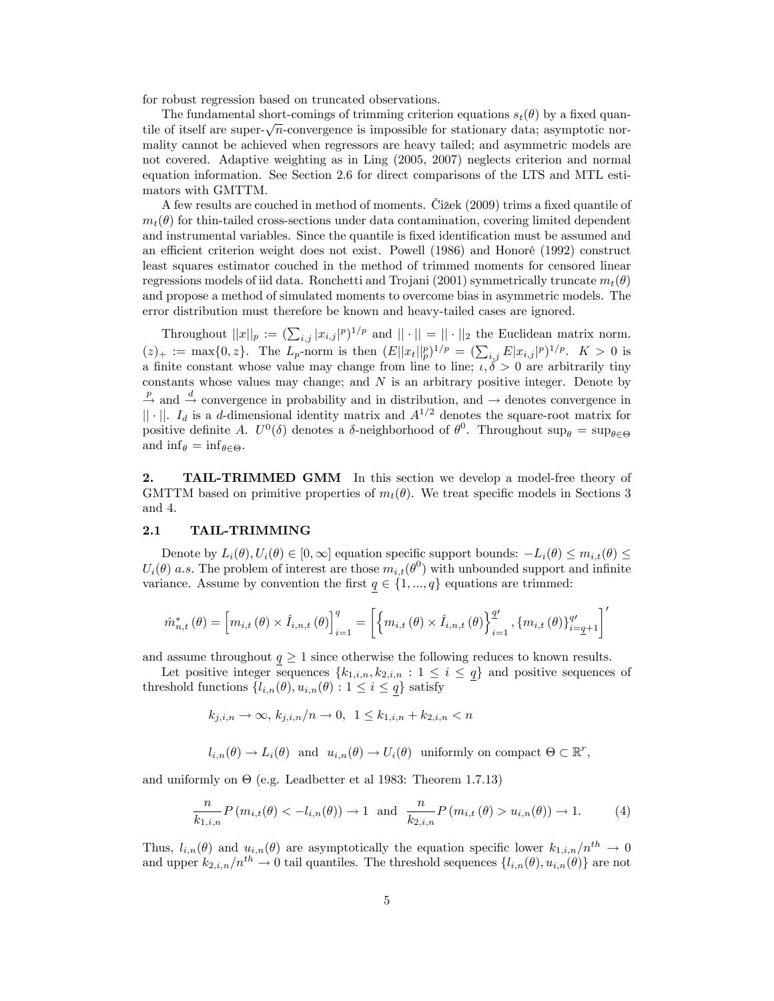for robust regression based on truncated observations.

The fundamental short-comings of trimming criterion equations  $s_t(\theta)$  by a fixed quantile of itself are super- $\sqrt{n}$ -convergence is impossible for stationary data; asymptotic normality cannot be achieved when regressors are heavy tailed; and asymmetric models are not covered. Adaptive weighting as in Ling (2005, 2007) neglects criterion and normal equation information. See Section 2.6 for direct comparisons of the LTS and MTL estimators with GMTTM.

A few results are couched in method of moments. Cizek  $(2009)$  trims a fixed quantile of  $m_t(\theta)$  for thin-tailed cross-sections under data contamination, covering limited dependent and instrumental variables. Since the quantile is fixed identification must be assumed and an efficient criterion weight does not exist. Powell  $(1986)$  and Honoré  $(1992)$  construct least squares estimator couched in the method of trimmed moments for censored linear regressions models of iid data. Ronchetti and Trojani (2001) symmetrically truncate  $m_t(\theta)$ and propose a method of simulated moments to overcome bias in asymmetric models. The error distribution must therefore be known and heavy-tailed cases are ignored.

Throughout  $||x||_p := (\sum_{i,j} |x_{i,j}|^p)^{1/p}$  and  $||\cdot|| = ||\cdot||_2$  the Euclidean matrix norm.  $(z)_+ := \max\{0, z\}.$  The  $L_p$ -norm is then  $(E||x_t||_p^p)^{1/p} = (\sum_{i,j} E|x_{i,j}|^p)^{1/p}.$   $K > 0$  is a finite constant whose value may change from line to line;  $\iota, \delta > 0$  are arbitrarily tiny constants whose values may change; and  $N$  is an arbitrary positive integer. Denote by  $\frac{p}{p}$  and  $\stackrel{d}{\rightarrow}$  convergence in probability and in distribution, and  $\rightarrow$  denotes convergence in  $|| \cdot ||$ . I<sub>d</sub> is a d-dimensional identity matrix and  $A^{1/2}$  denotes the square-root matrix for positive definite A.  $U^0(\delta)$  denotes a  $\delta$ -neighborhood of  $\theta^0$ . Throughout sup<sub> $\theta$ </sub> = sup<sub> $\theta \in \Theta$ </sub> and  $\inf_{\theta} = \inf_{\theta \in \Theta}$ .

2. TAIL-TRIMMED GMM In this section we develop a model-free theory of GMTTM based on primitive properties of  $m_t(\theta)$ . We treat specific models in Sections 3 and 4.

## 2.1 TAIL-TRIMMING

Denote by  $L_i(\theta), U_i(\theta) \in [0,\infty]$  equation specific support bounds:  $-L_i(\theta) \leq m_{i,t}(\theta) \leq$  $U_i(\theta)$  a.s. The problem of interest are those  $m_{i,t}(\theta^0)$  with unbounded support and infinite variance. Assume by convention the first  $q \in \{1, ..., q\}$  equations are trimmed:

$$
\hat{m}_{n,t}^{*}(\theta) = \left[m_{i,t}(\theta) \times \hat{I}_{i,n,t}(\theta)\right]_{i=1}^{q} = \left[\left\{m_{i,t}(\theta) \times \hat{I}_{i,n,t}(\theta)\right\}_{i=1}^{q\prime}, \{m_{i,t}(\theta)\}_{i=q+1}^{q\prime}\right]'
$$

and assume throughout  $q \geq 1$  since otherwise the following reduces to known results.

Let positive integer sequences  $\{k_{1,i,n}, k_{2,i,n} : 1 \leq i \leq q\}$  and positive sequences of threshold functions  $\{l_{i,n}(\theta), u_{i,n}(\theta) : 1 \leq i \leq q\}$  satisfy

$$
k_{j,i,n} \to \infty, \ k_{j,i,n}/n \to 0, \ 1 \le k_{1,i,n} + k_{2,i,n} < n
$$

$$
l_{i,n}(\theta) \to L_i(\theta)
$$
 and  $u_{i,n}(\theta) \to U_i(\theta)$  uniformly on compact  $\Theta \subset \mathbb{R}^r$ ,

and uniformly on  $\Theta$  (e.g. Leadbetter et al 1983: Theorem 1.7.13)

$$
\frac{n}{k_{1,i,n}} P(m_{i,t}(\theta) < -l_{i,n}(\theta)) \to 1 \quad \text{and} \quad \frac{n}{k_{2,i,n}} P(m_{i,t}(\theta) > u_{i,n}(\theta)) \to 1. \tag{4}
$$

Thus,  $l_{i,n}(\theta)$  and  $u_{i,n}(\theta)$  are asymptotically the equation specific lower  $k_{1,i,n}/n^{th} \to 0$ and upper  $k_{2,i,n}/n^{th} \to 0$  tail quantiles. The threshold sequences  $\{l_{i,n}(\theta), u_{i,n}(\theta)\}\$  are not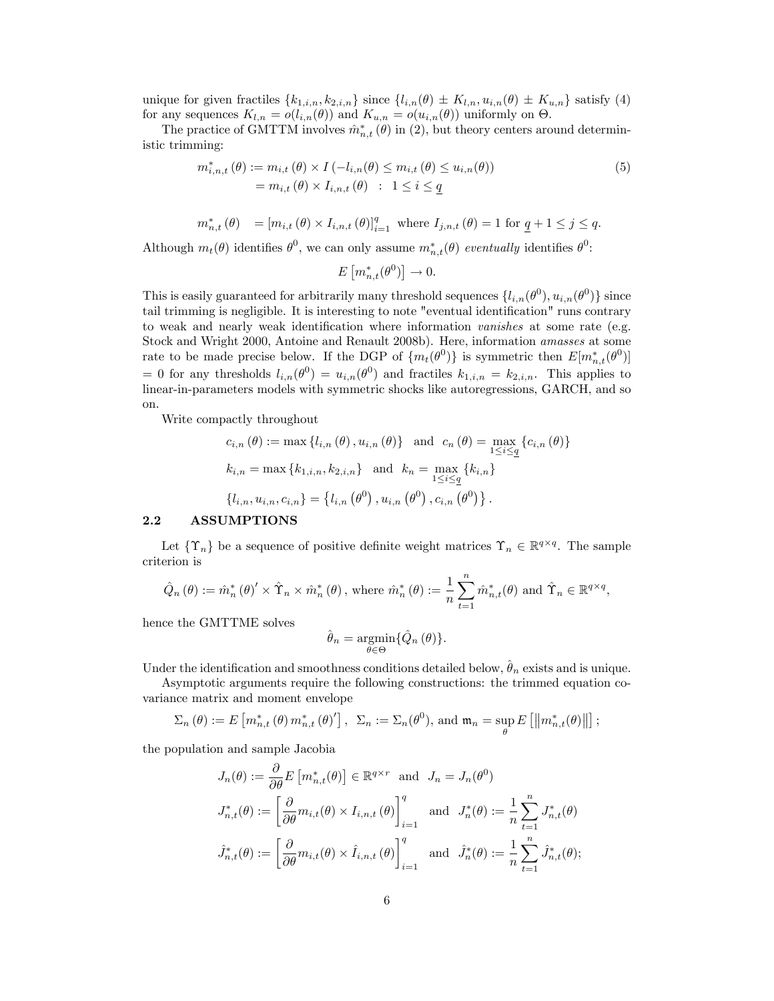unique for given fractiles  $\{k_{1,i,n}, k_{2,i,n}\}$  since  $\{l_{i,n}(\theta) \pm K_{l,n}, u_{i,n}(\theta) \pm K_{u,n}\}$  satisfy (4) for any sequences  $K_{l,n} = o(l_{i,n}(\theta))$  and  $K_{u,n} = o(u_{i,n}(\theta))$  uniformly on  $\Theta$ .

The practice of GMTTM involves  $\hat{m}_{n,t}^*(\theta)$  in (2), but theory centers around deterministic trimming:

$$
m_{i,n,t}^*(\theta) := m_{i,t}(\theta) \times I(-l_{i,n}(\theta) \le m_{i,t}(\theta) \le u_{i,n}(\theta))
$$
  
=  $m_{i,t}(\theta) \times I_{i,n,t}(\theta) : 1 \le i \le \underline{q}$  (5)

$$
m_{n,t}^{*}(\theta) = [m_{i,t}(\theta) \times I_{i,n,t}(\theta)]_{i=1}^{q} \text{ where } I_{j,n,t}(\theta) = 1 \text{ for } \underline{q} + 1 \le j \le q.
$$

Although  $m_t(\theta)$  identifies  $\theta^0$ , we can only assume  $m_{n,t}^*(\theta)$  eventually identifies  $\theta^0$ :

$$
E\left[m_{n,t}^*(\theta^0)\right]\to 0.
$$

This is easily guaranteed for arbitrarily many threshold sequences  $\{l_{i,n}(\theta^0), u_{i,n}(\theta^0)\}\$  since tail trimming is negligible. It is interesting to note "eventual identification" runs contrary to weak and nearly weak identification where information vanishes at some rate (e.g. Stock and Wright 2000, Antoine and Renault 2008b). Here, information amasses at some rate to be made precise below. If the DGP of  $\{m_t(\theta^0)\}\$ is symmetric then  $E[m_{n,t}^*(\theta^0)]$ = 0 for any thresholds  $l_{i,n}(\theta^0) = u_{i,n}(\theta^0)$  and fractiles  $k_{1,i,n} = k_{2,i,n}$ . This applies to linear-in-parameters models with symmetric shocks like autoregressions, GARCH, and so on.

Write compactly throughout

$$
c_{i,n}(\theta) := \max \{ l_{i,n}(\theta), u_{i,n}(\theta) \} \text{ and } c_n(\theta) = \max_{1 \le i \le q} \{ c_{i,n}(\theta) \}
$$
  

$$
k_{i,n} = \max \{ k_{1,i,n}, k_{2,i,n} \} \text{ and } k_n = \max_{1 \le i \le q} \{ k_{i,n} \}
$$
  

$$
\{ l_{i,n}, u_{i,n}, c_{i,n} \} = \{ l_{i,n}(\theta^0), u_{i,n}(\theta^0), c_{i,n}(\theta^0) \}.
$$

# 2.2 ASSUMPTIONS

Let  $\{\Upsilon_n\}$  be a sequence of positive definite weight matrices  $\Upsilon_n \in \mathbb{R}^{q \times q}$ . The sample criterion is

$$
\hat{Q}_n(\theta) := \hat{m}_n^*(\theta)' \times \hat{\Upsilon}_n \times \hat{m}_n^*(\theta), \text{ where } \hat{m}_n^*(\theta) := \frac{1}{n} \sum_{t=1}^n \hat{m}_{n,t}^*(\theta) \text{ and } \hat{\Upsilon}_n \in \mathbb{R}^{q \times q},
$$

hence the GMTTME solves

$$
\hat{\theta}_n = \underset{\theta \in \Theta}{\operatorname{argmin}} \{ \hat{Q}_n (\theta) \}.
$$

Under the identification and smoothness conditions detailed below,  $\hat{\theta}_n$  exists and is unique.

Asymptotic arguments require the following constructions: the trimmed equation covariance matrix and moment envelope

$$
\Sigma_n(\theta) := E\left[m_{n,t}^*(\theta) m_{n,t}^*(\theta)'\right], \ \ \Sigma_n := \Sigma_n(\theta^0), \text{ and } \mathfrak{m}_n = \sup_{\theta} E\left[\left\|m_{n,t}^*(\theta)\right\|\right];
$$

the population and sample Jacobia

$$
J_n(\theta) := \frac{\partial}{\partial \theta} E\left[m_{n,t}^*(\theta)\right] \in \mathbb{R}^{q \times r} \text{ and } J_n = J_n(\theta^0)
$$
  

$$
J_{n,t}^*(\theta) := \left[\frac{\partial}{\partial \theta} m_{i,t}(\theta) \times I_{i,n,t}(\theta)\right]_{i=1}^q \text{ and } J_n^*(\theta) := \frac{1}{n} \sum_{t=1}^n J_{n,t}^*(\theta)
$$
  

$$
\hat{J}_{n,t}^*(\theta) := \left[\frac{\partial}{\partial \theta} m_{i,t}(\theta) \times \hat{I}_{i,n,t}(\theta)\right]_{i=1}^q \text{ and } \hat{J}_n^*(\theta) := \frac{1}{n} \sum_{t=1}^n \hat{J}_{n,t}^*(\theta);
$$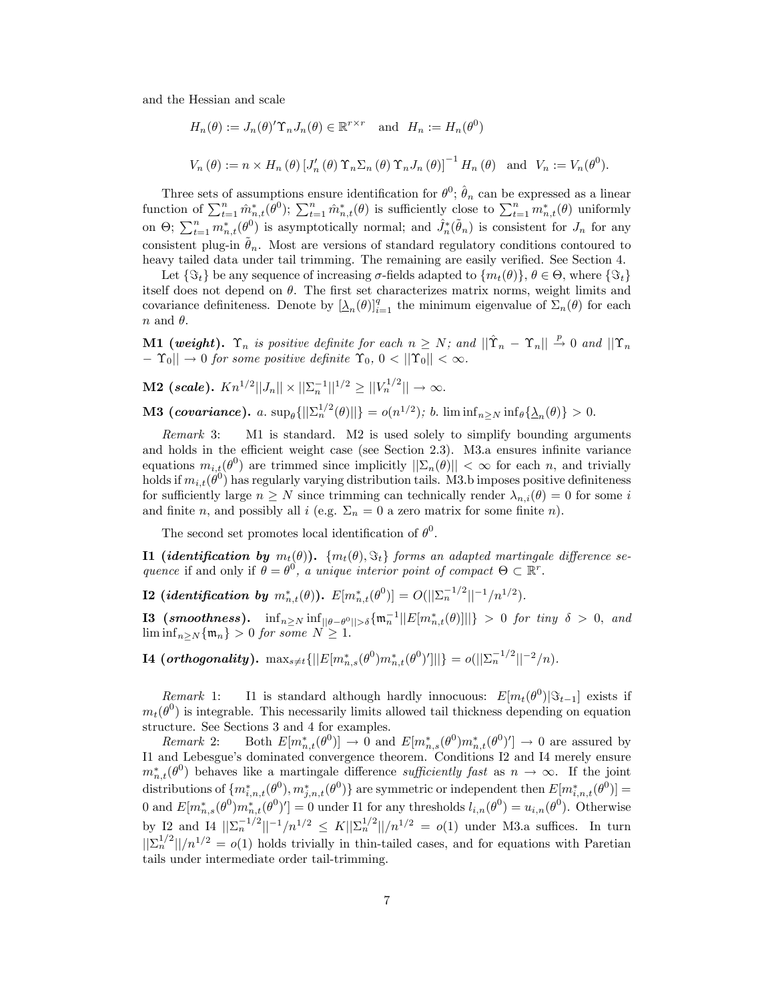and the Hessian and scale

$$
H_n(\theta) := J_n(\theta)' \Upsilon_n J_n(\theta) \in \mathbb{R}^{r \times r} \text{ and } H_n := H_n(\theta^0)
$$
  

$$
V_n(\theta) := n \times H_n(\theta) [J'_n(\theta) \Upsilon_n \Sigma_n(\theta) \Upsilon_n J_n(\theta)]^{-1} H_n(\theta) \text{ and } V_n := V_n(\theta^0).
$$

Three sets of assumptions ensure identification for  $\theta^0$ ;  $\hat{\theta}_n$  can be expressed as a linear function of  $\sum_{t=1}^n \hat{m}^*_{n,t}(\theta^0)$ ;  $\sum_{t=1}^n \hat{m}^*_{n,t}(\theta)$  is sufficiently close to  $\sum_{t=1}^n m^*_{n,t}(\theta)$  uniformly on  $\Theta$ ;  $\sum_{t=1}^n m_{n,t}^*(\theta^0)$  is asymptotically normal; and  $\hat{J}_n^*(\tilde{\theta}_n)$  is consistent for  $J_n$  for any consistent plug-in  $\hat{\theta}_n$ . Most are versions of standard regulatory conditions contoured to heavy tailed data under tail trimming. The remaining are easily verified. See Section 4.

Let  $\{\Im_t\}$  be any sequence of increasing  $\sigma$ -fields adapted to  $\{m_t(\theta)\}, \theta \in \Theta$ , where  $\{\Im_t\}$ itself does not depend on  $\theta$ . The first set characterizes matrix norms, weight limits and covariance definiteness. Denote by  $[\underline{\lambda}_n(\theta)]_{i=1}^q$  the minimum eigenvalue of  $\Sigma_n(\theta)$  for each  $n$  and  $\theta$ .

**M1** (weight).  $\Upsilon_n$  is positive definite for each  $n \geq N$ ; and  $\|\hat{\Upsilon}_n - \Upsilon_n\| \overset{p}{\to} 0$  and  $\|\Upsilon_n\|$  $||-\Upsilon_0|| \to 0$  for some positive definite  $\Upsilon_0, 0 < ||\Upsilon_0|| < \infty$ .

**M2** (scale).  $Kn^{1/2}||J_n|| \times ||\Sigma_n^{-1}||^{1/2} \ge ||V_n^{1/2}|| \to \infty$ .

**M3** (covariance). a.  $\sup_{\theta} \{||\sum_{n}^{1/2}(\theta)||\} = o(n^{1/2})$ ; b.  $\liminf_{n\geq N} \inf_{\theta} \{\Delta_n(\theta)\} > 0$ .

Remark 3: M1 is standard. M2 is used solely to simplify bounding arguments and holds in the efficient weight case (see Section 2.3). M3.a ensures infinite variance equations  $m_{i,t}(\theta^0)$  are trimmed since implicitly  $||\Sigma_n(\theta)|| < \infty$  for each n, and trivially holds if  $m_{i,t}(\theta^0)$  has regularly varying distribution tails. M3.b imposes positive definiteness for sufficiently large  $n \geq N$  since trimming can technically render  $\lambda_{n,i}(\theta) = 0$  for some i and finite n, and possibly all i (e.g.  $\Sigma_n = 0$  a zero matrix for some finite n).

The second set promotes local identification of  $\theta^0$ .

**I1 (identification by**  $m_t(\theta)$ ).  $\{m_t(\theta), \Im_t\}$  forms an adapted martingale difference sequence if and only if  $\theta = \theta^0$ , a unique interior point of compact  $\Theta \subset \mathbb{R}^r$ .

 $\textbf{I2} \text{ (identification by } m_{n,t}^*(\theta)). \ \ E[m_{n,t}^*(\theta^0)] = O(||\Sigma_n^{-1/2}||^{-1}/n^{1/2}).$ 

**I3** (smoothness).  $\inf_{n\geq N} \inf_{\|\theta-\theta^0\|>\delta} \{\mathfrak{m}_n^{-1}||E[m_{n,t}^*(\theta)]||\} > 0$  for tiny  $\delta > 0$ , and  $\liminf_{n\geq N} \{\mathfrak{m}_n\} > 0$  for some  $N \geq 1$ .

 $\textbf{I4} \text{ } (\textit{orthogonality}). \, \, \max_{s \neq t} \{||E[m_{n,s}^{*}(\theta^{0})m_{n,t}^{*}(\theta^{0})']||\} = o(||\Sigma_{n}^{-1/2}||^{-2}/n).$ 

Remark 1: Il is standard although hardly innocuous:  $E[m_t(\theta^0)|\Im_{t-1}]$  exists if  $m_t(\theta^0)$  is integrable. This necessarily limits allowed tail thickness depending on equation structure. See Sections 3 and 4 for examples.

Remark 2: Both  $E[m_{n,t}^*(\theta^0)] \to 0$  and  $E[m_{n,s}^*(\theta^0)m_{n,t}^*(\theta^0)'] \to 0$  are assured by I1 and Lebesgue's dominated convergence theorem. Conditions I2 and I4 merely ensure  $m_{n,t}^*(\theta^0)$  behaves like a martingale difference sufficiently fast as  $n \to \infty$ . If the joint distributions of  $\{m_{i,n,t}^*(\theta^0), m_{j,n,t}^*(\theta^0)\}$  are symmetric or independent then  $E[m_{i,n,t}^*(\theta^0)] =$ 0 and  $E[m^*_{n,s}(\theta^0)m^*_{n,t}(\theta^0)'] = 0$  under I1 for any thresholds  $l_{i,n}(\theta^0) = u_{i,n}(\theta^0)$ . Otherwise by I2 and I4  $\|\Sigma_n^{-1/2}\|^{-1}/n^{1/2} \leq K\|\Sigma_n^{1/2}\|/n^{1/2} = o(1)$  under M3.a suffices. In turn  $\frac{1}{2n^2}$ || $\frac{1}{2}$ || $\frac{1}{2}$  =  $o(1)$  holds trivially in thin-tailed cases, and for equations with Paretian tails under intermediate order tail-trimming.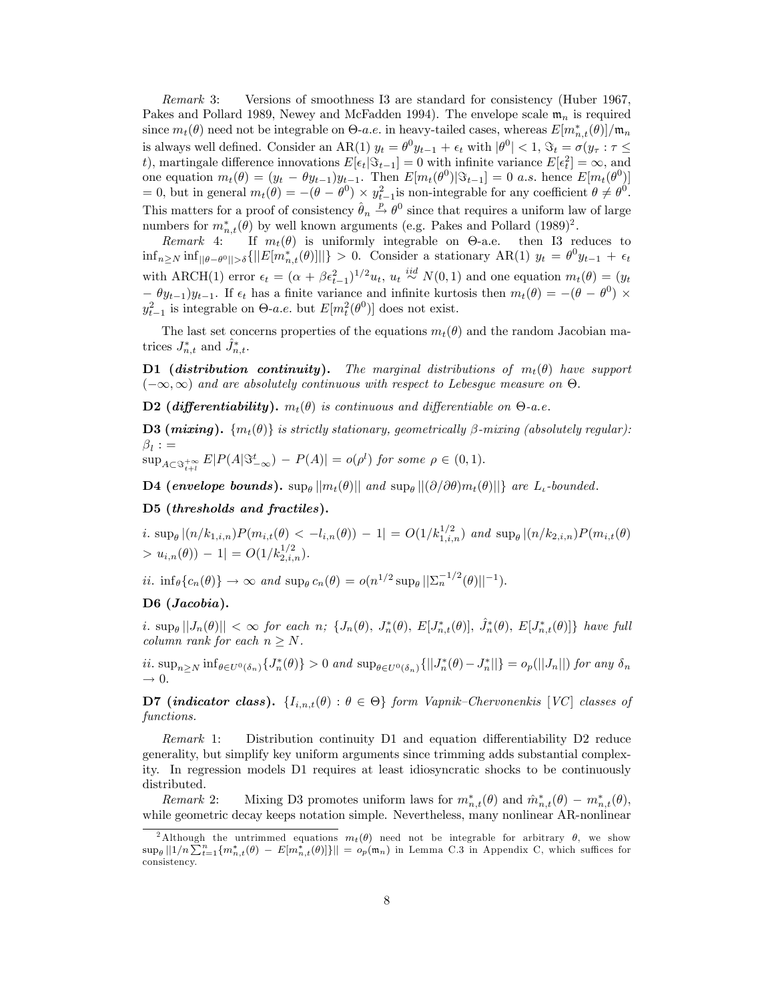Remark 3: Versions of smoothness I3 are standard for consistency (Huber 1967, Pakes and Pollard 1989, Newey and McFadden 1994). The envelope scale  $\mathfrak{m}_n$  is required since  $m_t(\theta)$  need not be integrable on  $\Theta$ -*a.e.* in heavy-tailed cases, whereas  $E[m_{n,t}^*(\theta)]/m_n$ is always well defined. Consider an AR(1)  $y_t = \theta^0 y_{t-1} + \epsilon_t$  with  $|\theta^0| < 1$ ,  $\Im_t = \sigma(y_\tau : \tau \leq$ t), martingale difference innovations  $E[\epsilon_t|\mathcal{S}_{t-1}] = 0$  with infinite variance  $E[\epsilon_t^2] = \infty$ , and one equation  $m_t(\theta) = (y_t - \theta y_{t-1})y_{t-1}$ . Then  $E[m_t(\theta^0)|\Im_{t-1}] = 0$  a.s. hence  $E[m_t(\theta^0)]$  $= 0$ , but in general  $m_t(\theta) = -(\theta - \theta^0) \times y_{t-1}^2$  is non-integrable for any coefficient  $\theta \neq \theta^0$ . This matters for a proof of consistency  $\hat{\theta}_n \stackrel{p}{\rightarrow} \theta^0$  since that requires a uniform law of large numbers for  $m_{n,t}^*(\theta)$  by well known arguments (e.g. Pakes and Pollard (1989)<sup>2</sup>.

Remark 4: If  $m_t(\theta)$  is uniformly integrable on  $\Theta$ -a.e. then I3 reduces to  $\inf_{n\geq N} \inf_{\|\theta-\theta^0\|>\delta} \{||E[m_{n,t}^*(\theta)]||\}>0.$  Consider a stationary  $AR(1)$   $y_t = \theta^0 y_{t-1} + \epsilon_t$ with ARCH(1) error  $\epsilon_t = (\alpha + \beta \epsilon_{t-1}^2)^{1/2} u_t$ ,  $u_t \stackrel{iid}{\sim} N(0, 1)$  and one equation  $m_t(\theta) = (y_t)$  $(y_{t-1})y_{t-1}$ . If  $\epsilon_t$  has a finite variance and infinite kurtosis then  $m_t(\theta) = -(\theta - \theta^0) \times$  $y_{t-1}^2$  is integrable on  $\Theta$ -*a.e.* but  $E[m_t^2(\theta^0)]$  does not exist.

The last set concerns properties of the equations  $m_t(\theta)$  and the random Jacobian matrices  $J_{n,t}^*$  and  $\hat{J}_{n,t}^*$ .

**D1** (distribution continuity). The marginal distributions of  $m_t(\theta)$  have support  $(-\infty,\infty)$  and are absolutely continuous with respect to Lebesgue measure on  $\Theta$ .

**D2** (differentiability).  $m_t(\theta)$  is continuous and differentiable on  $\Theta$ -a.e.

**D3** (mixing).  $\{m_t(\theta)\}\$ is strictly stationary, geometrically  $\beta$ -mixing (absolutely regular):  $\beta_l$  :  $=$ 

 $\sup_{A\subset\Im_{t+1}^{+\infty}}E|P(A|\Im_{-\infty}^t)-P(A)|=o(\rho^l)$  for some  $\rho\in(0,1)$ .

**D4** (envelope bounds).  $\sup_{\theta} ||m_t(\theta)||$  and  $\sup_{\theta} ||(\partial/\partial \theta)m_t(\theta)||$ } are  $L_t$ -bounded.

# D5 (thresholds and fractiles).

*i*.  $\sup_{\theta} |(n/k_{1,i,n})P(m_{i,t}(\theta) < -l_{i,n}(\theta)) - 1| = O(1/k_{1,i,n}^{1/2})$  and  $\sup_{\theta} |(n/k_{2,i,n})P(m_{i,t}(\theta)$  $> u_{i,n}(\theta) - 1 = O(1/k_{2,i,n}^{1/2}).$ 

ii.  $\inf_{\theta} \{c_n(\theta)\} \to \infty$  and  $\sup_{\theta} c_n(\theta) = o(n^{1/2} \sup_{\theta} ||\Sigma_n^{-1/2}(\theta)||^{-1}).$ 

# D6 (Jacobia).

i.  $\sup_{\theta} ||J_n(\theta)|| < \infty$  for each n;  $\{J_n(\theta), J_n^*(\theta), E[J_{n,t}^*(\theta)], \hat{J}_n^*(\theta), E[J_{n,t}^*(\theta)]\}$  have full column rank for each  $n \geq N$ .

 $ii. \sup_{n\geq N} \inf_{\theta\in U^0(\delta_n)} \{J_n^*(\theta)\} > 0 \text{ and } \sup_{\theta\in U^0(\delta_n)} \{||J_n^*(\theta) - J_n^*||\} = o_p(||J_n||) \text{ for any } \delta_n$  $\rightarrow 0.$ 

**D7** (indicator class).  $\{I_{i,n,t}(\theta) : \theta \in \Theta\}$  form Vapnik–Chervonenkis [VC] classes of functions.

Remark 1: Distribution continuity  $D1$  and equation differentiability  $D2$  reduce generality, but simplify key uniform arguments since trimming adds substantial complexity. In regression models D1 requires at least idiosyncratic shocks to be continuously distributed.

Remark 2: Mixing D3 promotes uniform laws for  $m_{n,t}^*(\theta)$  and  $\hat{m}_{n,t}^*(\theta) - m_{n,t}^*(\theta)$ , while geometric decay keeps notation simple. Nevertheless, many nonlinear AR-nonlinear

<sup>&</sup>lt;sup>2</sup>Although the untrimmed equations  $m_t(\theta)$  need not be integrable for arbitrary  $\theta$ , we show  $\sup_{\theta} ||1/n \sum_{t=1}^n \{m_{n,t}^*(\theta) - E[m_{n,t}^*(\theta)]\}|| = o_p(\mathfrak{m}_n)$  in Lemma C.3 in Appendix C, which suffices for consistency.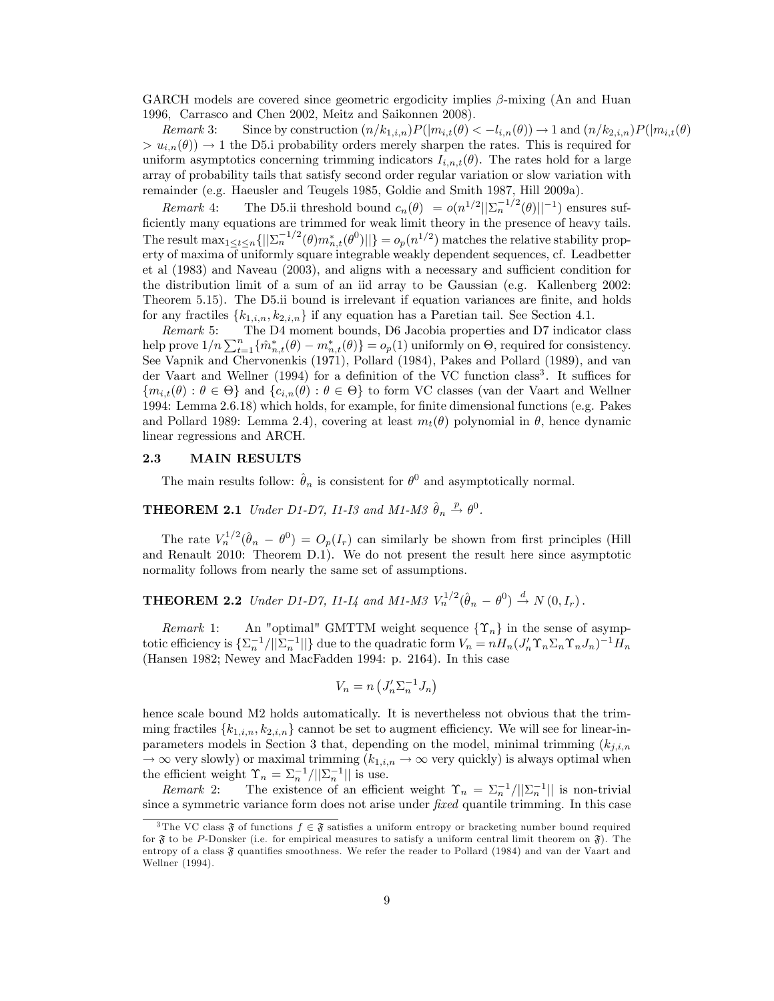GARCH models are covered since geometric ergodicity implies  $\beta$ -mixing (An and Huan 1996, Carrasco and Chen 2002, Meitz and Saikonnen 2008).

Remark 3: Since by construction  $(n/k_{1,i,n})P(|m_{i,t}(\theta)| < -l_{i,n}(\theta)) \to 1$  and  $(n/k_{2,i,n})P(|m_{i,t}(\theta)|$  $> u_{i,n}(\theta)$   $\rightarrow$  1 the D5.i probability orders merely sharpen the rates. This is required for uniform asymptotics concerning trimming indicators  $I_{i,n,t}(\theta)$ . The rates hold for a large array of probability tails that satisfy second order regular variation or slow variation with remainder (e.g. Haeusler and Teugels 1985, Goldie and Smith 1987, Hill 2009a).

Remark 4: The D5.ii threshold bound  $c_n(\theta) = o(n^{1/2} ||\Sigma_n^{-1/2}(\theta)||^{-1})$  ensures sufficiently many equations are trimmed for weak limit theory in the presence of heavy tails. The result  $\max_{1 \leq t \leq n} \{||\sum_{n}^{-1/2}(\theta)m_{n,t}^*(\theta^0)||\} = o_p(n^{1/2})$  matches the relative stability property of maxima of uniformly square integrable weakly dependent sequences, cf. Leadbetter et al  $(1983)$  and Naveau  $(2003)$ , and aligns with a necessary and sufficient condition for the distribution limit of a sum of an iid array to be Gaussian (e.g. Kallenberg 2002: Theorem 5.15). The D5.ii bound is irrelevant if equation variances are finite, and holds for any fractiles  $\{k_{1,i,n}, k_{2,i,n}\}$  if any equation has a Paretian tail. See Section 4.1.<br>*Remark* 5: The D4 moment bounds, D6 Jacobia properties and D7 indicate

The D4 moment bounds, D6 Jacobia properties and D7 indicator class help prove  $1/n \sum_{t=1}^n {\{\hat{m}^*_{n,t}(\theta) - m^*_{n,t}(\theta)\}} = o_p(1)$  uniformly on  $\Theta$ , required for consistency. See Vapnik and Chervonenkis (1971), Pollard (1984), Pakes and Pollard (1989), and van der Vaart and Wellner (1994) for a definition of the VC function class<sup>3</sup>. It suffices for  ${m_{i,t}(\theta): \theta \in \Theta}$  and  ${c_{i,n}(\theta): \theta \in \Theta}$  to form VC classes (van der Vaart and Wellner 1994: Lemma 2.6.18) which holds, for example, for Önite dimensional functions (e.g. Pakes and Pollard 1989: Lemma 2.4), covering at least  $m_t(\theta)$  polynomial in  $\theta$ , hence dynamic linear regressions and ARCH.

# 2.3 MAIN RESULTS

The main results follow:  $\hat{\theta}_n$  is consistent for  $\theta^0$  and asymptotically normal.

# **THEOREM 2.1** Under D1-D7, I1-I3 and M1-M3  $\hat{\theta}_n \stackrel{p}{\rightarrow} \theta^0$ .

The rate  $V_n^{1/2}(\hat{\theta}_n - \theta^0) = O_p(I_r)$  can similarly be shown from first principles (Hill and Renault 2010: Theorem D.1). We do not present the result here since asymptotic normality follows from nearly the same set of assumptions.

**THEOREM 2.2** Under D1-D7, I1-I4 and M1-M3  $V_n^{1/2}(\hat{\theta}_n - \theta^0) \stackrel{d}{\to} N(0, I_r)$ .

Remark 1: An "optimal" GMTTM weight sequence  $\{\Upsilon_n\}$  in the sense of asymptotic efficiency is  $\{\Sigma_n^{-1}/||\Sigma_n^{-1}||\}$  due to the quadratic form  $V_n = nH_n(J'_n\Upsilon_n\Sigma_n\Upsilon_nJ_n)^{-1}H_n$ (Hansen 1982; Newey and MacFadden 1994: p. 2164). In this case

$$
V_n = n\left(J'_n \Sigma_n^{-1} J_n\right)
$$

hence scale bound M2 holds automatically. It is nevertheless not obvious that the trimming fractiles  ${k_{1,i,n}, k_{2,i,n}}$  cannot be set to augment efficiency. We will see for linear-inparameters models in Section 3 that, depending on the model, minimal trimming  $(k_{i,i,n})$  $\rightarrow \infty$  very slowly) or maximal trimming  $(k_{1,i,n} \rightarrow \infty$  very quickly) is always optimal when the efficient weight  $\Upsilon_n = \sum_n^{-1} / ||\Sigma_n^{-1}||$  is use.

Remark 2: The existence of an efficient weight  $\Upsilon_n = \sum_n^{-1} / ||\Sigma_n^{-1}||$  is non-trivial since a symmetric variance form does not arise under *fixed* quantile trimming. In this case

<sup>&</sup>lt;sup>3</sup>The VC class  $\mathfrak{F}$  of functions  $f \in \mathfrak{F}$  satisfies a uniform entropy or bracketing number bound required for  $\mathfrak F$  to be P-Donsker (i.e. for empirical measures to satisfy a uniform central limit theorem on  $\mathfrak F$ ). The entropy of a class  $\mathfrak F$  quantifies smoothness. We refer the reader to Pollard (1984) and van der Vaart and Wellner (1994).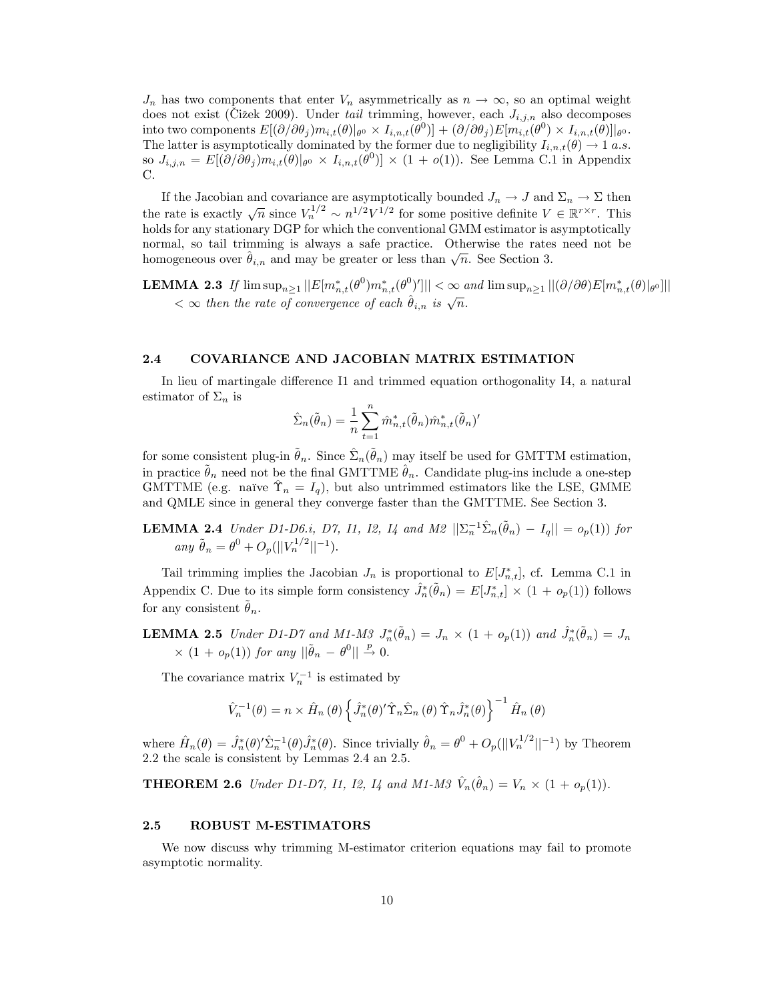$J_n$  has two components that enter  $V_n$  asymmetrically as  $n \to \infty$ , so an optimal weight does not exist (Čižek 2009). Under tail trimming, however, each  $J_{i,j,n}$  also decomposes into two components  $E[(\partial/\partial \theta_j) m_{i,t}(\theta) |_{\theta^0} \times I_{i,n,t}(\theta^0)] + (\partial/\partial \theta_j) E[m_{i,t}(\theta^0) \times I_{i,n,t}(\theta)]|_{\theta^0}$ . The latter is asymptotically dominated by the former due to negligibility  $I_{i,n,t}(\theta) \rightarrow 1 \ a.s.$  $\text{so } J_{i,j,n} = E[(\partial/\partial \theta_j) m_{i,t}(\theta) |_{\theta^0} \times I_{i,n,t}(\theta^0)] \times (1 + o(1)).$  See Lemma C.1 in Appendix C.

If the Jacobian and covariance are asymptotically bounded  $J_n \to J$  and  $\Sigma_n \to \Sigma$  then the rate is exactly  $\sqrt{n}$  since  $V_n^{1/2} \sim n^{1/2} V^{1/2}$  for some positive definite  $V \in \mathbb{R}^{r \times r}$ . This holds for any stationary DGP for which the conventional GMM estimator is asymptotically normal, so tail trimming is always a safe practice. Otherwise the rates need not be homogeneous over  $\hat{\theta}_{i,n}$  and may be greater or less than  $\sqrt{n}$ . See Section 3.

**LEMMA 2.3** If  $\limsup_{n\geq1}||E[m_{n,t}^*(\theta^0)m_{n,t}^*(\theta^0)]|| < \infty$  and  $\limsup_{n\geq1}||(\partial/\partial\theta)E[m_{n,t}^*(\theta)|_{\theta^0}]||$  $< \infty$  then the rate of convergence of each  $\hat{\theta}_{i,n}$  is  $\sqrt{n}$ .

#### 2.4 COVARIANCE AND JACOBIAN MATRIX ESTIMATION

In lieu of martingale difference I1 and trimmed equation orthogonality I4, a natural estimator of  $\Sigma_n$  is

$$
\hat{\Sigma}_n(\tilde{\theta}_n) = \frac{1}{n} \sum_{t=1}^n \hat{m}_{n,t}^*(\tilde{\theta}_n) \hat{m}_{n,t}^*(\tilde{\theta}_n)'
$$

for some consistent plug-in  $\tilde{\theta}_n$ . Since  $\hat{\Sigma}_n(\tilde{\theta}_n)$  may itself be used for GMTTM estimation, in practice  $\tilde{\theta}_n$  need not be the final GMTTME  $\hat{\theta}_n$ . Candidate plug-ins include a one-step GMTTME (e.g. naïve  $\hat{\Upsilon}_n = I_q$ ), but also untrimmed estimators like the LSE, GMME and QMLE since in general they converge faster than the GMTTME. See Section 3.

**LEMMA 2.4** Under D1-D6.i, D7, I1, I2, I4 and M2  $||\sum_{n}^{-1} \hat{\Sigma}_n(\tilde{\theta}_n) - I_q|| = o_p(1)$  for any  $\tilde{\theta}_n = \theta^0 + O_p(||V_n^{1/2}||^{-1}).$ 

Tail trimming implies the Jacobian  $J_n$  is proportional to  $E[J^*_{n,t}]$ , cf. Lemma C.1 in Appendix C. Due to its simple form consistency  $\hat{J}_n^*(\tilde{\theta}_n) = E[J_{n,t}^*] \times (1 + o_p(1))$  follows for any consistent  $\theta_n$ .

**LEMMA 2.5** Under D1-D7 and M1-M3  $J_n^*(\tilde{\theta}_n) = J_n \times (1 + o_p(1))$  and  $\hat{J}_n^*(\tilde{\theta}_n) = J_n$  $\times$  (1 +  $o_p(1)$ ) for any  $\|\tilde{\theta}_n - \theta^0\| \stackrel{p}{\to} 0.$ 

The covariance matrix  $V_n^{-1}$  is estimated by

$$
\hat{V}_n^{-1}(\theta) = n \times \hat{H}_n(\theta) \left\{ \hat{J}_n^*(\theta)'\hat{\Upsilon}_n \hat{\Sigma}_n(\theta) \hat{\Upsilon}_n \hat{J}_n^*(\theta) \right\}^{-1} \hat{H}_n(\theta)
$$

where  $\hat{H}_n(\theta) = \hat{J}_n^*(\theta)'\hat{\Sigma}_n^{-1}(\theta)\hat{J}_n^*(\theta)$ . Since trivially  $\hat{\theta}_n = \theta^0 + O_p(||V_n^{1/2}||^{-1})$  by Theorem 2.2 the scale is consistent by Lemmas 2.4 an 2.5.

**THEOREM 2.6** Under D1-D7, I1, I2, I4 and M1-M3  $\hat{V}_n(\hat{\theta}_n) = V_n \times (1 + o_p(1)).$ 

### 2.5 ROBUST M-ESTIMATORS

We now discuss why trimming M-estimator criterion equations may fail to promote asymptotic normality.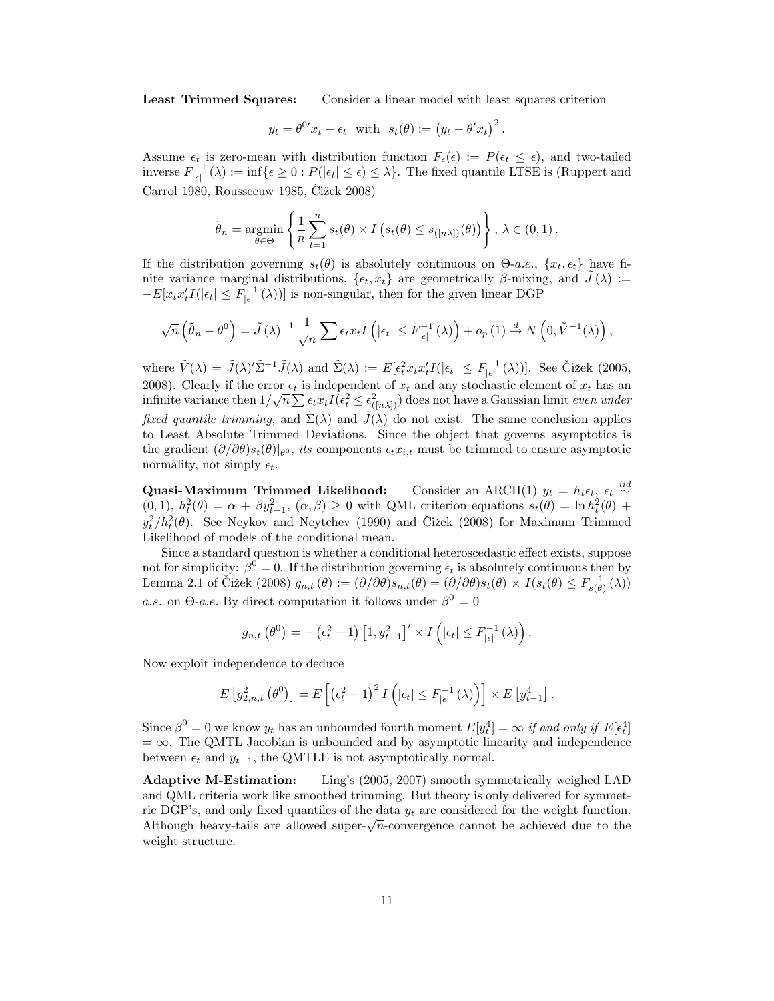Least Trimmed Squares: Consider a linear model with least squares criterion

$$
y_t = \theta^0 x_t + \epsilon_t
$$
 with  $s_t(\theta) := (y_t - \theta' x_t)^2$ .

Assume  $\epsilon_t$  is zero-mean with distribution function  $F_{\epsilon}(\epsilon) := P(\epsilon_t \leq \epsilon)$ , and two-tailed inverse  $F_{|\epsilon|}^{-1}(\lambda) := \inf \{ \epsilon \geq 0 : P(|\epsilon_t| \leq \epsilon) \leq \lambda \}.$  The fixed quantile LTSE is (Ruppert and Carrol 1980, Rousseeuw 1985, Cižek 2008)

$$
\tilde{\theta}_n = \underset{\theta \in \Theta}{\text{argmin}} \left\{ \frac{1}{n} \sum_{t=1}^n s_t(\theta) \times I \left( s_t(\theta) \le s_{([n\lambda])}(\theta) \right) \right\}, \lambda \in (0,1).
$$

If the distribution governing  $s_t(\theta)$  is absolutely continuous on  $\Theta$ -a.e.,  $\{x_t, \epsilon_t\}$  have finite variance marginal distributions,  $\{\epsilon_t, x_t\}$  are geometrically  $\beta$ -mixing, and  $\tilde{J}(\lambda) :=$  $-E[x_t x_t' I(|\epsilon_t| \leq F_{|\epsilon|}^{-1}(\lambda))]$  is non-singular, then for the given linear DGP

$$
\sqrt{n}\left(\tilde{\theta}_n - \theta^0\right) = \tilde{J}\left(\lambda\right)^{-1} \frac{1}{\sqrt{n}} \sum \epsilon_t x_t I\left(|\epsilon_t| \leq F_{|\epsilon|}^{-1}\left(\lambda\right)\right) + o_p\left(1\right) \stackrel{d}{\to} N\left(0, \tilde{V}^{-1}\left(\lambda\right)\right),
$$

where  $\tilde{V}(\lambda) = \tilde{J}(\lambda)'\tilde{\Sigma}^{-1}\tilde{J}(\lambda)$  and  $\tilde{\Sigma}(\lambda) := E[\epsilon_t^2 x_t x_t'I(|\epsilon_t| \leq F_{|\epsilon|}^{-1}(\lambda))].$  See Čižek (2005, 2008). Clearly if the error  $\epsilon_t$  is independent of  $x_t$  and any stochastic element of  $x_t$  has an infinite variance then  $1/\sqrt{n} \sum \epsilon_t x_t I(\epsilon_t^2 \leq \epsilon_{([n\lambda])}^2)$  does not have a Gaussian limit even under fixed quantile trimming, and  $\tilde{\Sigma}(\lambda)$  and  $\tilde{J}(\lambda)$  do not exist. The same conclusion applies to Least Absolute Trimmed Deviations. Since the object that governs asymptotics is the gradient  $(\partial/\partial\theta)s_t(\theta)|_{\theta^0}$ , its components  $\epsilon_t x_{i,t}$  must be trimmed to ensure asymptotic normality, not simply  $\epsilon_t$ .

**Quasi-Maximum Trimmed Likelihood:** Consider an ARCH(1)  $y_t = h_t \epsilon_t$ ,  $\epsilon_t \stackrel{iid}{\sim}$  $(0,1), h_t^2(\theta) = \alpha + \beta y_{t-1}^2, (\alpha, \beta) \geq 0$  with QML criterion equations  $s_t(\theta) = \ln h_t^2(\theta) +$  $y_t^2/h_t^2(\theta)$ . See Neykov and Neytchev (1990) and Čižek (2008) for Maximum Trimmed Likelihood of models of the conditional mean.

Since a standard question is whether a conditional heteroscedastic effect exists, suppose not for simplicity:  $\beta^0 = 0$ . If the distribution governing  $\epsilon_t$  is absolutely continuous then by Lemma 2.1 of Čižek (2008)  $g_{n,t}(\theta) := (\partial/\partial \theta) s_{n,t}(\theta) = (\partial/\partial \theta) s_t(\theta) \times I(s_t(\theta) \leq F_{s(\theta)}^{-1}(\lambda))$ a.s. on  $\Theta$ -a.e. By direct computation it follows under  $\beta^0 = 0$ 

$$
g_{n,t}\left(\theta^0\right) = -\left(\epsilon_t^2 - 1\right) \left[1, y_{t-1}^2\right]' \times I\left(|\epsilon_t| \leq F_{|\epsilon|}^{-1} \left(\lambda\right)\right).
$$

Now exploit independence to deduce

$$
E\left[g_{2,n,t}^{2}\left(\theta^{0}\right)\right] = E\left[\left(\epsilon_{t}^{2}-1\right)^{2} I\left(\left|\epsilon_{t}\right| \leq F_{|\epsilon|}^{-1}\left(\lambda\right)\right)\right] \times E\left[y_{t-1}^{4}\right].
$$

Since  $\beta^0 = 0$  we know  $y_t$  has an unbounded fourth moment  $E[y_t^4] = \infty$  if and only if  $E[\epsilon_t^4]$  $= \infty$ . The QMTL Jacobian is unbounded and by asymptotic linearity and independence between  $\epsilon_t$  and  $y_{t-1}$ , the QMTLE is not asymptotically normal.

Adaptive M-Estimation: Lingís (2005, 2007) smooth symmetrically weighed LAD and QML criteria work like smoothed trimming. But theory is only delivered for symmetric DGP's, and only fixed quantiles of the data  $y_t$  are considered for the weight function. Although heavy-tails are allowed super- $\sqrt{n}$ -convergence cannot be achieved due to the weight structure.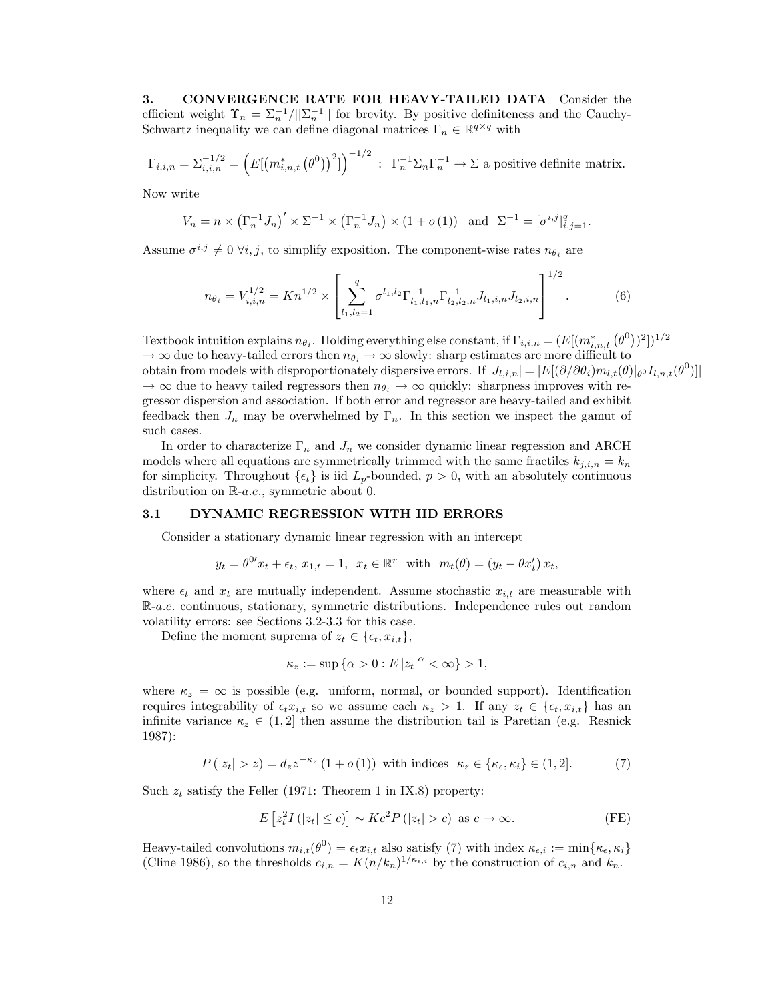3. CONVERGENCE RATE FOR HEAVY-TAILED DATA Consider the efficient weight  $\Upsilon_n = \sum_n^{-1} / ||\Sigma_n^{-1}||$  for brevity. By positive definiteness and the Cauchy-Schwartz inequality we can define diagonal matrices  $\Gamma_n \in \mathbb{R}^{q \times q}$  with

$$
\Gamma_{i,i,n} = \Sigma_{i,i,n}^{-1/2} = \left( E[(m_{i,n,t}^*(\theta^0))^2] \right)^{-1/2} : \Gamma_n^{-1} \Sigma_n \Gamma_n^{-1} \to \Sigma \text{ a positive definite matrix.}
$$

Now write

$$
V_n = n \times (\Gamma_n^{-1} J_n)' \times \Sigma^{-1} \times (\Gamma_n^{-1} J_n) \times (1 + o(1)) \quad \text{and} \quad \Sigma^{-1} = [\sigma^{i,j}]_{i,j=1}^q.
$$

Assume  $\sigma^{i,j} \neq 0 \ \forall i,j$ , to simplify exposition. The component-wise rates  $n_{\theta_i}$  are

$$
n_{\theta_i} = V_{i,i,n}^{1/2} = K n^{1/2} \times \left[ \sum_{l_1,l_2=1}^q \sigma^{l_1,l_2} \Gamma_{l_1,l_1,n}^{-1} \Gamma_{l_2,l_2,n}^{-1} J_{l_1,i,n} J_{l_2,i,n} \right]^{1/2}.
$$
 (6)

Textbook intuition explains  $n_{\theta_i}$ . Holding everything else constant, if  $\Gamma_{i,i,n} = (E[(m_{i,n,t}^*(\theta^0))^2])^{1/2}$  $\rightarrow \infty$  due to heavy-tailed errors then  $n_{\theta_i} \rightarrow \infty$  slowly: sharp estimates are more difficult to obtain from models with disproportionately dispersive errors. If  $|J_{l,i,n}| = |E[(\partial/\partial \theta_i)m_{l,t}(\theta)|_{\theta} I_{l,n,t}(\theta^0)]|$  $\rightarrow \infty$  due to heavy tailed regressors then  $n_{\theta_i} \rightarrow \infty$  quickly: sharpness improves with regressor dispersion and association. If both error and regressor are heavy-tailed and exhibit feedback then  $J_n$  may be overwhelmed by  $\Gamma_n$ . In this section we inspect the gamut of such cases.

In order to characterize  $\Gamma_n$  and  $J_n$  we consider dynamic linear regression and ARCH models where all equations are symmetrically trimmed with the same fractiles  $k_{i,i,n} = k_n$ for simplicity. Throughout  $\{\epsilon_t\}$  is iid  $L_p$ -bounded,  $p > 0$ , with an absolutely continuous distribution on  $\mathbb{R}$ -*a.e.*, symmetric about 0.

#### 3.1 DYNAMIC REGRESSION WITH IID ERRORS

Consider a stationary dynamic linear regression with an intercept

$$
y_t = \theta^{0t} x_t + \epsilon_t, x_{1,t} = 1, x_t \in \mathbb{R}^r
$$
 with  $m_t(\theta) = (y_t - \theta x'_t) x_t$ ,

where  $\epsilon_t$  and  $x_t$  are mutually independent. Assume stochastic  $x_{i,t}$  are measurable with R-a:e: continuous, stationary, symmetric distributions. Independence rules out random volatility errors: see Sections 3.2-3.3 for this case.

Define the moment suprema of  $z_t \in \{\epsilon_t, x_{i,t}\},\$ 

$$
\kappa_z := \sup \left\{ \alpha > 0 : E \left| z_t \right|^{\alpha} < \infty \right\} > 1,
$$

where  $\kappa_z = \infty$  is possible (e.g. uniform, normal, or bounded support). Identification requires integrability of  $\epsilon_t x_{i,t}$  so we assume each  $\kappa_z > 1$ . If any  $z_t \in {\epsilon_t, x_{i,t}}$  has an infinite variance  $\kappa_z \in (1, 2]$  then assume the distribution tail is Paretian (e.g. Resnick 1987):

$$
P(|z_t| > z) = d_z z^{-\kappa_z} (1 + o(1)) \text{ with indices } \kappa_z \in {\kappa_{\epsilon}, \kappa_i} \in (1, 2].
$$
 (7)

Such  $z_t$  satisfy the Feller (1971: Theorem 1 in IX.8) property:

$$
E[z_t^2 I(|z_t| \le c)] \sim Kc^2 P(|z_t| > c) \text{ as } c \to \infty.
$$
 (FE)

Heavy-tailed convolutions  $m_{i,t}(\theta^0) = \epsilon_t x_{i,t}$  also satisfy (7) with index  $\kappa_{\epsilon,i} := \min\{\kappa_{\epsilon}, \kappa_i\}$ (Cline 1986), so the thresholds  $c_{i,n} = K(n/k_n)^{1/\kappa_{\epsilon,i}}$  by the construction of  $c_{i,n}$  and  $k_n$ .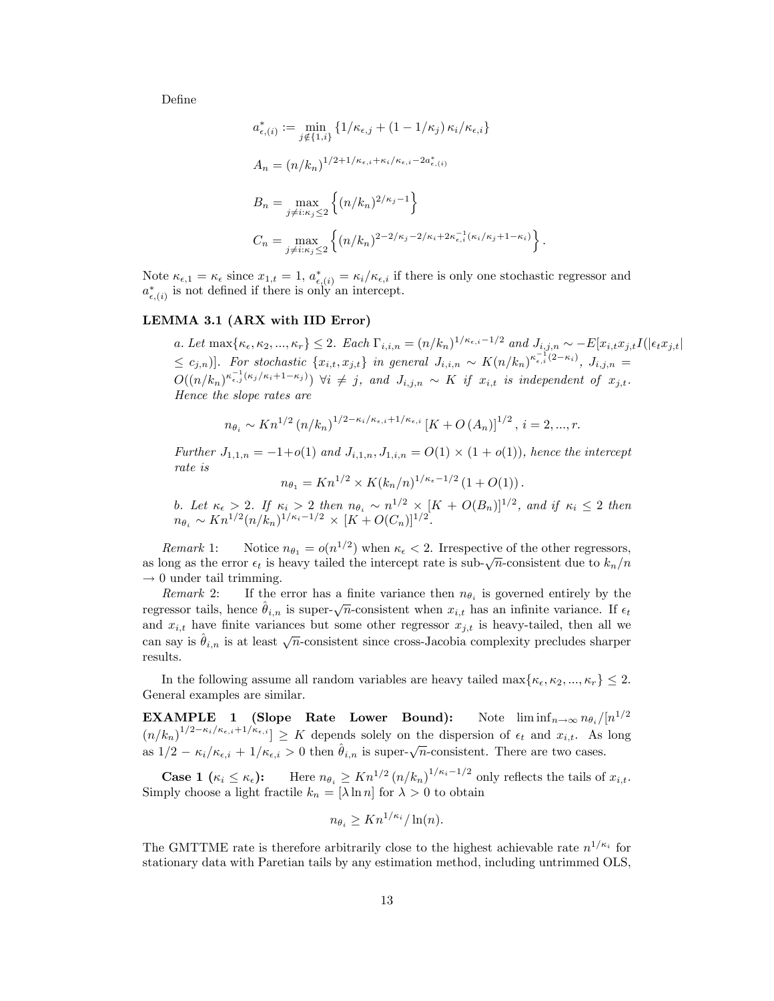DeÖne

$$
a_{\epsilon,(i)}^* := \min_{j \notin \{1, i\}} \{1/\kappa_{\epsilon,j} + (1 - 1/\kappa_j) \kappa_i / \kappa_{\epsilon,i}\}
$$
  
\n
$$
A_n = (n/k_n)^{1/2 + 1/\kappa_{\epsilon,i} + \kappa_i / \kappa_{\epsilon,i} - 2a_{\epsilon,(i)}^*}
$$
  
\n
$$
B_n = \max_{j \neq i: \kappa_j \le 2} \left\{ (n/k_n)^{2/\kappa_j - 1} \right\}
$$
  
\n
$$
C_n = \max_{j \neq i: \kappa_j \le 2} \left\{ (n/k_n)^{2 - 2/\kappa_j - 2/\kappa_i + 2\kappa_{\epsilon,i}^{-1}(\kappa_i / \kappa_j + 1 - \kappa_i)} \right\}
$$

Note  $\kappa_{\epsilon,1} = \kappa_{\epsilon}$  since  $x_{1,t} = 1$ ,  $a^*_{\epsilon,(i)} = \kappa_i/\kappa_{\epsilon,i}$  if there is only one stochastic regressor and  $a_{\epsilon,(i)}^*$  is not defined if there is only an intercept.

#### LEMMA 3.1 (ARX with IID Error)

a. Let  $\max\{\kappa_{\epsilon}, \kappa_2, ..., \kappa_r\} \leq 2$ . Each  $\Gamma_{i,i,n} = (n/k_n)^{1/\kappa_{\epsilon,i}-1/2}$  and  $J_{i,j,n} \sim -E[x_{i,t}x_{j,t}]/(|\epsilon_t x_{j,t}|)$  $\leq c_{j,n}$ ]. For stochastic  $\{x_{i,t}, x_{j,t}\}$  in general  $J_{i,i,n} \sim K(n/k_n)^{\kappa_{\epsilon,i}^{-1}(2-\kappa_i)}$ ,  $J_{i,j,n} =$  $O((n/k_n)^{\kappa_{\epsilon,j}^{-1}(\kappa_j/\kappa_i+1-\kappa_j)})$   $\forall i \neq j$ , and  $J_{i,j,n} \sim K$  if  $x_{i,t}$  is independent of  $x_{j,t}$ . Hence the slope rates are

:

$$
n_{\theta_i} \sim Kn^{1/2} (n/k_n)^{1/2 - \kappa_i/\kappa_{\epsilon,i} + 1/\kappa_{\epsilon,i}} \left[ K + O(A_n) \right]^{1/2}, i = 2, ..., r.
$$

Further  $J_{1,1,n} = -1+o(1)$  and  $J_{i,1,n}, J_{1,i,n} = O(1) \times (1+o(1))$ , hence the intercept rate is

$$
n_{\theta_1} = Kn^{1/2} \times K(k_n/n)^{1/\kappa_{\epsilon} - 1/2} (1 + O(1)).
$$

b. Let  $\kappa_{\epsilon} > 2$ . If  $\kappa_i > 2$  then  $n_{\theta_i} \sim n^{1/2} \times [K + O(B_n)]^{1/2}$ , and if  $\kappa_i \leq 2$  then  $n_{\theta_i} \sim Kn^{1/2} (n/k_n)^{1/\kappa_i - 1/2} \times [K + O(C_n)]^{1/2}.$ 

Remark 1: Notice  $n_{\theta_1} = o(n^{1/2})$  when  $\kappa_{\epsilon} < 2$ . Irrespective of the other regressors, as long as the error  $\epsilon_t$  is heavy tailed the intercept rate is sub- $\sqrt{n}$ -consistent due to  $k_n/n$  $\rightarrow$  0 under tail trimming.<br>Remark 2: If the

Remark 2: If the error has a finite variance then  $n_{\theta_i}$  is governed entirely by the regressor tails, hence  $\hat{\theta}_{i,n}$  is super- $\sqrt{n}$ -consistent when  $x_{i,t}$  has an infinite variance. If  $\epsilon_t$ and  $x_{i,t}$  have finite variances but some other regressor  $x_{j,t}$  is heavy-tailed, then all we can say is  $\hat{\theta}_{i,n}$  is at least  $\sqrt{n}$ -consistent since cross-Jacobia complexity precludes sharper results.

In the following assume all random variables are heavy tailed  $\max\{\kappa_{\epsilon}, \kappa_2, ..., \kappa_r\} \leq 2$ . General examples are similar.

**EXAMPLE** 1 (Slope Rate Lower Bound): Note  $\liminf_{n\to\infty} n_{\theta_i}/[n^{1/2}]$  $(n/k_n)^{1/2-\kappa_i/\kappa_{\epsilon,i}+1/\kappa_{\epsilon,i}} \geq K$  depends solely on the dispersion of  $\epsilon_t$  and  $x_{i,t}$ . As long as  $1/2 - \kappa_i / \kappa_{\epsilon,i} + 1/\kappa_{\epsilon,i} > 0$  then  $\hat{\theta}_{i,n}$  is super- $\sqrt{n}$ -consistent. There are two cases.

**Case 1**  $(\kappa_i \leq \kappa_{\epsilon})$ : Here  $n_{\theta_i} \geq Kn^{1/2} (n/k_n)^{1/\kappa_i-1/2}$  only reflects the tails of  $x_{i,t}$ . Simply choose a light fractile  $k_n = [\lambda \ln n]$  for  $\lambda > 0$  to obtain

$$
n_{\theta_i} \ge Kn^{1/\kappa_i}/\ln(n).
$$

The GMTTME rate is therefore arbitrarily close to the highest achievable rate  $n^{1/\kappa_i}$  for stationary data with Paretian tails by any estimation method, including untrimmed OLS,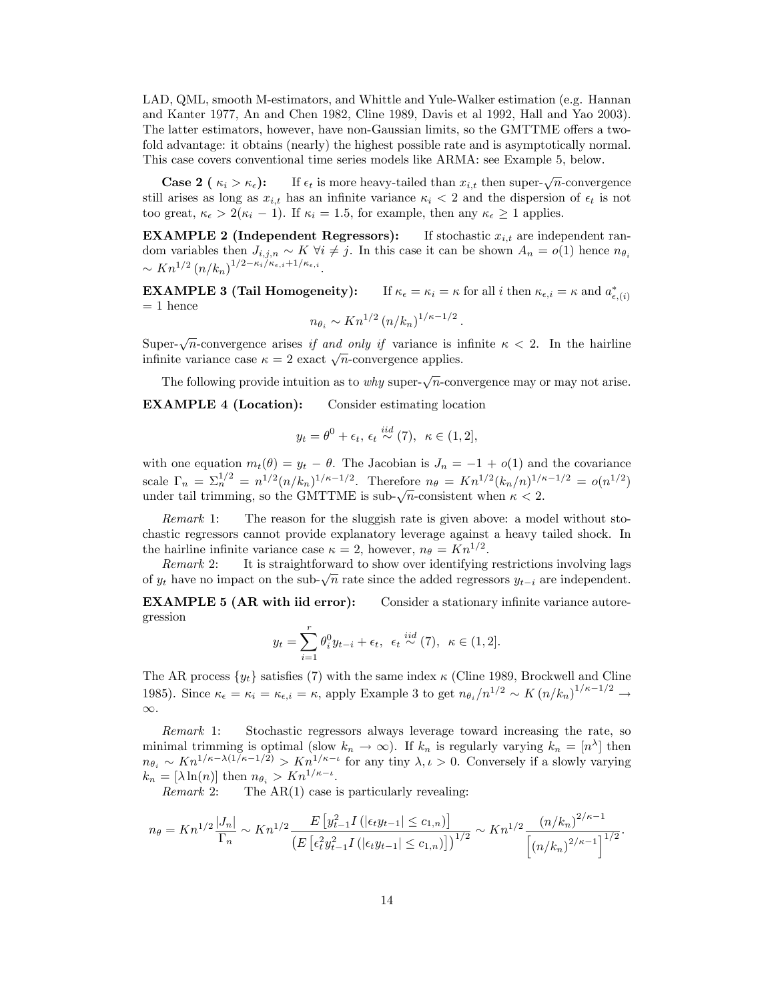LAD, QML, smooth M-estimators, and Whittle and Yule-Walker estimation (e.g. Hannan and Kanter 1977, An and Chen 1982, Cline 1989, Davis et al 1992, Hall and Yao 2003). The latter estimators, however, have non-Gaussian limits, so the GMTTME offers a twofold advantage: it obtains (nearly) the highest possible rate and is asymptotically normal. This case covers conventional time series models like ARMA: see Example 5, below.

**Case 2** ( $\kappa_i > \kappa_{\epsilon}$ ): If  $\epsilon_t$  is more heavy-tailed than  $x_{i,t}$  then super- $\sqrt{n}$ -convergence still arises as long as  $x_{i,t}$  has an infinite variance  $\kappa_i < 2$  and the dispersion of  $\epsilon_t$  is not too great,  $\kappa_{\epsilon} > 2(\kappa_i - 1)$ . If  $\kappa_i = 1.5$ , for example, then any  $\kappa_{\epsilon} \geq 1$  applies.

**EXAMPLE 2** (Independent Regressors): If stochastic  $x_{i,t}$  are independent random variables then  $J_{i,j,n} \sim K \ \forall i \neq j$ . In this case it can be shown  $A_n = o(1)$  hence  $n_{\theta_i}$  $\sim Kn^{1/2} (n/k_n)^{1/2-\kappa_i/\kappa_{\epsilon,i}+1/\kappa_{\epsilon,i}}.$ 

**EXAMPLE 3 (Tail Homogeneity):** If  $\kappa_{\epsilon} = \kappa_i = \kappa$  for all i then  $\kappa_{\epsilon,i} = \kappa$  and  $a^*_{\epsilon,(i)}$  $= 1$  hence

$$
n_{\theta_i} \sim Kn^{1/2} \left( n/k_n \right)^{1/\kappa - 1/2}.
$$

Super- $\sqrt{n}$ -convergence arises if and only if variance is infinite  $\kappa < 2$ . In the hairline infinite variance case  $\kappa = 2$  exact  $\sqrt{n}$ -convergence applies.

The following provide intuition as to why super- $\sqrt{n}$ -convergence may or may not arise. EXAMPLE 4 (Location): Consider estimating location

$$
y_t = \theta^0 + \epsilon_t, \, \epsilon_t \stackrel{iid}{\sim} (7), \, \kappa \in (1, 2],
$$

with one equation  $m_t(\theta) = y_t - \theta$ . The Jacobian is  $J_n = -1 + o(1)$  and the covariance scale  $\Gamma_n = \Sigma_n^{1/2} = n^{1/2} (n/k_n)^{1/\kappa - 1/2}$ . Therefore  $n_\theta = K n^{1/2} (k_n/n)^{1/\kappa - 1/2} = o(n^{1/2})$ under tail trimming, so the GMTTME is sub- $\sqrt{n}$ -consistent when  $\kappa < 2$ .

Remark 1: The reason for the sluggish rate is given above: a model without stochastic regressors cannot provide explanatory leverage against a heavy tailed shock. In the hairline infinite variance case  $\kappa = 2$ , however,  $n_{\theta} = Kn^{1/2}$ .

Remark 2: It is straightforward to show over identifying restrictions involving lags of  $y_t$  have no impact on the sub- $\sqrt{n}$  rate since the added regressors  $y_{t-i}$  are independent.

**EXAMPLE 5 (AR with iid error):** Consider a stationary infinite variance autoregression

$$
y_t = \sum_{i=1}^r \theta_i^0 y_{t-i} + \epsilon_t, \ \epsilon_t \stackrel{iid}{\sim} (7), \ \kappa \in (1, 2].
$$

The AR process  $\{y_t\}$  satisfies (7) with the same index  $\kappa$  (Cline 1989, Brockwell and Cline 1985). Since  $\kappa_{\epsilon} = \kappa_i = \kappa_{\epsilon,i} = \kappa$ , apply Example 3 to get  $n_{\theta_i}/n^{1/2} \sim K (n/k_n)^{1/\kappa - 1/2} \to$  $\infty.$ 

Remark 1: Stochastic regressors always leverage toward increasing the rate, so minimal trimming is optimal (slow  $k_n \to \infty$ ). If  $k_n$  is regularly varying  $k_n = [n^{\lambda}]$  then  $n_{\theta_i} \sim Kn^{1/\kappa-\lambda(1/\kappa-1/2)} > Kn^{1/\kappa-\iota}$  for any tiny  $\lambda, \iota > 0$ . Conversely if a slowly varying  $k_n = [\lambda \ln(n)]$  then  $n_{\theta_i} > Kn^{1/\kappa - \iota}$ .

*Remark* 2: The  $AR(1)$  case is particularly revealing:

$$
n_{\theta} = Kn^{1/2} \frac{|J_n|}{\Gamma_n} \sim Kn^{1/2} \frac{E\left[y_{t-1}^2 I\left(|\epsilon_t y_{t-1}| \le c_{1,n}\right)\right]}{\left(E\left[\epsilon_t^2 y_{t-1}^2 I\left(|\epsilon_t y_{t-1}| \le c_{1,n}\right)\right]\right)^{1/2}} \sim Kn^{1/2} \frac{\left(n/k_n\right)^{2/\kappa - 1}}{\left[\left(n/k_n\right)^{2/\kappa - 1}\right]^{1/2}}.
$$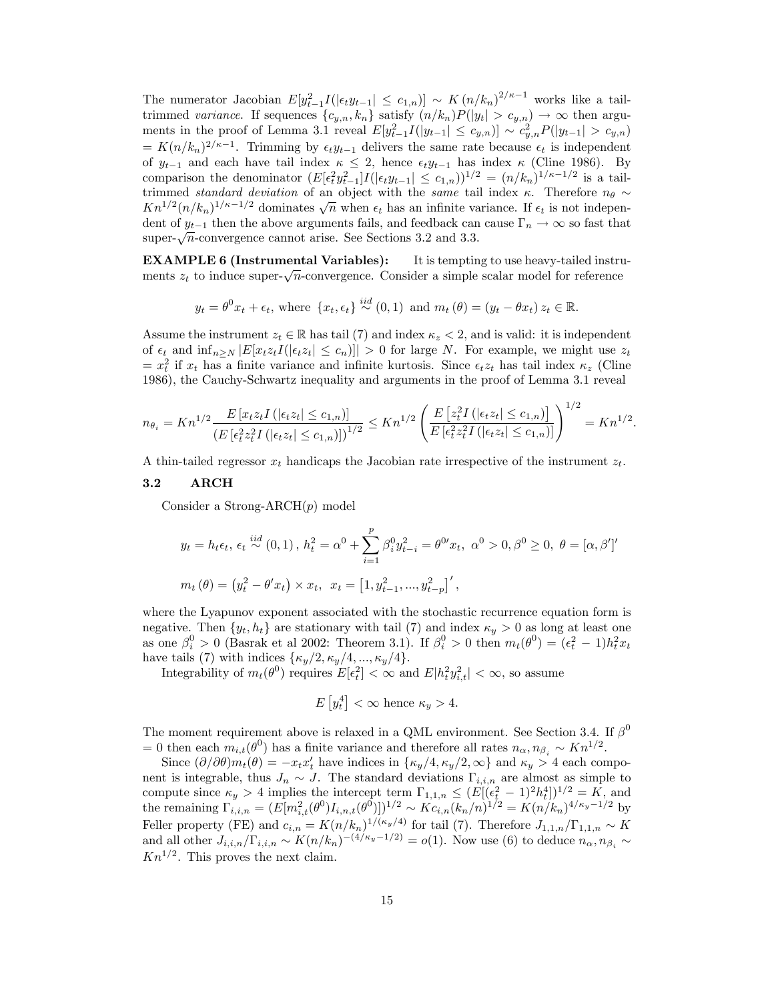The numerator Jacobian  $E[y_{t-1}^2] \leq c_{1,n}$   $\sim K (n/k_n)^{2/\kappa-1}$  works like a tailtrimmed variance. If sequences  $\{c_{y,n}, k_n\}$  satisfy  $(n/k_n)P(|y_t| > c_{y,n}) \to \infty$  then arguments in the proof of Lemma 3.1 reveal  $E[y_{t-1}^2 I(|y_{t-1}| \le c_{y,n})] \sim c_{y,n}^2 P(|y_{t-1}| > c_{y,n})$  $= K(n/k_n)^{2/\kappa-1}$ . Trimming by  $\epsilon_t y_{t-1}$  delivers the same rate because  $\epsilon_t$  is independent of  $y_{t-1}$  and each have tail index  $\kappa \leq 2$ , hence  $\epsilon_t y_{t-1}$  has index  $\kappa$  (Cline 1986). By comparison the denominator  $(E[\epsilon_t^2 y_{t-1}^2]I(|\epsilon_t y_{t-1}| \le c_{1,n})]^{1/2} = (n/k_n)^{1/\kappa - 1/2}$  is a tailtrimmed standard deviation of an object with the same tail index  $\kappa$ . Therefore  $n_{\theta} \sim$  $Kn^{1/2}(n/k_n)^{1/\kappa-1/2}$  dominates  $\sqrt{n}$  when  $\epsilon_t$  has an infinite variance. If  $\epsilon_t$  is not independent of  $y_{t-1}$  then the above arguments fails, and feedback can cause  $\Gamma_n \to \infty$  so fast that super- $\sqrt{n}$ -convergence cannot arise. See Sections 3.2 and 3.3.

EXAMPLE 6 (Instrumental Variables): It is tempting to use heavy-tailed instruments  $z_t$  to induce super- $\sqrt{n}$ -convergence. Consider a simple scalar model for reference

$$
y_t = \theta^0 x_t + \epsilon_t
$$
, where  $\{x_t, \epsilon_t\} \stackrel{iid}{\sim} (0, 1)$  and  $m_t(\theta) = (y_t - \theta x_t) z_t \in \mathbb{R}$ .

Assume the instrument  $z_t \in \mathbb{R}$  has tail (7) and index  $\kappa_z < 2$ , and is valid: it is independent of  $\epsilon_t$  and  $\inf_{n\geq N} |E[x_t z_t I(|\epsilon_t z_t| \leq c_n)]| > 0$  for large N. For example, we might use  $z_t$  $= x_t^2$  if  $x_t$  has a finite variance and infinite kurtosis. Since  $\epsilon_t z_t$  has tail index  $\kappa_z$  (Cline 1986), the Cauchy-Schwartz inequality and arguments in the proof of Lemma 3.1 reveal

$$
n_{\theta_i} = Kn^{1/2} \frac{E\left[x_t z_t I\left(|\epsilon_t z_t| \leq c_{1,n}\right)\right]}{\left(E\left[\epsilon_t^2 z_t^2 I\left(|\epsilon_t z_t| \leq c_{1,n}\right)\right]\right)^{1/2}} \leq Kn^{1/2} \left(\frac{E\left[z_t^2 I\left(|\epsilon_t z_t| \leq c_{1,n}\right)\right]}{E\left[\epsilon_t^2 z_t^2 I\left(|\epsilon_t z_t| \leq c_{1,n}\right)\right]}\right)^{1/2} = Kn^{1/2}.
$$

A thin-tailed regressor  $x_t$  handicaps the Jacobian rate irrespective of the instrument  $z_t$ .

# 3.2 ARCH

Consider a Strong-ARCH $(p)$  model

$$
y_{t} = h_{t}\epsilon_{t}, \ \epsilon_{t} \stackrel{iid}{\sim} (0,1), \ h_{t}^{2} = \alpha^{0} + \sum_{i=1}^{p} \beta_{i}^{0} y_{t-i}^{2} = \theta^{0} x_{t}, \ \alpha^{0} > 0, \ \beta^{0} \geq 0, \ \theta = [\alpha, \beta']'
$$
\n
$$
m_{t}(\theta) = (y_{t}^{2} - \theta' x_{t}) \times x_{t}, \ x_{t} = [1, y_{t-1}^{2}, \dots, y_{t-p}^{2}]',
$$

where the Lyapunov exponent associated with the stochastic recurrence equation form is negative. Then  $\{y_t, h_t\}$  are stationary with tail (7) and index  $\kappa_y > 0$  as long at least one as one  $\beta_i^0 > 0$  (Basrak et al 2002: Theorem 3.1). If  $\beta_i^0 > 0$  then  $m_t(\theta^0) = (\epsilon_t^2 - 1)h_t^2 x_t$ have tails (7) with indices  $\{\kappa_y/2, \kappa_y/4, ..., \kappa_y/4\}.$ 

Integrability of  $m_t(\theta^0)$  requires  $E[\epsilon_t^2] < \infty$  and  $E|h_t^2 y_{i,t}^2| < \infty$ , so assume

$$
E\left[y_t^4\right] < \infty \text{ hence } \kappa_y > 4.
$$

The moment requirement above is relaxed in a QML environment. See Section 3.4. If  $\beta^0$ = 0 then each  $m_{i,t}(\theta^0)$  has a finite variance and therefore all rates  $n_{\alpha}, n_{\beta_i} \sim Kn^{1/2}$ .

Since  $(\partial/\partial\theta)m_t(\theta) = -x_tx'_t$  have indices in  $\{\kappa_y/4,\kappa_y/2,\infty\}$  and  $\kappa_y>4$  each component is integrable, thus  $J_n \sim J$ . The standard deviations  $\Gamma_{i,i,n}$  are almost as simple to compute since  $\kappa_y > 4$  implies the intercept term  $\Gamma_{1,1,n} \leq (E[(\epsilon_t^2-1)^2 h_t^4])^{1/2} = K$ , and the remaining  $\Gamma_{i,i,n} = (E[m_{i,t}^2(\theta^0)I_{i,n,t}(\theta^0)])^{1/2} \sim Kc_{i,n}(k_n/n)^{1/2} = K(n/k_n)^{4/\kappa_y - 1/2}$  by Feller property (FE) and  $c_{i,n} = K(n/k_n)^{1/(\kappa_y/4)}$  for tail (7). Therefore  $J_{1,1,n}/\Gamma_{1,1,n} \sim K$ and all other  $J_{i,i,n}/\Gamma_{i,i,n} \sim K(n/k_n)^{-(4/\kappa_y-1/2)} = o(1)$ . Now use (6) to deduce  $n_\alpha, n_{\beta_i} \sim$  $Kn^{1/2}$ . This proves the next claim.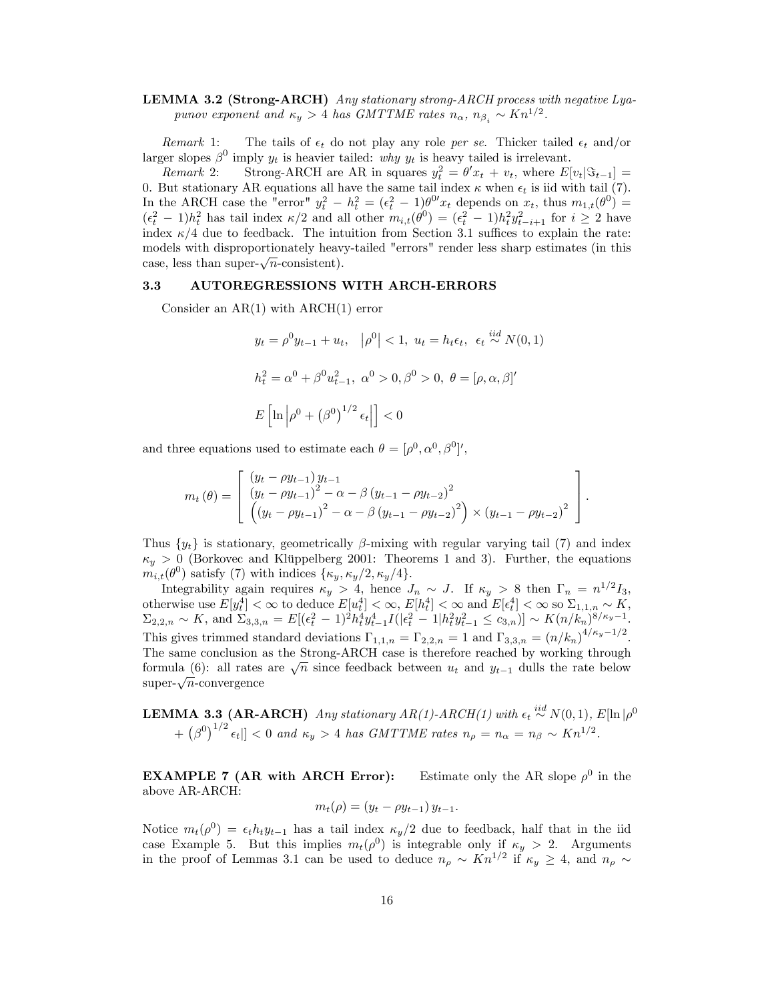# LEMMA 3.2 (Strong-ARCH) Any stationary strong-ARCH process with negative Lyapunov exponent and  $\kappa_y > 4$  has GMTTME rates  $n_\alpha$ ,  $n_{\beta_i} \sim Kn^{1/2}$ .

Remark 1: The tails of  $\epsilon_t$  do not play any role per se. Thicker tailed  $\epsilon_t$  and/or larger slopes  $\beta^0$  imply  $y_t$  is heavier tailed: why  $y_t$  is heavy tailed is irrelevant.

Remark 2: Strong-ARCH are AR in squares  $y_t^2 = \theta' x_t + v_t$ , where  $E[v_t|\Im_{t-1}] =$ 0. But stationary AR equations all have the same tail index  $\kappa$  when  $\epsilon_t$  is iid with tail (7). In the ARCH case the "error"  $y_t^2 - h_t^2 = (\epsilon_t^2 - 1)\theta^0 x_t$  depends on  $x_t$ , thus  $m_{1,t}(\theta^0) =$  $(\epsilon_t^2 - 1)h_t^2$  has tail index  $\kappa/2$  and all other  $m_{i,t}(\theta^0) = (\epsilon_t^2 - 1)h_t^2 y_{t-i+1}^2$  for  $i \geq 2$  have index  $\kappa/4$  due to feedback. The intuition from Section 3.1 suffices to explain the rate: models with disproportionately heavy-tailed "errors" render less sharp estimates (in this case, less than super- $\sqrt{n}$ -consistent).

#### 3.3 AUTOREGRESSIONS WITH ARCH-ERRORS

Consider an AR(1) with ARCH(1) error

$$
y_t = \rho^0 y_{t-1} + u_t, \quad |\rho^0| < 1, \ u_t = h_t \epsilon_t, \ \epsilon_t \stackrel{iid}{\sim} N(0, 1)
$$
\n
$$
h_t^2 = \alpha^0 + \beta^0 u_{t-1}^2, \ \alpha^0 > 0, \ \beta^0 > 0, \ \theta = [\rho, \alpha, \beta]'
$$
\n
$$
E\left[\ln\left|\rho^0 + \left(\beta^0\right)^{1/2} \epsilon_t\right|\right] < 0
$$

and three equations used to estimate each  $\theta = [\rho^0, \alpha^0, \beta^0]'$ ,

$$
m_t(\theta) = \begin{bmatrix} (y_t - \rho y_{t-1}) y_{t-1} \\ (y_t - \rho y_{t-1})^2 - \alpha - \beta (y_{t-1} - \rho y_{t-2})^2 \\ ((y_t - \rho y_{t-1})^2 - \alpha - \beta (y_{t-1} - \rho y_{t-2})^2) \times (y_{t-1} - \rho y_{t-2})^2 \end{bmatrix}.
$$

Thus  $\{y_t\}$  is stationary, geometrically  $\beta$ -mixing with regular varying tail (7) and index  $\kappa_y > 0$  (Borkovec and Klüppelberg 2001: Theorems 1 and 3). Further, the equations  $m_{i,t}(\theta^0)$  satisfy (7) with indices  $\{\kappa_y, \kappa_y/2, \kappa_y/4\}.$ 

Integrability again requires  $\kappa_y > 4$ , hence  $J_n \sim J$ . If  $\kappa_y > 8$  then  $\Gamma_n = n^{1/2} I_3$ , otherwise use  $E[y_t^4] < \infty$  to deduce  $E[u_t^4] < \infty$ ,  $E[h_t^4] < \infty$  and  $E[\epsilon_t^4] < \infty$  so  $\Sigma_{1,1,n} \sim K$ ,  $\Sigma_{2,2,n} \sim K$ , and  $\Sigma_{3,3,n} = E[(\epsilon_t^2 - 1)^2 h_t^4 y_{t-1}^4 I(|\epsilon_t^2 - 1|h_t^2 y_{t-1}^2 \le c_{3,n})] \sim K(n/k_n)^{8/\kappa_y - 1}$ This gives trimmed standard deviations  $\Gamma_{1,1,n} = \Gamma_{2,2,n} = 1$  and  $\Gamma_{3,3,n} = (n/k_n)^{4/\kappa_y - 1/2}$ . The same conclusion as the Strong-ARCH case is therefore reached by working through formula (6): all rates are  $\sqrt{n}$  since feedback between  $u_t$  and  $y_{t-1}$  dulls the rate below super- $\sqrt{n}$ -convergence

**LEMMA 3.3 (AR-ARCH)** Any stationary 
$$
AR(1)
$$
- $ARCH(1)$  with  $\epsilon_t \stackrel{iid}{\sim} N(0,1)$ ,  $E[\ln|\rho^0 + (\beta^0)^{1/2} \epsilon_t]] < 0$  and  $\kappa_y > 4$  has GMTTME rates  $n_\rho = n_\alpha = n_\beta \sim Kn^{1/2}$ .

EXAMPLE 7 (AR with ARCH Error):  $\rm^0$  in the above AR-ARCH:

$$
m_t(\rho) = (y_t - \rho y_{t-1}) y_{t-1}.
$$

Notice  $m_t(\rho^0) = \epsilon_t h_t y_{t-1}$  has a tail index  $\kappa_y/2$  due to feedback, half that in the iid case Example 5. But this implies  $m_t(\rho^0)$  is integrable only if  $\kappa_y > 2$ . Arguments in the proof of Lemmas 3.1 can be used to deduce  $n_{\rho} \sim Kn^{1/2}$  if  $\kappa_y \ge 4$ , and  $n_{\rho} \sim$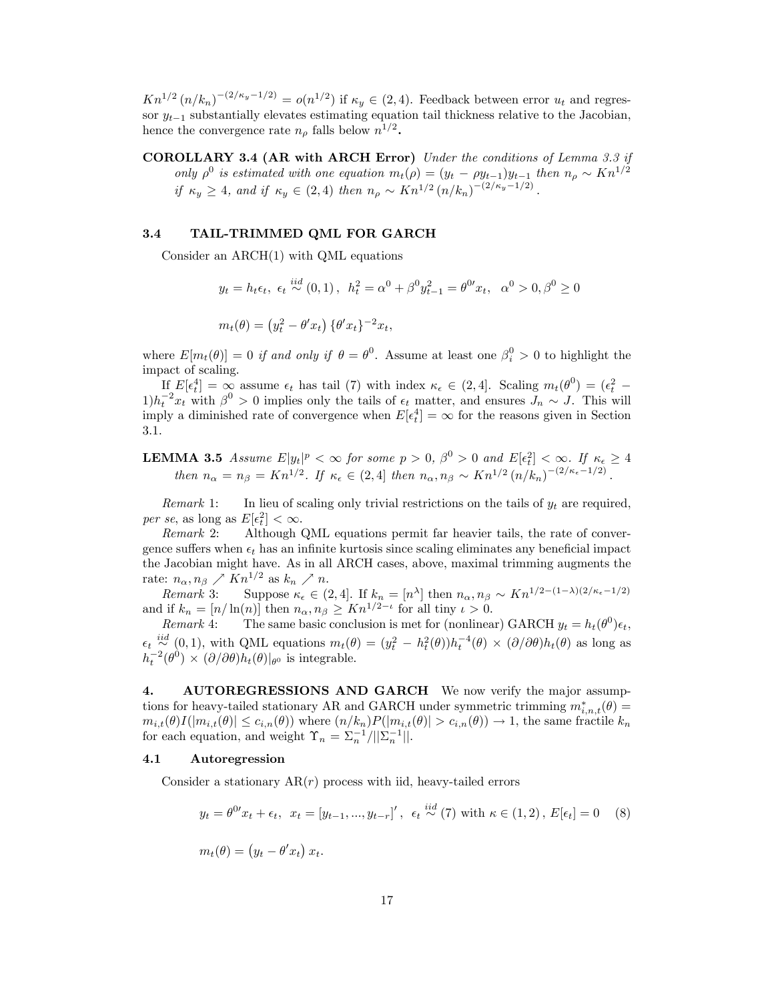$Kn^{1/2}(n/k_n)^{-(2/\kappa_y-1/2)} = o(n^{1/2})$  if  $\kappa_y \in (2, 4)$ . Feedback between error  $u_t$  and regressor  $y_{t-1}$  substantially elevates estimating equation tail thickness relative to the Jacobian, hence the convergence rate  $n_{\rho}$  falls below  $n^{1/2}$ .

COROLLARY 3.4 (AR with ARCH Error) Under the conditions of Lemma 3.3 if only  $\rho^0$  is estimated with one equation  $m_t(\rho) = (y_t - \rho y_{t-1})y_{t-1}$  then  $n_\rho \sim Kn^{1/2}$ if  $\kappa_y \ge 4$ , and if  $\kappa_y \in (2, 4)$  then  $n_\rho \sim Kn^{1/2} (n/k_n)^{-(2/\kappa_y - 1/2)}$ .

## 3.4 TAIL-TRIMMED QML FOR GARCH

Consider an ARCH(1) with QML equations

$$
y_t = h_t \epsilon_t, \ \epsilon_t \stackrel{iid}{\sim} (0,1), \ \ h_t^2 = \alpha^0 + \beta^0 y_{t-1}^2 = \theta^{0t} x_t, \ \ \alpha^0 > 0, \beta^0 \ge 0
$$
\n
$$
m_t(\theta) = (y_t^2 - \theta' x_t) \{ \theta' x_t \}^{-2} x_t,
$$

where  $E[m_t(\theta)] = 0$  if and only if  $\theta = \theta^0$ . Assume at least one  $\beta_i^0 > 0$  to highlight the impact of scaling.

If  $E[\epsilon_t^4] = \infty$  assume  $\epsilon_t$  has tail (7) with index  $\kappa_{\epsilon} \in (2, 4]$ . Scaling  $m_t(\theta^0) = (\epsilon_t^2 - \epsilon_t^2)$  $1)h_t^{-2}x_t$  with  $\beta^0 > 0$  implies only the tails of  $\epsilon_t$  matter, and ensures  $J_n \sim J$ . This will imply a diminished rate of convergence when  $E[\epsilon_t^4] = \infty$  for the reasons given in Section 3.1.

**LEMMA 3.5** Assume  $E|y_t|^p < \infty$  for some  $p > 0$ ,  $\beta^0 > 0$  and  $E[\epsilon_t^2] < \infty$ . If  $\kappa_{\epsilon} \geq 4$ then  $n_{\alpha} = n_{\beta} = Kn^{1/2}$ . If  $\kappa_{\epsilon} \in (2, 4]$  then  $n_{\alpha}, n_{\beta} \sim Kn^{1/2} (n/k_n)^{-(2/\kappa_{\epsilon}-1/2)}$ .

Remark 1: In lieu of scaling only trivial restrictions on the tails of  $y_t$  are required, per se, as long as  $E[\epsilon_t^2] < \infty$ .

Remark 2: Although QML equations permit far heavier tails, the rate of convergence suffers when  $\epsilon_t$  has an infinite kurtosis since scaling eliminates any beneficial impact the Jacobian might have. As in all ARCH cases, above, maximal trimming augments the rate:  $n_{\alpha}, n_{\beta} \nearrow K n^{1/2}$  as  $k_n \nearrow n$ .

Remark 3: Suppose  $\kappa_{\epsilon} \in (2, 4]$ . If  $k_n = [n^{\lambda}]$  then  $n_{\alpha}, n_{\beta} \sim Kn^{1/2-(1-\lambda)(2/\kappa_{\epsilon}-1/2)}$ and if  $k_n = [n/\ln(n)]$  then  $n_\alpha, n_\beta \geq Kn^{1/2-\iota}$  for all tiny  $\iota > 0$ .

Remark 4: The same basic conclusion is met for (nonlinear) GARCH  $y_t = h_t(\theta^0) \epsilon_t$ ,  $\epsilon_t \stackrel{iid}{\sim} (0,1)$ , with QML equations  $m_t(\theta) = (y_t^2 - h_t^2(\theta))h_t^{-4}(\theta) \times (\partial/\partial\theta)h_t(\theta)$  as long as  $h_t^{-2}(\theta^0) \times (\partial/\partial \theta) h_t(\theta)|_{\theta^0}$  is integrable.

4. AUTOREGRESSIONS AND GARCH We now verify the major assumptions for heavy-tailed stationary AR and GARCH under symmetric trimming  $m^*_{i,n,t}(\theta) =$  $m_{i,t}(\theta)I(|m_{i,t}(\theta)| \leq c_{i,n}(\theta))$  where  $(n/k_n)P(|m_{i,t}(\theta)| > c_{i,n}(\theta)) \to 1$ , the same fractile  $k_n$ for each equation, and weight  $\Upsilon_n = \sum_n^{-1} / ||\Sigma_n^{-1}||.$ 

# 4.1 Autoregression

Consider a stationary  $AR(r)$  process with iid, heavy-tailed errors

$$
y_t = \theta^{0t} x_t + \epsilon_t, \ \ x_t = [y_{t-1}, ..., y_{t-r}]', \ \ \epsilon_t \stackrel{iid}{\sim} (7)
$$
 with  $\kappa \in (1, 2), E[\epsilon_t] = 0$  (8)

$$
m_t(\theta) = (y_t - \theta' x_t) x_t.
$$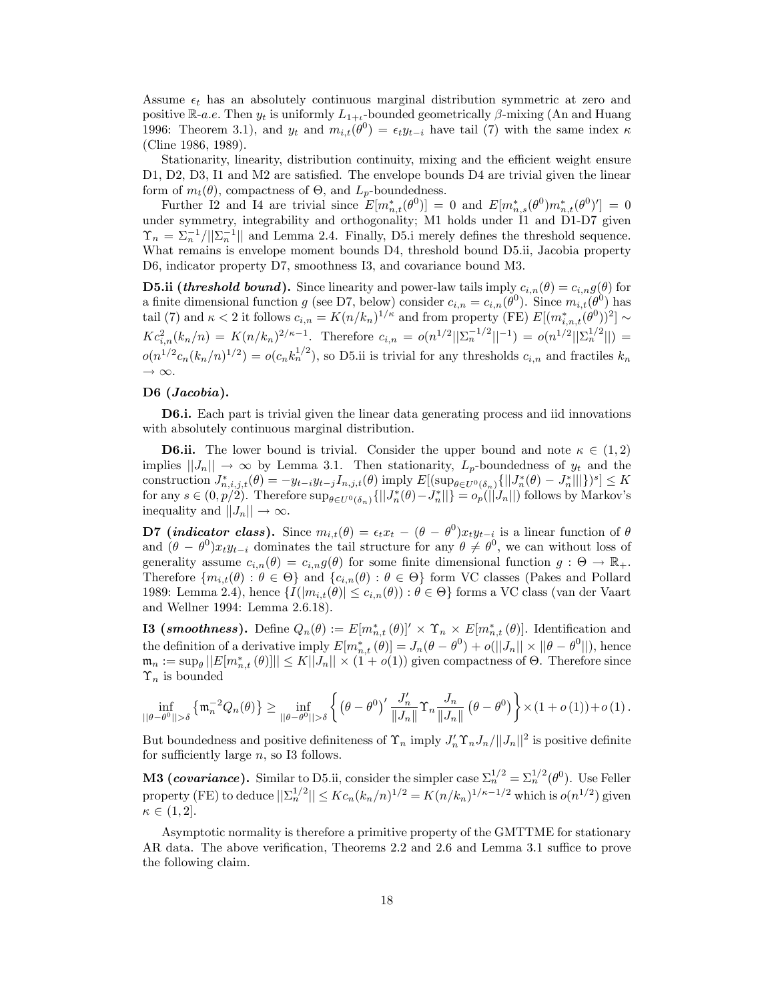Assume  $\epsilon_t$  has an absolutely continuous marginal distribution symmetric at zero and positive  $\mathbb{R}$ -*a.e.* Then  $y_t$  is uniformly  $L_{1+t}$ -bounded geometrically  $\beta$ -mixing (An and Huang 1996: Theorem 3.1), and  $y_t$  and  $m_{i,t}(\theta^0) = \epsilon_t y_{t-i}$  have tail (7) with the same index  $\kappa$ (Cline 1986, 1989).

Stationarity, linearity, distribution continuity, mixing and the efficient weight ensure D1, D2, D3, I1 and M2 are satisfied. The envelope bounds  $D4$  are trivial given the linear form of  $m_t(\theta)$ , compactness of  $\Theta$ , and  $L_p$ -boundedness.

Further I2 and I4 are trivial since  $E[m_{n,t}^*(\theta^0)] = 0$  and  $E[m_{n,s}^*(\theta^0)m_{n,t}^*(\theta^0)'] = 0$ under symmetry, integrability and orthogonality; M1 holds under I1 and D1-D7 given  $\Upsilon_n = \sum_n^{-1} / ||\Sigma_n^{-1}||$  and Lemma 2.4. Finally, D5.i merely defines the threshold sequence. What remains is envelope moment bounds D4, threshold bound D5.ii, Jacobia property D6, indicator property D7, smoothness I3, and covariance bound M3.

**D5.ii (threshold bound).** Since linearity and power-law tails imply  $c_{i,n}(\theta) = c_{i,n}g(\theta)$  for a finite dimensional function g (see D7, below) consider  $c_{i,n} = c_{i,n}(\theta^0)$ . Since  $m_{i,t}(\theta^0)$  has tail (7) and  $\kappa < 2$  it follows  $c_{i,n} = K(n/k_n)^{1/\kappa}$  and from property (FE)  $E[(m_{i,n,t}^*(\theta^0))^2] \sim$  $Kc_{i,n}^2(k_n/n) = K(n/k_n)^{2/\kappa - 1}$ . Therefore  $c_{i,n} = o(n^{1/2}||\Sigma_n^{-1/2}||^{-1}) = o(n^{1/2}||\Sigma_n^{1/2}||)$  $o(n^{1/2}c_n(k_n/n)^{1/2}) = o(c_n k_n^{1/2})$ , so D5.ii is trivial for any thresholds  $c_{i,n}$  and fractiles  $k_n$  $\rightarrow \infty$ .

## D6 (*Jacobia*).

D6.i. Each part is trivial given the linear data generating process and iid innovations with absolutely continuous marginal distribution.

**D6.ii.** The lower bound is trivial. Consider the upper bound and note  $\kappa \in (1, 2)$ implies  $||J_n|| \to \infty$  by Lemma 3.1. Then stationarity,  $L_p$ -boundedness of  $y_t$  and the construction  $J^*_{n,i,j,t}(\theta) = -y_{t-i}y_{t-j}I_{n,j,t}(\theta)$  imply  $E[(\sup_{\theta \in U^0(\delta_n)} \{||J^*_{n}(\theta) - J^*_{n}||]\})^s] \leq K$ for any  $s \in (0, p/2)$ . Therefore  $\sup_{\theta \in U^0(\delta_n)} \{||J_n^*(\theta) - J_n^*||\} = o_p(||J_n||)$  follows by Markov's inequality and  $||J_n|| \to \infty$ .

**D7** (*indicator class*). Since  $m_{i,t}(\theta) = \epsilon_t x_t - (\theta - \theta^0) x_t y_{t-i}$  is a linear function of  $\theta$ and  $(\theta - \theta^0)x_ty_{t-i}$  dominates the tail structure for any  $\theta \neq \theta^0$ , we can without loss of generality assume  $c_{i,n}(\theta) = c_{i,n}g(\theta)$  for some finite dimensional function  $g : \Theta \to \mathbb{R}_+$ . Therefore  $\{m_{i,t}(\theta): \theta \in \Theta\}$  and  $\{c_{i,n}(\theta): \theta \in \Theta\}$  form VC classes (Pakes and Pollard 1989: Lemma 2.4), hence  $\{I(|m_{i,t}(\theta)| \leq c_{i,n}(\theta)) : \theta \in \Theta\}$  forms a VC class (van der Vaart and Wellner 1994: Lemma 2.6.18).

**13** (*smoothness*). Define  $Q_n(\theta) := E[m_{n,t}^*(\theta)]' \times \Upsilon_n \times E[m_{n,t}^*(\theta)]$ . Identification and the definition of a derivative imply  $E[m_{n,t}^*(\theta)] = J_n(\theta - \theta^0) + o(||J_n|| \times ||\theta - \theta^0||)$ , hence  $\mathfrak{m}_n := \sup_{\theta} ||E[m_{n,t}^*(\theta)]|| \leq K||J_n|| \times (1 + o(1))$  given compactness of  $\Theta$ . Therefore since  $\Upsilon_n$  is bounded

$$
\inf_{||\theta-\theta^0||>\delta}\left\{\mathfrak{m}_n^{-2}Q_n(\theta)\right\} \geq \inf_{||\theta-\theta^0||>\delta}\left\{\left(\theta-\theta^0\right)'\frac{J_n'}{||J_n||}\Upsilon_n\frac{J_n}{||J_n||}\left(\theta-\theta^0\right)\right\}\times\left(1+o\left(1\right)\right)+o\left(1\right).
$$

But boundedness and positive definiteness of  $\Upsilon_n$  imply  $J'_n\Upsilon_nJ_n/||J_n||^2$  is positive definite for sufficiently large  $n$ , so I3 follows.

**M3** (covariance). Similar to D5.ii, consider the simpler case  $\Sigma_n^{1/2} = \Sigma_n^{1/2}(\theta^0)$ . Use Feller property (FE) to deduce  $||\Sigma_n^{1/2}|| \leq Kc_n(k_n/n)^{1/2} = K(n/k_n)^{1/\kappa - 1/2}$  which is  $o(n^{1/2})$  given  $\kappa \in (1, 2].$ 

Asymptotic normality is therefore a primitive property of the GMTTME for stationary AR data. The above verification, Theorems 2.2 and 2.6 and Lemma 3.1 suffice to prove the following claim.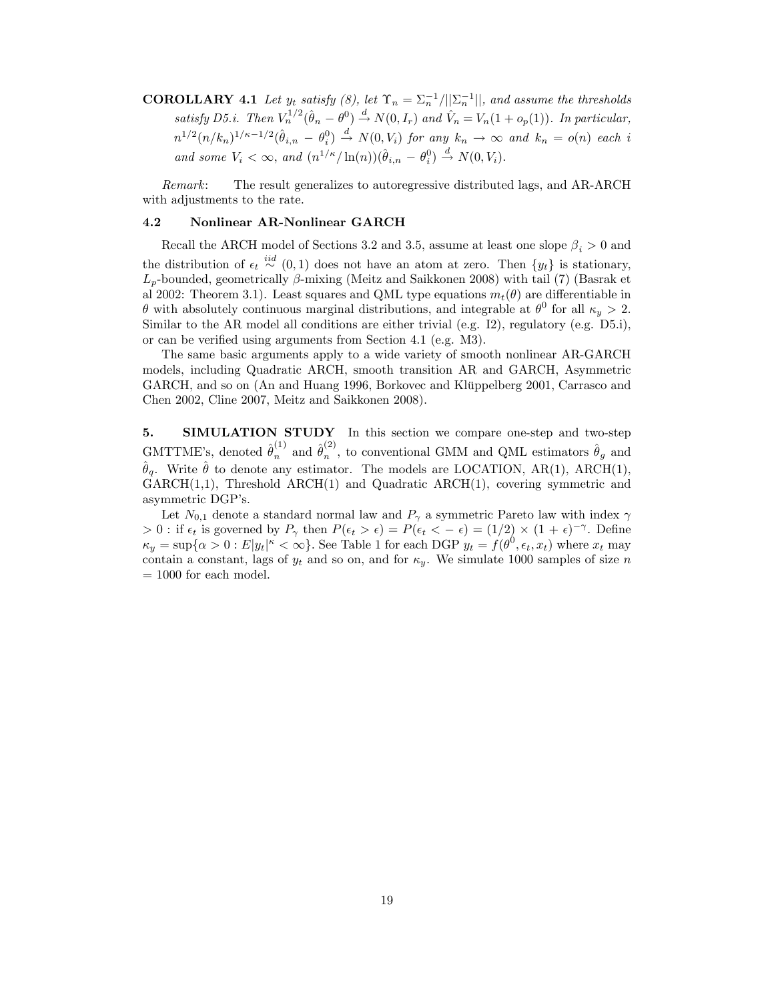**COROLLARY** 4.1 Let  $y_t$  satisfy (8), let  $\Upsilon_n = \sum_n^{-1} / ||\Sigma_n^{-1}||$ , and assume the thresholds satisfy D5.i. Then  $V_n^{1/2}(\hat{\theta}_n - \theta^0) \stackrel{d}{\rightarrow} N(0, I_r)$  and  $\hat{V}_n = V_n(1 + o_p(1))$ . In particular,  $n^{1/2}(n/k_n)^{1/\kappa-1/2}(\hat{\theta}_{i,n}-\theta_i^0) \stackrel{d}{\rightarrow} N(0,V_i)$  for any  $k_n \to \infty$  and  $k_n = o(n)$  each i and some  $V_i < \infty$ , and  $(n^{1/\kappa}/\ln(n))(\hat{\theta}_{i,n} - \theta_i^0) \stackrel{d}{\rightarrow} N(0, V_i)$ .

Remark: The result generalizes to autoregressive distributed lags, and AR-ARCH with adjustments to the rate.

## 4.2 Nonlinear AR-Nonlinear GARCH

Recall the ARCH model of Sections 3.2 and 3.5, assume at least one slope  $\beta_i > 0$  and the distribution of  $\epsilon_t \stackrel{iid}{\sim} (0,1)$  does not have an atom at zero. Then  $\{y_t\}$  is stationary,  $L_p$ -bounded, geometrically  $\beta$ -mixing (Meitz and Saikkonen 2008) with tail (7) (Basrak et al 2002: Theorem 3.1). Least squares and QML type equations  $m_t(\theta)$  are differentiable in  $\theta$  with absolutely continuous marginal distributions, and integrable at  $\theta^0$  for all  $\kappa_y > 2$ . Similar to the AR model all conditions are either trivial (e.g. I2), regulatory (e.g. D5.i), or can be verified using arguments from Section 4.1 (e.g. M3).

The same basic arguments apply to a wide variety of smooth nonlinear AR-GARCH models, including Quadratic ARCH, smooth transition AR and GARCH, Asymmetric GARCH, and so on (An and Huang 1996, Borkovec and Klüppelberg 2001, Carrasco and Chen 2002, Cline 2007, Meitz and Saikkonen 2008).

5. SIMULATION STUDY In this section we compare one-step and two-step GMTTME's, denoted  $\hat{\theta}_n^{(1)}$  and  $\hat{\theta}_n^{(2)}$  $_n^{(2)}$ , to conventional GMM and QML estimators  $\hat{\theta}_g$  and  $\hat{\theta}_q$ . Write  $\hat{\theta}$  to denote any estimator. The models are LOCATION, AR(1), ARCH(1), GARCH(1,1), Threshold ARCH(1) and Quadratic ARCH(1), covering symmetric and asymmetric DGP's.

Let  $N_{0,1}$  denote a standard normal law and  $P_{\gamma}$  a symmetric Pareto law with index  $\gamma$  $> 0$ : if  $\epsilon_t$  is governed by  $P_\gamma$  then  $P(\epsilon_t > \epsilon) = P(\epsilon_t < -\epsilon) = (1/2) \times (1+\epsilon)^{-\gamma}$ . Define  $\kappa_y = \sup\{\alpha > 0 : E|y_t|^{\kappa} < \infty\}$ . See Table 1 for each DGP  $y_t = f(\theta^0, \epsilon_t, x_t)$  where  $x_t$  may contain a constant, lags of  $y_t$  and so on, and for  $\kappa_y$ . We simulate 1000 samples of size n  $= 1000$  for each model.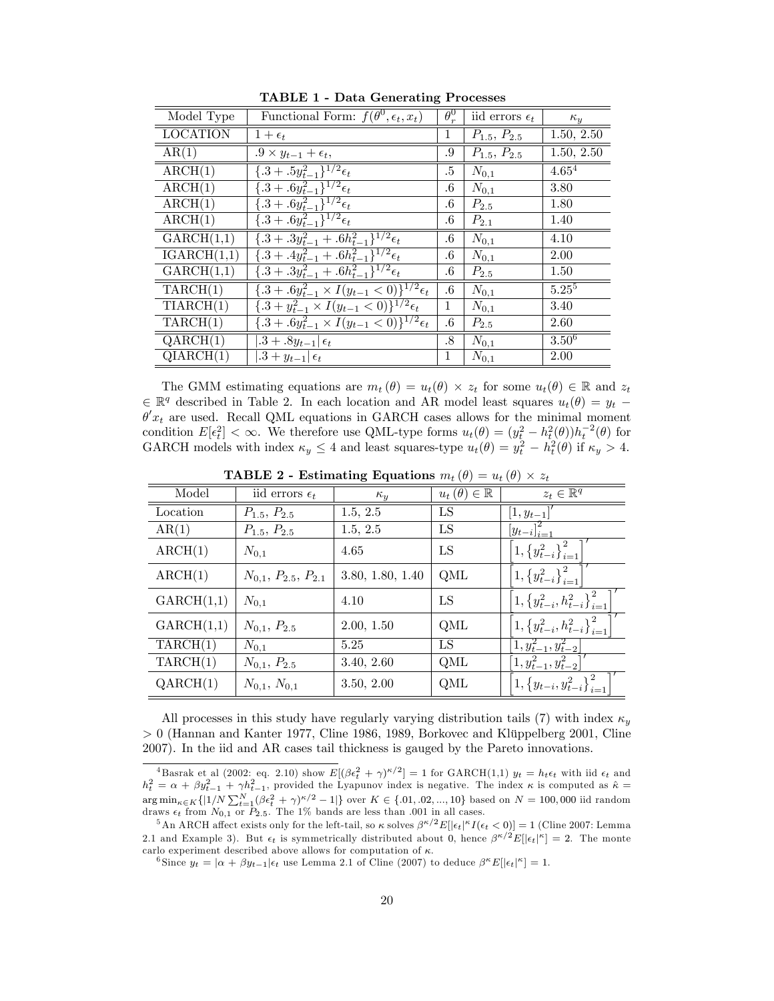| Model Type      | Functional Form: $f(\theta^0, \epsilon_t, x_t)$                                      | $\theta_r^0$ | iid errors $\epsilon_t$ | $\kappa_{y}$            |
|-----------------|--------------------------------------------------------------------------------------|--------------|-------------------------|-------------------------|
| <b>LOCATION</b> | $1+\epsilon_t$                                                                       | 1            | $P_{1.5}, P_{2.5}$      | 1.50, 2.50              |
| AR(1)           | $.9 \times y_{t-1} + \epsilon_t,$                                                    | .9           | $P_{1.5}, P_{2.5}$      | $1.50, 2.\overline{50}$ |
| ARCH(1)         | $\{.\overline{3+.5y_{t-1}^2\}^{1/2}\epsilon_t}$                                      | .5           | $N_{0,1}$               | $4.65^{4}$              |
| ARCH(1)         | $\{.\overline{3+.6y_{t-1}^2\}^{1/2}\epsilon_t}$                                      | $.6\,$       | $N_{0,1}$               | 3.80                    |
| ARCH(1)         | $\{ .3 + .6y_{t-1}^2 \}^{1/2} \epsilon_t$                                            | $.6\,$       | $P_{2.5}$               | 1.80                    |
| ARCH(1)         | $\{ .3 + .6y_{t-1}^2 \}^{1/2} \epsilon_t$                                            | $.6\,$       | $P_{2.1}$               | 1.40                    |
| GARCH(1,1)      | $\{ .3 + .3y_{t-1}^2 + .6h_{t-1}^2 \}^{1/2} \epsilon_t$                              | $.6\,$       | $N_{0,1}$               | 4.10                    |
| IGARCH(1,1)     | $\sqrt{4 \cdot 3 + \cdot 4y_{t-1}^2 + \cdot 6h_{t-1}^2}$ <sup>1/2</sup> $\epsilon_t$ | $.6\,$       | $N_{0,1}$               | 2.00                    |
| GARCH(1,1)      | $\{.\overline{3+3y_{t-1}^2+.6h_{t-1}^2\}^{1/2}\epsilon_t$                            | $.6\,$       | $P_{2.5}$               | 1.50                    |
| TARCH(1)        | $\{ .3 + .6y_{t-1}^2 \times I(y_{t-1} < 0) \}^{1/2} \epsilon_t$                      | $.6\,$       | $N_{0,1}$               | $5.25^{5}$              |
| TIARCH(1)       | $\{.\overline{3+y_{t-1}^2} \times I(y_{t-1} < 0)\}^{1/2} \epsilon_t$                 | 1            | $N_{0,1}$               | 3.40                    |
| TARCH(1)        | ${3+.6y_{t-1}^2 \times I(y_{t-1} < 0)}^{1/2} \epsilon_t$                             | $.6\,$       | $P_{2.5}$               | 2.60                    |
| QARCH(1)        | $.3 + .8y_{t-1}$ $\epsilon_t$                                                        | .8           | $N_{0,1}$               | $3.50^{6}$              |
| QIARCH(1)       | $.3 + y_{t-1}$ $\epsilon_t$                                                          | $\mathbf 1$  | $N_{0,1}$               | 2.00                    |

TABLE 1 - Data Generating Processes

The GMM estimating equations are  $m_t(\theta) = u_t(\theta) \times z_t$  for some  $u_t(\theta) \in \mathbb{R}$  and  $z_t$  $\in \mathbb{R}^q$  described in Table 2. In each location and AR model least squares  $u_t(\theta) = y_t$  $\theta' x_t$  are used. Recall QML equations in GARCH cases allows for the minimal moment condition  $E[\epsilon_t^2] < \infty$ . We therefore use QML-type forms  $u_t(\theta) = (y_t^2 - h_t^2(\theta))h_t^{-2}(\theta)$  for GARCH models with index  $\kappa_y \leq 4$  and least squares-type  $u_t(\theta) = y_t^2 - h_t^2(\theta)$  if  $\kappa_y > 4$ .

| Model      | iid errors $\epsilon_t$     | $\kappa_{y}$     | $u_t(\theta) \in \mathbb{R}$ | $z_t \in \mathbb{R}^q$                                      |
|------------|-----------------------------|------------------|------------------------------|-------------------------------------------------------------|
| Location   | $P_{1.5}, P_{2.5}$          | 1.5, 2.5         | LS                           | $[1, y_{t-1}]$                                              |
| AR(1)      | $P_{1.5}, P_{2.5}$          | 1.5, 2.5         | LS                           | $[y_{t-i}]_{i=1}^2$                                         |
| ARCH(1)    | $N_{0,1}$                   | 4.65             | LS                           | $\left 1,\left\{y_{t-i}^2\right\}_{i=1}^2\right $           |
| ARCH(1)    | $N_{0,1}, P_{2.5}, P_{2.1}$ | 3.80, 1.80, 1.40 | QML                          | $\left[1,\left\{y_{t-i}^2\right\}_{i=1}^2\right]$           |
| GARCH(1,1) | $N_{0,1}$                   | 4.10             | LS                           | $\left[1,\left\{y_{t-i}^2,h_{t-i}^2\right\}_{i=1}^2\right]$ |
| GARCH(1,1) | $N_{0,1}, P_{2.5}$          | 2.00, 1.50       | QML                          | $\left[1,\left\{y_{t-i}^2,h_{t-i}^2\right\}_{i=1}^2\right]$ |
| TARCH(1)   | $N_{0,1}$                   | 5.25             | LS                           | $\left[1, y_{t-1}^2, y_{t-2}^2\right]$                      |
| TARCH(1)   | $N_{0,1}, P_{2.5}$          | 3.40, 2.60       | QML                          | $\left[1, y_{t-1}^2, y_{t-2}^2\right]$                      |
| QARCH(1)   | $N_{0,1}, N_{0,1}$          | 3.50, 2.00       | QML                          | $\left[1,\left\{y_{t-i},y_{t-i}^2\right\}_{i=1}^2\right]$   |

**TABLE 2** - Estimating Equations  $m_t(\theta) = u_t(\theta) \times z_t$ 

All processes in this study have regularly varying distribution tails (7) with index  $\kappa_y$  $> 0$  (Hannan and Kanter 1977, Cline 1986, 1989, Borkovec and Klüppelberg 2001, Cline 2007). In the iid and AR cases tail thickness is gauged by the Pareto innovations.

<sup>&</sup>lt;sup>4</sup>Basrak et al (2002: eq. 2.10) show  $E[(\beta \epsilon_t^2 + \gamma)^{\kappa/2}] = 1$  for GARCH(1,1)  $y_t = h_t \epsilon_t$  with iid  $\epsilon_t$  and  $h_t^2 = \alpha + \beta y_{t-1}^2 + \gamma h_{t-1}^2$ , provided the Lyapunov index is negative. The index  $\kappa$  is computed as  $\hat{\kappa} =$  $\arg \min_{\kappa \in K} \{|1/N \sum_{t=1}^{N} (\beta \epsilon_t^2 + \gamma)^{\kappa/2} - 1|\}$  over  $K \in \{.01, .02, ..., 10\}$  based on  $N = 100,000$  iid random draws  $\epsilon_t$  from  $N_{0,1}$  or  $P_{2.5}$ . The 1% bands are less than .001 in all cases.

<sup>&</sup>lt;sup>5</sup>An ARCH affect exists only for the left-tail, so  $\kappa$  solves  $\beta^{\kappa/2}E[|\epsilon_t|^{\kappa}I(\epsilon_t<0)] = 1$  (Cline 2007: Lemma 2.1 and Example 3). But  $\epsilon_t$  is symmetrically distributed about 0, hence  $\beta^{\kappa/2}E[|\epsilon_t|^{\kappa}] = 2$ . The monte carlo experiment described above allows for computation of  $\kappa$ .

<sup>&</sup>lt;sup>6</sup>Since  $y_t = |\alpha + \beta y_{t-1}| \epsilon_t$  use Lemma 2.1 of Cline (2007) to deduce  $\beta^{\kappa} E[|\epsilon_t|^{\kappa}] = 1$ .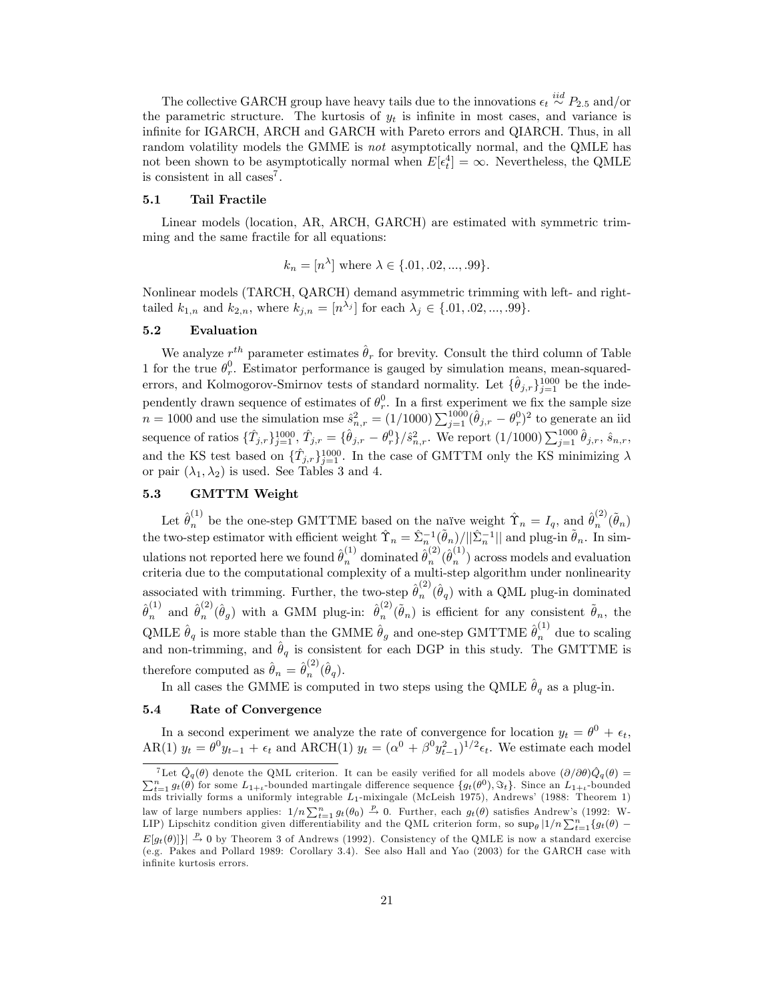The collective GARCH group have heavy tails due to the innovations  $\epsilon_t \stackrel{iid}{\sim} P_{2.5}$  and/or the parametric structure. The kurtosis of  $y_t$  is infinite in most cases, and variance is infinite for IGARCH, ARCH and GARCH with Pareto errors and QIARCH. Thus, in all random volatility models the GMME is not asymptotically normal, and the QMLE has not been shown to be asymptotically normal when  $E[\epsilon_t^4] = \infty$ . Nevertheless, the QMLE is consistent in all cases<sup>7</sup>.

### 5.1 Tail Fractile

Linear models (location, AR, ARCH, GARCH) are estimated with symmetric trimming and the same fractile for all equations:

$$
k_n = [n^{\lambda}]
$$
 where  $\lambda \in \{.01, .02, ..., .99\}.$ 

Nonlinear models (TARCH, QARCH) demand asymmetric trimming with left- and righttailed  $k_{1,n}$  and  $k_{2,n}$ , where  $k_{j,n} = [n^{\lambda_j}]$  for each  $\lambda_j \in \{.01, .02, ..., .99\}$ .

#### 5.2 Evaluation

We analyze  $r^{th}$  parameter estimates  $\hat{\theta}_r$  for brevity. Consult the third column of Table 1 for the true  $\theta_r^0$ . Estimator performance is gauged by simulation means, mean-squarederrors, and Kolmogorov-Smirnov tests of standard normality. Let  $\{\hat{\theta}_{j,r}\}_{j=1}^{1000}$  be the independently drawn sequence of estimates of  $\theta_r^0$ . In a first experiment we fix the sample size  $n = 1000$  and use the simulation mse  $\hat{s}^2_{n,r} = (1/1000) \sum_{j=1}^{1000} (\hat{\theta}_{j,r} - \theta_r^0)^2$  to generate an iid sequence of ratios  $\{\hat{T}_{j,r}\}_{j=1}^{1000}$ ,  $\hat{T}_{j,r} = \{\hat{\theta}_{j,r} - \theta_r^0\}/\hat{s}_{n,r}^2$ . We report  $(1/1000) \sum_{j=1}^{1000} \hat{\theta}_{j,r}, \hat{s}_{n,r}$ , and the KS test based on  $\{\hat{T}_{j,r}\}_{j=1}^{1000}$ . In the case of GMTTM only the KS minimizing  $\lambda$ or pair  $(\lambda_1, \lambda_2)$  is used. See Tables 3 and 4.

# 5.3 GMTTM Weight

Let  $\hat{\theta}_n^{(1)}$  be the one-step GMTTME based on the naïve weight  $\hat{\Upsilon}_n = I_q$ , and  $\hat{\theta}_n^{(2)}$  $\binom{2}{n}(\widetilde{\theta}_n)$ the two-step estimator with efficient weight  $\hat{\Upsilon}_n = \hat{\Sigma}_{n}^{-1} (\hat{\theta}_n)/||\hat{\Sigma}_n^{-1}||$  and plug-in  $\hat{\theta}_n$ . In simulations not reported here we found  $\hat{\theta}^{(1)}_n$  dominated  $\hat{\theta}^{(2)}_n$  $_{n}^{(2)}(\hat{\theta}_{n}^{(1)}% )_{n}^{(2)}(\hat{\theta}_{n}^{(2)}))_{n}^{(3)}(\hat{\theta}_{n}^{(3)}))_{n}^{(3)}(\hat{\theta}_{n}^{(3)}))_{n}^{(3)}$  $\binom{n}{n}$  across models and evaluation criteria due to the computational complexity of a multi-step algorithm under nonlinearity associated with trimming. Further, the two-step  $\hat{\theta}_n^{(2)}$  $_{n}^{(2)}(\hat{\theta}_q)$  with a QML plug-in dominated  $\hat{\theta}_n^{(1)}$  and  $\hat{\theta}_n^{(2)}$  $\hat{\theta}_n^{(2)}(\hat{\theta}_g)$  with a GMM plug-in:  $\hat{\theta}_n^{(2)}$  $n^{(2)}(\tilde{\theta}_n)$  is efficient for any consistent  $\tilde{\theta}_n$ , the QMLE  $\hat{\theta}_q$  is more stable than the GMME  $\hat{\theta}_g$  and one-step GMTTME  $\hat{\theta}_n^{(1)}$  due to scaling and non-trimming, and  $\hat{\theta}_q$  is consistent for each DGP in this study. The GMTTME is therefore computed as  $\hat{\theta}_n = \hat{\theta}_n^{(2)}$  $\stackrel{(2)}{n}(\hat{\theta}_q).$ 

In all cases the GMME is computed in two steps using the QMLE  $\hat{\theta}_q$  as a plug-in.

# 5.4 Rate of Convergence

In a second experiment we analyze the rate of convergence for location  $y_t = \theta^0 + \epsilon_t$ , AR(1)  $y_t = \theta^0 y_{t-1} + \epsilon_t$  and ARCH(1)  $y_t = (\alpha^0 + \beta^0 y_{t-1}^2)^{1/2} \epsilon_t$ . We estimate each model

<sup>&</sup>lt;sup>7</sup>Let  $\hat{Q}_q(\theta)$  denote the QML criterion. It can be easily verified for all models above  $(\partial/\partial \theta) \hat{Q}_q(\theta) = \sum_{t=1}^n g_t(\theta)$  for some  $L_{1+t}$ -bounded martingale difference sequence  $\{g_t(\theta^0), \Im_t\}$ . Since an  $L_{1+t}$ -boun mds trivially forms a uniformly integrable  $L_1$ -mixingale (McLeish 1975), Andrews' (1988: Theorem 1) law of large numbers applies:  $1/n \sum_{t=1}^{n} g_t(\theta_0) \stackrel{p}{\rightarrow} 0$ . Further, each  $g_t(\theta)$  satisfies Andrew's (1992: W-LIP) Lipschitz condition given differentiability and the QML criterion form, so  $\sup_{\theta} |1/n \sum_{t=1}^n \{g_t(\theta) E[g_t(\theta)]\big| \stackrel{p}{\to} 0$  by Theorem 3 of Andrews (1992). Consistency of the QMLE is now a standard exercise (e.g. Pakes and Pollard 1989: Corollary 3.4). See also Hall and Yao (2003) for the GARCH case with infinite kurtosis errors.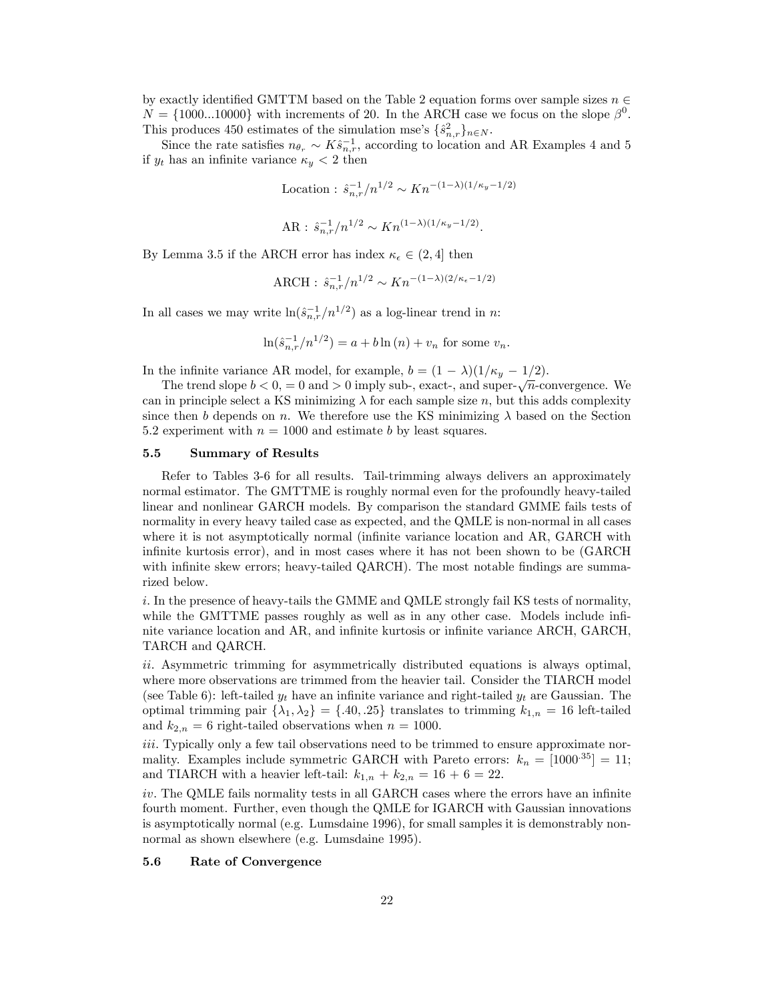by exactly identified GMTTM based on the Table 2 equation forms over sample sizes  $n \in \mathbb{Z}$  $N = \{1000...10000\}$  with increments of 20. In the ARCH case we focus on the slope  $\beta^0$ . This produces 450 estimates of the simulation mse's  $\{\hat{s}^2_{n,r}\}_{n\in\mathbb{N}}$ .

Since the rate satisfies  $n_{\theta_r} \sim K \hat{s}_{n,r}^{-1}$ , according to location and AR Examples 4 and 5 if  $y_t$  has an infinite variance  $\kappa_y < 2$  then

Location : 
$$
\hat{s}_{n,r}^{-1}/n^{1/2} \sim Kn^{-(1-\lambda)(1/\kappa_y - 1/2)}
$$
  
AR :  $\hat{s}_{n,r}^{-1}/n^{1/2} \sim Kn^{(1-\lambda)(1/\kappa_y - 1/2)}$ .

By Lemma 3.5 if the ARCH error has index  $\kappa_{\epsilon} \in (2, 4]$  then

$$
ARCH: \hat{s}_{n,r}^{-1}/n^{1/2} \sim Kn^{-(1-\lambda)(2/\kappa_{\epsilon}-1/2)}
$$

In all cases we may write  $\ln(\hat{s}_{n,r}^{-1}/n^{1/2})$  as a log-linear trend in n:

$$
\ln(\hat{s}_{n,r}^{-1}/n^{1/2}) = a + b \ln(n) + v_n
$$
 for some  $v_n$ .

In the infinite variance AR model, for example,  $b = (1 - \lambda)(1/\kappa_y - 1/2)$ .

The trend slope  $b < 0$ , = 0 and > 0 imply sub-, exact-, and super- $\sqrt{n}$ -convergence. We can in principle select a KS minimizing  $\lambda$  for each sample size n, but this adds complexity since then b depends on n. We therefore use the KS minimizing  $\lambda$  based on the Section 5.2 experiment with  $n = 1000$  and estimate b by least squares.

#### 5.5 Summary of Results

Refer to Tables 3-6 for all results. Tail-trimming always delivers an approximately normal estimator. The GMTTME is roughly normal even for the profoundly heavy-tailed linear and nonlinear GARCH models. By comparison the standard GMME fails tests of normality in every heavy tailed case as expected, and the QMLE is non-normal in all cases where it is not asymptotically normal (infinite variance location and AR, GARCH with infinite kurtosis error), and in most cases where it has not been shown to be (GARCH) with infinite skew errors; heavy-tailed QARCH). The most notable findings are summarized below.

i. In the presence of heavy-tails the GMME and QMLE strongly fail KS tests of normality, while the GMTTME passes roughly as well as in any other case. Models include infinite variance location and AR, and infinite kurtosis or infinite variance ARCH, GARCH, TARCH and QARCH.

ii. Asymmetric trimming for asymmetrically distributed equations is always optimal, where more observations are trimmed from the heavier tail. Consider the TIARCH model (see Table 6): left-tailed  $y_t$  have an infinite variance and right-tailed  $y_t$  are Gaussian. The optimal trimming pair  $\{\lambda_1, \lambda_2\} = \{.40, .25\}$  translates to trimming  $k_{1,n} = 16$  left-tailed and  $k_{2,n} = 6$  right-tailed observations when  $n = 1000$ .

iii. Typically only a few tail observations need to be trimmed to ensure approximate normality. Examples include symmetric GARCH with Pareto errors:  $k_n = [1000^{35}] = 11;$ and TIARCH with a heavier left-tail:  $k_{1,n} + k_{2,n} = 16 + 6 = 22$ .

 $iv.$  The QMLE fails normality tests in all GARCH cases where the errors have an infinite fourth moment. Further, even though the QMLE for IGARCH with Gaussian innovations is asymptotically normal (e.g. Lumsdaine 1996), for small samples it is demonstrably nonnormal as shown elsewhere (e.g. Lumsdaine 1995).

## 5.6 Rate of Convergence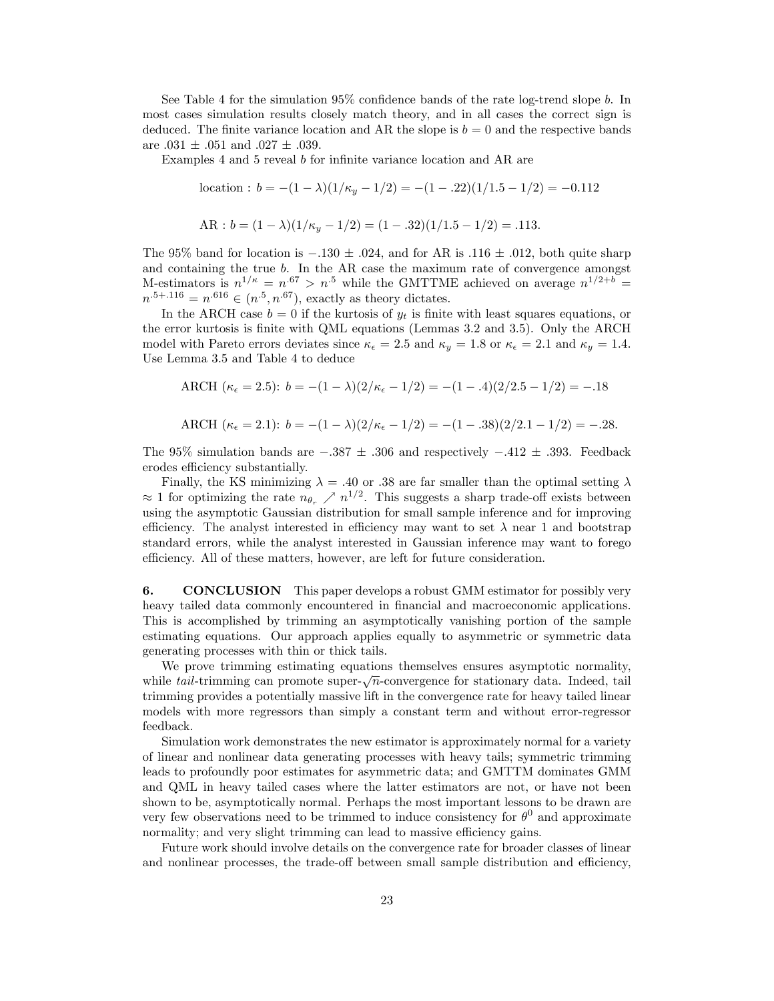See Table 4 for the simulation  $95\%$  confidence bands of the rate log-trend slope b. In most cases simulation results closely match theory, and in all cases the correct sign is deduced. The finite variance location and AR the slope is  $b = 0$  and the respective bands are  $.031 \pm .051$  and  $.027 \pm .039$ .

Examples 4 and 5 reveal  $b$  for infinite variance location and AR are

location: 
$$
b = -(1 - \lambda)(1/\kappa_y - 1/2) = -(1 - .22)(1/1.5 - 1/2) = -0.112
$$

$$
AR : b = (1 - \lambda)(1/\kappa_y - 1/2) = (1 - .32)(1/1.5 - 1/2) = .113.
$$

The 95% band for location is  $-.130 \pm .024$ , and for AR is :116  $\pm .012$ , both quite sharp and containing the true b. In the AR case the maximum rate of convergence amongst M-estimators is  $n^{1/\kappa} = n^{.67} > n^{.5}$  while the GMTTME achieved on average  $n^{1/2+b} =$  $n^{.5+.116} = n^{.616} \in (n^{.5}, n^{.67})$ , exactly as theory dictates.

In the ARCH case  $b = 0$  if the kurtosis of  $y_t$  is finite with least squares equations, or the error kurtosis is finite with QML equations (Lemmas 3.2 and 3.5). Only the ARCH model with Pareto errors deviates since  $\kappa_{\epsilon} = 2.5$  and  $\kappa_{y} = 1.8$  or  $\kappa_{\epsilon} = 2.1$  and  $\kappa_{y} = 1.4$ . Use Lemma 3.5 and Table 4 to deduce

ARCH  $(\kappa_{\epsilon} = 2.5): b = -(1 - \lambda)(2/\kappa_{\epsilon} - 1/2) = -(1 - .4)(2/2.5 - 1/2) = -.18$ 

$$
\text{ARCH } (\kappa_{\epsilon} = 2.1): b = -(1 - \lambda)(2/\kappa_{\epsilon} - 1/2) = -(1 - .38)(2/2.1 - 1/2) = -.28.
$$

The 95% simulation bands are  $-.387 \pm .306$  and respectively  $-.412 \pm .393$ . Feedback erodes efficiency substantially.

Finally, the KS minimizing  $\lambda = .40$  or  $.38$  are far smaller than the optimal setting  $\lambda$  $\approx 1$  for optimizing the rate  $n_{\theta_r} \nearrow n^{1/2}$ . This suggests a sharp trade-off exists between using the asymptotic Gaussian distribution for small sample inference and for improving efficiency. The analyst interested in efficiency may want to set  $\lambda$  near 1 and bootstrap standard errors, while the analyst interested in Gaussian inference may want to forego efficiency. All of these matters, however, are left for future consideration.

6. CONCLUSION This paper develops a robust GMM estimator for possibly very heavy tailed data commonly encountered in financial and macroeconomic applications. This is accomplished by trimming an asymptotically vanishing portion of the sample estimating equations. Our approach applies equally to asymmetric or symmetric data generating processes with thin or thick tails.

We prove trimming estimating equations themselves ensures asymptotic normality, while tail-trimming can promote super- $\sqrt{n}$ -convergence for stationary data. Indeed, tail trimming provides a potentially massive lift in the convergence rate for heavy tailed linear models with more regressors than simply a constant term and without error-regressor feedback.

Simulation work demonstrates the new estimator is approximately normal for a variety of linear and nonlinear data generating processes with heavy tails; symmetric trimming leads to profoundly poor estimates for asymmetric data; and GMTTM dominates GMM and QML in heavy tailed cases where the latter estimators are not, or have not been shown to be, asymptotically normal. Perhaps the most important lessons to be drawn are very few observations need to be trimmed to induce consistency for  $\theta^0$  and approximate normality; and very slight trimming can lead to massive efficiency gains.

Future work should involve details on the convergence rate for broader classes of linear and nonlinear processes, the trade-off between small sample distribution and efficiency,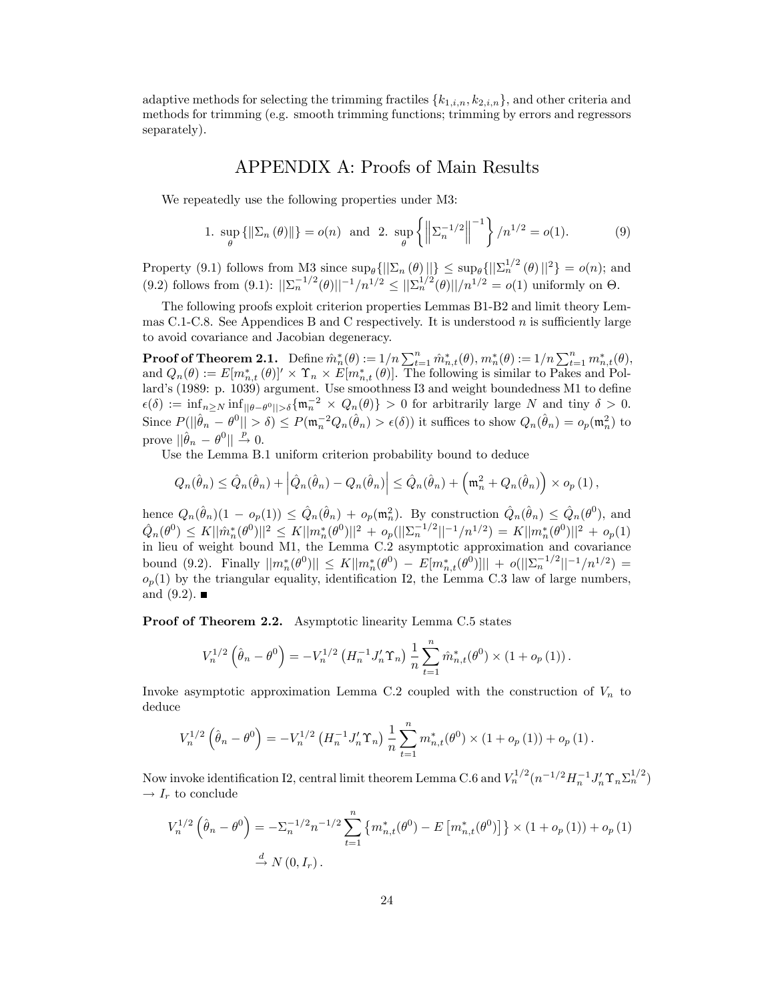adaptive methods for selecting the trimming fractiles  ${k_{1,i,n}, k_{2,i,n}}$ , and other criteria and methods for trimming (e.g. smooth trimming functions; trimming by errors and regressors separately).

# APPENDIX A: Proofs of Main Results

We repeatedly use the following properties under M3:

1. 
$$
\sup_{\theta} {\{\|\Sigma_n(\theta)\|\}} = o(n)
$$
 and 2.  $\sup_{\theta} {\{\|\Sigma_n^{-1/2}\|}^{-1}\} / n^{1/2} = o(1).$  (9)

Property (9.1) follows from M3 since  $\sup_{\theta} \{||\Sigma_n(\theta)||\} \leq \sup_{\theta} \{||\Sigma_n^{1/2}(\theta)||^2\} = o(n)$ ; and  $(9.2)$  follows from  $(9.1)$ :  $||\sum_{n} 1/2}(\theta)||^{-1}/n^{1/2} \le ||\sum_{n} 1/2}(\theta)||/n^{1/2} = o(1)$  uniformly on  $\Theta$ .

The following proofs exploit criterion properties Lemmas B1-B2 and limit theory Lemmas C.1-C.8. See Appendices B and C respectively. It is understood n is sufficiently large to avoid covariance and Jacobian degeneracy.

**Proof of Theorem 2.1.** Define  $\hat{m}_n^*(\theta) := 1/n \sum_{t=1}^n \hat{m}_{n,t}^*(\theta), m_n^*(\theta) := 1/n \sum_{t=1}^n m_{n,t}^*(\theta),$ and  $Q_n(\theta) := E[m_{n,t}^*(\theta)]' \times \Upsilon_n \times E[m_{n,t}^*(\theta)].$  The following is similar to Pakes and Pollard's (1989: p. 1039) argument. Use smoothness I3 and weight boundedness M1 to define  $\epsilon(\delta) := \inf_{n \ge N} \inf_{\|\theta - \theta^0\| > \delta} \{\mathfrak{m}_n^{-2} \times Q_n(\theta)\} > 0$  for arbitrarily large N and tiny  $\delta > 0$ . Since  $P(||\hat{\theta}_n - \theta^0|| > \delta) \le P(\mathfrak{m}_n^{-2}Q_n(\hat{\theta}_n) > \epsilon(\delta))$  it suffices to show  $Q_n(\hat{\theta}_n) = o_p(\mathfrak{m}_n^2)$  to prove  $\|\hat{\theta}_n - \theta^0\| \overset{p}{\to} 0.$ 

Use the Lemma B.1 uniform criterion probability bound to deduce

$$
Q_n(\hat{\theta}_n) \leq \hat{Q}_n(\hat{\theta}_n) + \left| \hat{Q}_n(\hat{\theta}_n) - Q_n(\hat{\theta}_n) \right| \leq \hat{Q}_n(\hat{\theta}_n) + \left( \mathfrak{m}_n^2 + Q_n(\hat{\theta}_n) \right) \times o_p(1),
$$

hence  $Q_n(\hat{\theta}_n)(1 - o_p(1)) \leq \hat{Q}_n(\hat{\theta}_n) + o_p(\mathfrak{m}_n^2)$ . By construction  $\hat{Q}_n(\hat{\theta}_n) \leq \hat{Q}_n(\theta^0)$ , and nence  $Q_n(\sigma_n)(1 - \sigma_p(1)) \leq Q_n(\sigma_n) + \sigma_p(\mathfrak{m}_n)$ . By construction  $Q_n(\sigma_n) \leq Q_n(\sigma_n)$ , and<br>  $\hat{Q}_n(\theta^0) \leq K ||\hat{m}_n^*(\theta^0)||^2 \leq K ||m_n^*(\theta^0)||^2 + o_p(||\Sigma_n^{-1/2}||^{-1}/n^{1/2}) = K ||m_n^*(\theta^0)||^2 + o_p(1)$ in lieu of weight bound M1, the Lemma C.2 asymptotic approximation and covariance bound (9.2). Finally  $||m_n^*(\theta^0)|| \le K||m_n^*(\theta^0) - E[m_{n,t}^*(\theta^0)]|| + o(||\Sigma_n^{-1/2}||^{-1}/n^{1/2}) =$  $o_p(1)$  by the triangular equality, identification I2, the Lemma C.3 law of large numbers, and  $(9.2)$ .

Proof of Theorem 2.2. Asymptotic linearity Lemma C.5 states

$$
V_n^{1/2}(\hat{\theta}_n - \theta^0) = -V_n^{1/2} \left( H_n^{-1} J_n' \Upsilon_n \right) \frac{1}{n} \sum_{t=1}^n \hat{m}_{n,t}^*(\theta^0) \times (1 + o_p(1)).
$$

Invoke asymptotic approximation Lemma C.2 coupled with the construction of  $V_n$  to deduce

$$
V_n^{1/2}(\hat{\theta}_n - \theta^0) = -V_n^{1/2} (H_n^{-1} J_n' \Upsilon_n) \frac{1}{n} \sum_{t=1}^n m_{n,t}^*(\theta^0) \times (1 + o_p(1)) + o_p(1).
$$

Now invoke identification I2, central limit theorem Lemma C.6 and  $V_n^{1/2} (n^{-1/2} H_n^{-1} J_n' \Upsilon_n \Sigma_n^{1/2})$  $\rightarrow I_r$  to conclude

$$
V_n^{1/2}(\hat{\theta}_n - \theta^0) = -\Sigma_n^{-1/2} n^{-1/2} \sum_{t=1}^n \{m_{n,t}^*(\theta^0) - E\left[m_{n,t}^*(\theta^0)\right] \} \times (1 + o_p(1)) + o_p(1)
$$
  

$$
\stackrel{d}{\to} N(0, I_r).
$$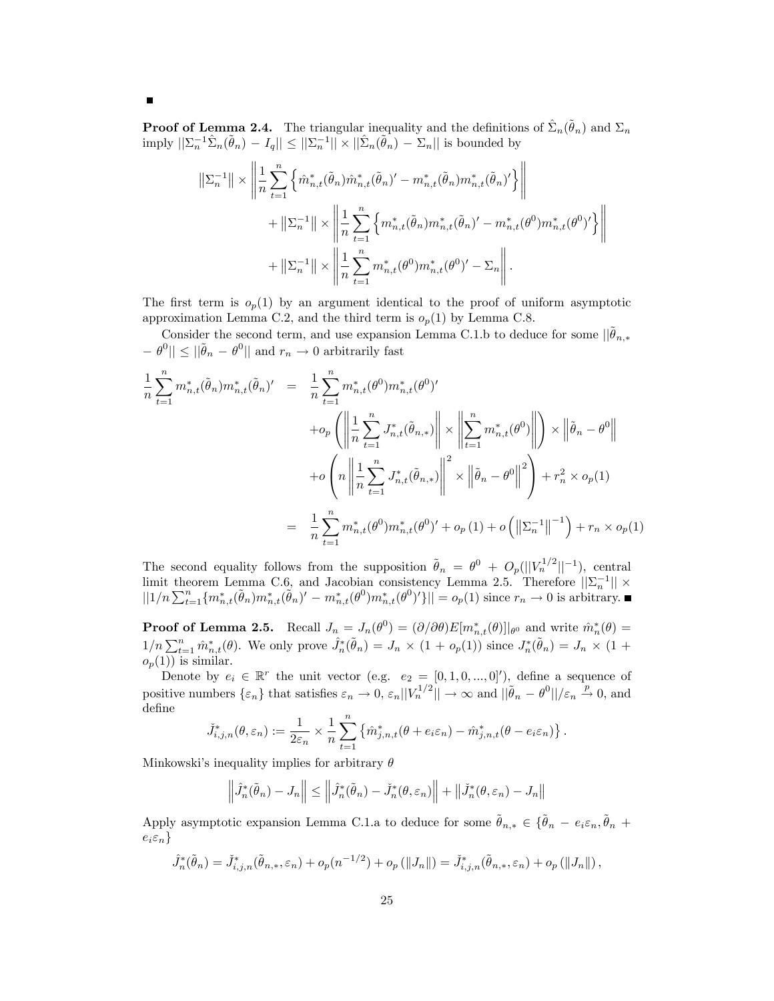**Proof of Lemma 2.4.** The triangular inequality and the definitions of  $\hat{\Sigma}_n(\tilde{\theta}_n)$  and  $\Sigma_n$ imply  $||\sum_{n}^{-1}\hat{\Sigma}_{n}(\tilde{\theta}_{n}) - I_{q}|| \leq ||\sum_{n}^{-1}|| \times ||\hat{\Sigma}_{n}(\tilde{\theta}_{n}) - \Sigma_{n}||$  is bounded by

$$
\begin{split} \left\| \Sigma_n^{-1} \right\| &\times \left\| \frac{1}{n} \sum_{t=1}^n \left\{ \hat{m}_{n,t}^*(\tilde{\theta}_n) \hat{m}_{n,t}^*(\tilde{\theta}_n)' - m_{n,t}^*(\tilde{\theta}_n) m_{n,t}^*(\tilde{\theta}_n)' \right\} \right\| \\ &+ \left\| \Sigma_n^{-1} \right\| \times \left\| \frac{1}{n} \sum_{t=1}^n \left\{ m_{n,t}^*(\tilde{\theta}_n) m_{n,t}^*(\tilde{\theta}_n)' - m_{n,t}^*(\theta^0) m_{n,t}^*(\theta^0)' \right\} \right\| \\ &+ \left\| \Sigma_n^{-1} \right\| \times \left\| \frac{1}{n} \sum_{t=1}^n m_{n,t}^*(\theta^0) m_{n,t}^*(\theta^0)' - \Sigma_n \right\|. \end{split}
$$

The first term is  $o_p(1)$  by an argument identical to the proof of uniform asymptotic approximation Lemma C.2, and the third term is  $o_p(1)$  by Lemma C.8.

Consider the second term, and use expansion Lemma C.1.b to deduce for some  $\|\theta_{n,*}\|$  $- \theta^0 \|\leq \|\tilde{\theta}_n - \theta^0\|$  and  $r_n \to 0$  arbitrarily fast

$$
\frac{1}{n} \sum_{t=1}^{n} m_{n,t}^{*}(\tilde{\theta}_{n}) m_{n,t}^{*}(\tilde{\theta}_{n})' = \frac{1}{n} \sum_{t=1}^{n} m_{n,t}^{*}(\theta^{0}) m_{n,t}^{*}(\theta^{0})'
$$
  
+  $\phi_{p} \left( \left\| \frac{1}{n} \sum_{t=1}^{n} J_{n,t}^{*}(\tilde{\theta}_{n,*}) \right\| \times \left\| \sum_{t=1}^{n} m_{n,t}^{*}(\theta^{0}) \right\| \right) \times \left\| \tilde{\theta}_{n} - \theta^{0} \right\|$   
+  $\phi \left( n \left\| \frac{1}{n} \sum_{t=1}^{n} J_{n,t}^{*}(\tilde{\theta}_{n,*}) \right\|^{2} \times \left\| \tilde{\theta}_{n} - \theta^{0} \right\|^{2} \right) + r_{n}^{2} \times \phi_{p}(1)$   
=  $\frac{1}{n} \sum_{t=1}^{n} m_{n,t}^{*}(\theta^{0}) m_{n,t}^{*}(\theta^{0})' + \phi_{p}(1) + \phi \left( \left\| \sum_{n=1}^{n} \right\|^{-1} \right) + r_{n} \times \phi_{p}(1)$ 

The second equality follows from the supposition  $\tilde{\theta}_n = \theta^0 + O_p(||V_n^{1/2}||^{-1})$ , central limit theorem Lemma C.6, and Jacobian consistency Lemma 2.5. Therefore  $||\Sigma_n^{-1}|| \times ||1/n \sum_{t=1}^n \{m_{n,t}^*(\tilde{\theta}_n)m_{n,t}^*(\tilde{\theta}_n)' - m_{n,t}^*(\theta^0)m_{n,t}^*(\theta^0)'\}|| = o_p(1)$  since  $r_n \to 0$  is arbitrary.

**Proof of Lemma 2.5.** Recall  $J_n = J_n(\theta^0) = (\partial/\partial\theta)E[m_{n,t}^*(\theta)]|_{\theta^0}$  and write  $\hat{m}_n^*(\theta) =$  $1/n \sum_{i=1}^n \hat{m}^*_{n,t}(\theta)$ . We only prove  $\hat{J}^*_{n}(\tilde{\theta}_n) = J_n \times (1 + o_p(1))$  since  $J^*_{n}(\tilde{\theta}_n) = J_n \times (1 + o_p(1))$  $o_p(1)$  is similar.

Denote by  $e_i \in \mathbb{R}^r$  the unit vector (e.g.  $e_2 = [0, 1, 0, ..., 0]^{\prime}$ ), define a sequence of positive numbers  $\{\varepsilon_n\}$  that satisfies  $\varepsilon_n \to 0$ ,  $\varepsilon_n ||V_n^{1/2}|| \to \infty$  and  $||\tilde{\theta}_n - \theta^0||/\varepsilon_n \stackrel{p}{\to} 0$ , and define

$$
\check{J}_{i,j,n}^*(\theta,\varepsilon_n) := \frac{1}{2\varepsilon_n} \times \frac{1}{n} \sum_{t=1}^n \left\{ \hat{m}_{j,n,t}^*(\theta + e_i \varepsilon_n) - \hat{m}_{j,n,t}^*(\theta - e_i \varepsilon_n) \right\}.
$$

Minkowski's inequality implies for arbitrary  $\theta$ 

$$
\left\|\hat{J}_n^*(\tilde{\theta}_n) - J_n\right\| \le \left\|\hat{J}_n^*(\tilde{\theta}_n) - \check{J}_n^*(\theta, \varepsilon_n)\right\| + \left\|\check{J}_n^*(\theta, \varepsilon_n) - J_n\right\|
$$

Apply asymptotic expansion Lemma C.1.a to deduce for some  $\tilde{\theta}_{n,*} \in {\{\tilde{\theta}_n - e_i \varepsilon_n, \tilde{\theta}_n + \tilde{\theta}_n\}}$  $e_i \varepsilon_n$ 

$$
\hat{J}_n^*(\tilde{\theta}_n) = \check{J}_{i,j,n}^*(\tilde{\theta}_{n,*}, \varepsilon_n) + o_p(n^{-1/2}) + o_p(||J_n||) = \check{J}_{i,j,n}^*(\tilde{\theta}_{n,*}, \varepsilon_n) + o_p(||J_n||),
$$

 $\blacksquare$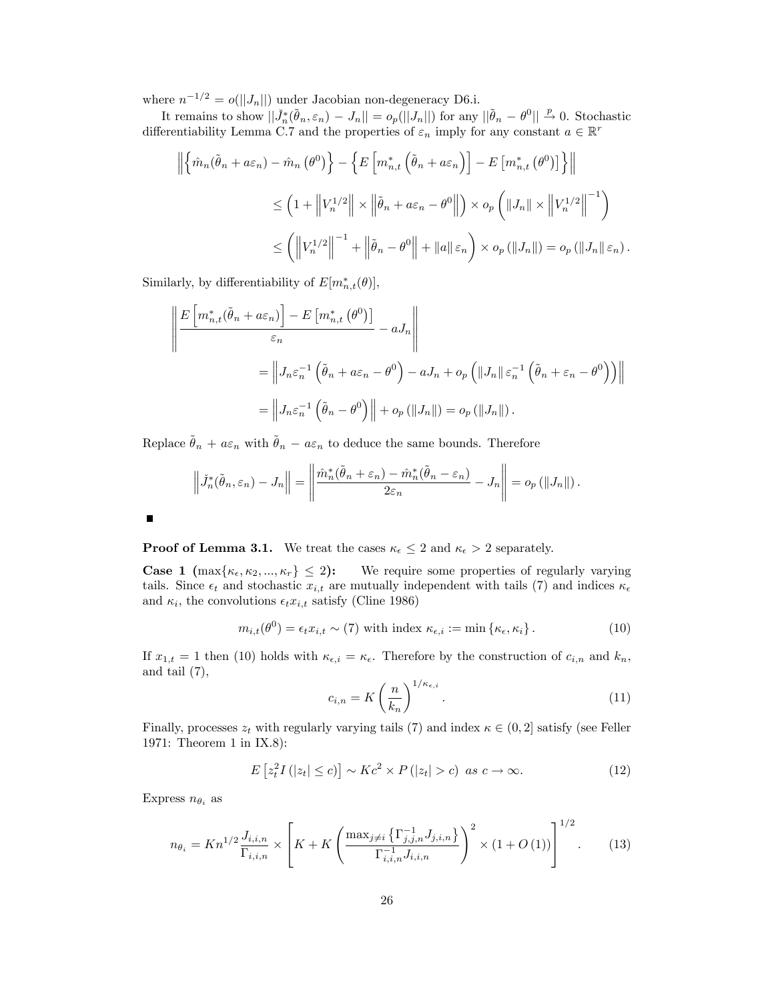where  $n^{-1/2} = o(||J_n||)$  under Jacobian non-degeneracy D6.i.

It remains to show  $||\check{J}_n^*(\tilde{\theta}_n, \varepsilon_n) - J_n|| = o_p(||J_n||)$  for any  $||\tilde{\theta}_n - \theta^0|| \overset{p}{\to} 0$ . Stochastic differentiability Lemma C.7 and the properties of  $\varepsilon_n$  imply for any constant  $a \in \mathbb{R}^r$ 

$$
\left\| \left\{ \hat{m}_n(\tilde{\theta}_n + a\varepsilon_n) - \hat{m}_n(\theta^0) \right\} - \left\{ E\left[ m_{n,t}^* \left( \tilde{\theta}_n + a\varepsilon_n \right) \right] - E\left[ m_{n,t}^* \left( \theta^0 \right) \right] \right\} \right\|
$$
  

$$
\leq \left( 1 + \left\| V_n^{1/2} \right\| \times \left\| \tilde{\theta}_n + a\varepsilon_n - \theta^0 \right\| \right) \times o_p \left( \left\| J_n \right\| \times \left\| V_n^{1/2} \right\|^{-1} \right)
$$
  

$$
\leq \left( \left\| V_n^{1/2} \right\|^{-1} + \left\| \tilde{\theta}_n - \theta^0 \right\| + \left\| a \right\| \varepsilon_n \right) \times o_p \left( \left\| J_n \right\| \right) = o_p \left( \left\| J_n \right\| \varepsilon_n \right).
$$

Similarly, by differentiability of  $E[m_{n,t}^*(\theta)],$ 

$$
\left\| \frac{E\left[m_{n,t}^{*}(\tilde{\theta}_{n} + a\varepsilon_{n})\right] - E\left[m_{n,t}^{*}(\theta^{0})\right]}{\varepsilon_{n}} - aJ_{n} \right\|
$$
  
\n
$$
= \left\| J_{n}\varepsilon_{n}^{-1} \left( \tilde{\theta}_{n} + a\varepsilon_{n} - \theta^{0} \right) - aJ_{n} + o_{p} \left( \|J_{n}\| \varepsilon_{n}^{-1} \left( \tilde{\theta}_{n} + \varepsilon_{n} - \theta^{0} \right) \right) \right\|
$$
  
\n
$$
= \left\| J_{n}\varepsilon_{n}^{-1} \left( \tilde{\theta}_{n} - \theta^{0} \right) \right\| + o_{p} \left( \|J_{n}\| \right) = o_{p} \left( \|J_{n}\| \right).
$$

Replace  $\hat{\theta}_n + a \varepsilon_n$  with  $\hat{\theta}_n - a \varepsilon_n$  to deduce the same bounds. Therefore

$$
\left\|\tilde{J}_n^*(\tilde{\theta}_n,\varepsilon_n)-J_n\right\|=\left\|\frac{\hat{m}_n^*(\tilde{\theta}_n+\varepsilon_n)-\hat{m}_n^*(\tilde{\theta}_n-\varepsilon_n)}{2\varepsilon_n}-J_n\right\|=o_p\left(\|J_n\|\right).
$$

**Proof of Lemma 3.1.** We treat the cases  $\kappa_{\epsilon} \leq 2$  and  $\kappa_{\epsilon} > 2$  separately.

**Case 1**  $\{\max\{\kappa_{\epsilon}, \kappa_2, ..., \kappa_r\}\leq 2\}$ : We require some properties of regularly varying tails. Since  $\epsilon_t$  and stochastic  $x_{i,t}$  are mutually independent with tails (7) and indices  $\kappa_{\epsilon}$ and  $\kappa_i$ , the convolutions  $\epsilon_t x_{i,t}$  satisfy (Cline 1986)

$$
m_{i,t}(\theta^0) = \epsilon_t x_{i,t} \sim (7) \text{ with index } \kappa_{\epsilon,i} := \min\left\{\kappa_{\epsilon}, \kappa_i\right\}.
$$
 (10)

If  $x_{1,t} = 1$  then (10) holds with  $\kappa_{\epsilon,i} = \kappa_{\epsilon}$ . Therefore by the construction of  $c_{i,n}$  and  $k_n$ , and tail (7),

$$
c_{i,n} = K \left(\frac{n}{k_n}\right)^{1/\kappa_{\epsilon,i}}.\tag{11}
$$

 $1 - 22$ 

Finally, processes  $z_t$  with regularly varying tails (7) and index  $\kappa \in (0, 2]$  satisfy (see Feller 1971: Theorem 1 in IX.8):

$$
E\left[z_t^2 I\left(|z_t| \le c\right)\right] \sim K c^2 \times P\left(|z_t| > c\right) \text{ as } c \to \infty. \tag{12}
$$

Express  $n_{\theta_i}$  as

$$
n_{\theta_i} = Kn^{1/2} \frac{J_{i,i,n}}{\Gamma_{i,i,n}} \times \left[ K + K \left( \frac{\max_{j \neq i} \left\{ \Gamma_{j,j,n}^{-1} J_{j,i,n} \right\}}{\Gamma_{i,i,n}^{-1} J_{i,i,n}} \right)^2 \times (1 + O(1)) \right]^{1/2}.
$$
 (13)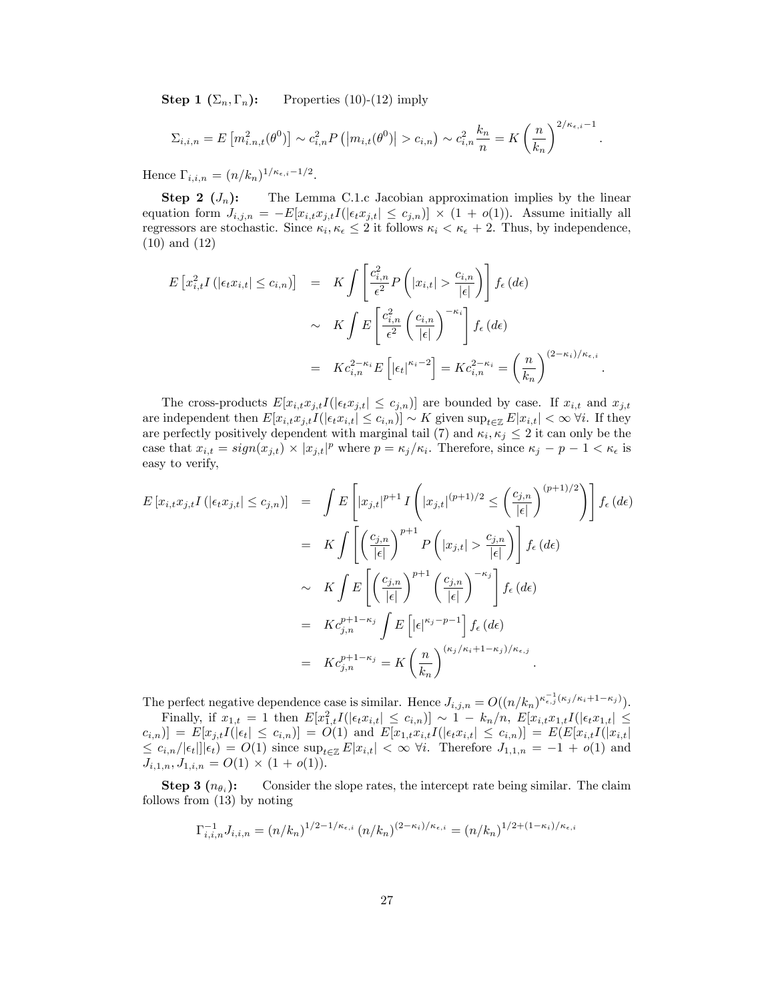**Step 1**  $(\Sigma_n, \Gamma_n)$ : Properties (10)-(12) imply

$$
\Sigma_{i,i,n} = E\left[m_{i,n,t}^2(\theta^0)\right] \sim c_{i,n}^2 P\left(\left|m_{i,t}(\theta^0)\right| > c_{i,n}\right) \sim c_{i,n}^2 \frac{k_n}{n} = K\left(\frac{n}{k_n}\right)^{2/\kappa_{\epsilon,i}-1}.
$$

Hence  $\Gamma_{i,i,n} = (n/k_n)^{1/\kappa_{\epsilon,i}-1/2}$ .

**Step 2**  $(J_n)$ : The Lemma C.1.c Jacobian approximation implies by the linear equation form  $J_{i,j,n} = -E[x_{i,t}x_{j,t}I(|\epsilon_t x_{j,t}| \leq c_{j,n})] \times (1 + o(1))$ . Assume initially all regressors are stochastic. Since  $\kappa_i, \kappa_{\epsilon} \leq 2$  it follows  $\kappa_i < \kappa_{\epsilon} + 2$ . Thus, by independence, (10) and (12)

$$
E\left[x_{i,t}^2 I\left(|\epsilon_t x_{i,t}| \leq c_{i,n}\right)\right] = K \int \left[\frac{c_{i,n}^2}{\epsilon^2} P\left(|x_{i,t}| > \frac{c_{i,n}}{|\epsilon|}\right)\right] f_{\epsilon}(d\epsilon)
$$
  

$$
\sim K \int E\left[\frac{c_{i,n}^2}{\epsilon^2} \left(\frac{c_{i,n}}{|\epsilon|}\right)^{-\kappa_i}\right] f_{\epsilon}(d\epsilon)
$$
  

$$
= K c_{i,n}^{2-\kappa_i} E\left[|\epsilon_t|^{\kappa_i-2}\right] = K c_{i,n}^{2-\kappa_i} = \left(\frac{n}{k_n}\right)^{(2-\kappa_i)/\kappa_{\epsilon,i}}
$$

:

The cross-products  $E[x_{i,t}x_{j,t}I(|\epsilon_t x_{j,t}| \leq c_{j,n})]$  are bounded by case. If  $x_{i,t}$  and  $x_{j,t}$ are independent then  $E[x_i, x_{j,t}I(|\epsilon_t x_{i,t}| \leq c_{i,n})] \sim K$  given  $\sup_{t \in \mathbb{Z}} E[x_{i,t}| < \infty \ \forall i$ . If they are perfectly positively dependent with marginal tail (7) and  $\kappa_i, \kappa_j \leq 2$  it can only be the case that  $x_{i,t} = sign(x_{j,t}) \times |x_{j,t}|^p$  where  $p = \kappa_j/\kappa_i$ . Therefore, since  $\kappa_j - p - 1 < \kappa_{\epsilon}$  is easy to verify,

$$
E\left[x_{i,t}x_{j,t}I\left(|\epsilon_{t}x_{j,t}|\leq c_{j,n}\right)\right] = \int E\left[|x_{j,t}|^{p+1}I\left(|x_{j,t}|^{(p+1)/2}\leq \left(\frac{c_{j,n}}{|\epsilon|}\right)^{(p+1)/2}\right)\right]f_{\epsilon}(d\epsilon)
$$
  
\n
$$
= K \int \left[\left(\frac{c_{j,n}}{|\epsilon|}\right)^{p+1}P\left(|x_{j,t}|>\frac{c_{j,n}}{|\epsilon|}\right)\right]f_{\epsilon}(d\epsilon)
$$
  
\n
$$
\sim K \int E\left[\left(\frac{c_{j,n}}{|\epsilon|}\right)^{p+1}\left(\frac{c_{j,n}}{|\epsilon|}\right)^{-\kappa_{j}}\right]f_{\epsilon}(d\epsilon)
$$
  
\n
$$
= K c_{j,n}^{p+1-\kappa_{j}} \int E\left[|\epsilon|^{k_{j}-p-1}\right]f_{\epsilon}(d\epsilon)
$$
  
\n
$$
= K c_{j,n}^{p+1-\kappa_{j}} = K\left(\frac{n}{k_{n}}\right)^{(\kappa_{j}/\kappa_{i}+1-\kappa_{j})/\kappa_{\epsilon,j}}.
$$

The perfect negative dependence case is similar. Hence  $J_{i,j,n} = O((n/k_n)^{\kappa_{\epsilon,j}^{-1}(\kappa_j/\kappa_i+1-\kappa_j)})$ .

Finally, if  $x_{1,t} = 1$  then  $E[x_{1,t}^2 I(|\epsilon_t x_{i,t}| \leq c_{i,n})] \sim 1 - k_n/n$ ,  $E[x_{i,t}x_{1,t}I(|\epsilon_t x_{1,t}| \leq c_{i,n})]$  $c_{i,n})] = E[x_{j,t}I(|\epsilon_t| \leq c_{i,n})] = O(1)$  and  $E[x_{1,t}x_{i,t}I(|\epsilon_t x_{i,t}| \leq c_{i,n})] = E(E[x_{i,t}I(|x_{i,t}|$  $\leq c_{i,n}/|\epsilon_t||\epsilon_t) = O(1)$  since  $\sup_{t\in\mathbb{Z}} E|x_{i,t}| < \infty$   $\forall i$ . Therefore  $J_{1,1,n} = -1 + o(1)$  and  $J_{i,1,n}, J_{1,i,n} = O(1) \times (1 + o(1)).$ 

**Step 3**  $(n_{\theta_i})$ : Consider the slope rates, the intercept rate being similar. The claim follows from (13) by noting

$$
\Gamma_{i,i,n}^{-1} J_{i,i,n} = (n/k_n)^{1/2 - 1/\kappa_{\epsilon,i}} (n/k_n)^{(2 - \kappa_i)/\kappa_{\epsilon,i}} = (n/k_n)^{1/2 + (1 - \kappa_i)/\kappa_{\epsilon,i}}
$$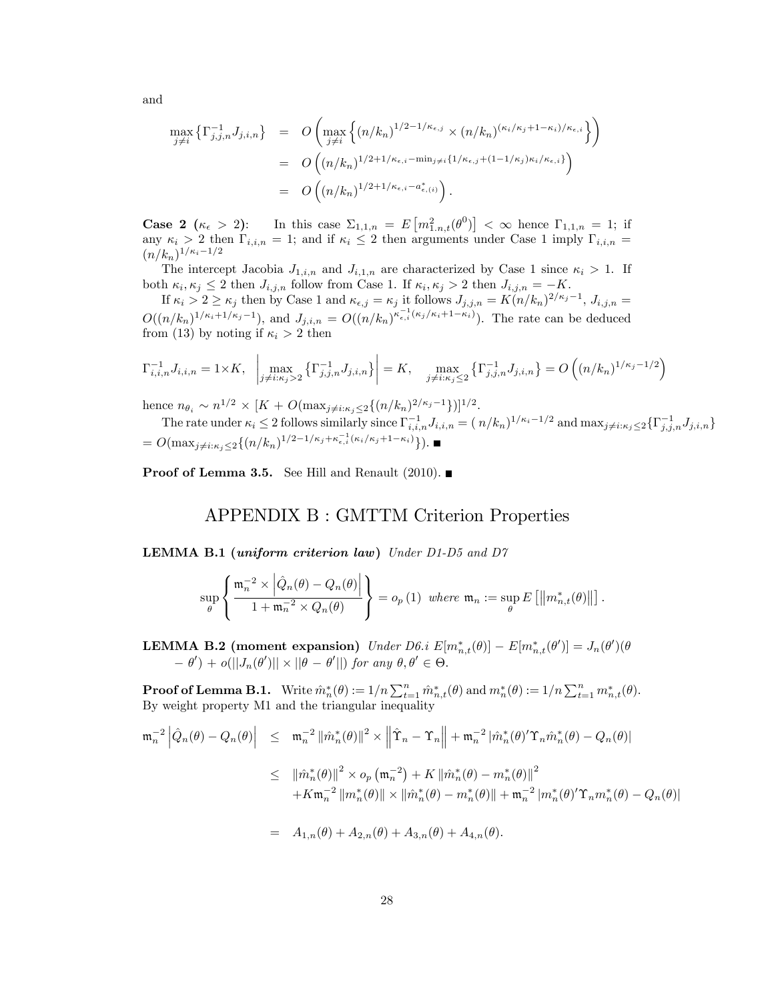and

$$
\max_{j \neq i} \left\{ \Gamma_{j,j,n}^{-1} J_{j,i,n} \right\} = O\left( \max_{j \neq i} \left\{ (n/k_n)^{1/2 - 1/\kappa_{\epsilon,j}} \times (n/k_n)^{(\kappa_i/\kappa_j + 1 - \kappa_i)/\kappa_{\epsilon,i}} \right\} \right)
$$
  
\n
$$
= O\left( (n/k_n)^{1/2 + 1/\kappa_{\epsilon,i} - \min_{j \neq i} \{ 1/\kappa_{\epsilon,j} + (1 - 1/\kappa_j)\kappa_i/\kappa_{\epsilon,i} \}} \right)
$$
  
\n
$$
= O\left( (n/k_n)^{1/2 + 1/\kappa_{\epsilon,i} - a_{\epsilon,(i)}^*} \right).
$$

Case 2  $(\kappa_{\epsilon} > 2)$ : In this case  $\Sigma_{1,1,n} = E[m_{1,n,t}^2(\theta^0)] < \infty$  hence  $\Gamma_{1,1,n} = 1$ ; if any  $\kappa_i > 2$  then  $\Gamma_{i,i,n} = 1$ ; and if  $\kappa_i \leq 2$  then arguments under Case 1 imply  $\Gamma_{i,i,n} =$  $(n/k_n)^{1/\kappa_i-1/2}$ 

The intercept Jacobia  $J_{1,i,n}$  and  $J_{i,1,n}$  are characterized by Case 1 since  $\kappa_i > 1$ . If both  $\kappa_i, \kappa_j \leq 2$  then  $J_{i,j,n}$  follow from Case 1. If  $\kappa_i, \kappa_j > 2$  then  $J_{i,j,n} = -K$ .

If  $\kappa_i > 2 \ge \kappa_j$  then by Case 1 and  $\kappa_{\epsilon,j} = \kappa_j$  it follows  $J_{j,j,n} = K(n/k_n)^{2/\kappa_j - 1}$ ,  $J_{i,j,n} =$  $O((n/k_n)^{1/\kappa_i+1/\kappa_j-1})$ , and  $J_{j,i,n} = O((n/k_n)^{\kappa_{\epsilon,i}^{-1}(\kappa_j/\kappa_i+1-\kappa_i)})$ . The rate can be deduced from (13) by noting if  $\kappa_i > 2$  then

$$
\Gamma_{i,i,n}^{-1} J_{i,i,n} = 1 \times K, \quad \left| \max_{j \neq i: \kappa_j > 2} \left\{ \Gamma_{j,j,n}^{-1} J_{j,i,n} \right\} \right| = K, \quad \max_{j \neq i: \kappa_j \le 2} \left\{ \Gamma_{j,j,n}^{-1} J_{j,i,n} \right\} = O\left( (n/k_n)^{1/\kappa_j - 1/2} \right)
$$

hence  $n_{\theta_i} \sim n^{1/2} \times [K + O(\max_{j \neq i:\kappa_j \leq 2} \{(n/k_n)^{2/\kappa_j - 1}\})]^{1/2}.$ 

The rate under  $\kappa_i \leq 2$  follows similarly since  $\Gamma_{i,i,n}^{-1} J_{i,i,n} = (n/k_n)^{1/\kappa_i - 1/2}$  and  $\max_{j \neq i:\kappa_j \leq 2} \{\Gamma_{j,j,n}^{-1} J_{j,i,n}\}$ =  $O(\max_{j\neq i:\kappa_j\leq 2}\{(n/k_n)^{1/2-1/\kappa_j+\kappa_{\epsilon,i}^{-1}(\kappa_i/\kappa_j+1-\kappa_i)}\}).$ 

**Proof of Lemma 3.5.** See Hill and Renault (2010).

# APPENDIX B : GMTTM Criterion Properties

LEMMA B.1 (uniform criterion law) Under D1-D5 and D7

$$
\sup_{\theta} \left\{ \frac{\mathfrak{m}_n^{-2} \times \left| \hat{Q}_n(\theta) - Q_n(\theta) \right|}{1 + \mathfrak{m}_n^{-2} \times Q_n(\theta)} \right\} = o_p(1) \text{ where } \mathfrak{m}_n := \sup_{\theta} E\left[ \left\| m_{n,t}^*(\theta) \right\| \right].
$$

**LEMMA B.2 (moment expansion)** Under  $D6.i E[m_{n,t}^*(\theta)] - E[m_{n,t}^*(\theta')] = J_n(\theta')(\theta)$  $(-\theta') + o(||J_n(\theta')|| \times ||\theta - \theta'||)$  for any  $\theta, \theta' \in \Theta$ .

**Proof of Lemma B.1.** Write  $\hat{m}_n^*(\theta) := 1/n \sum_{t=1}^n \hat{m}_{n,t}^*(\theta)$  and  $m_n^*(\theta) := 1/n \sum_{t=1}^n m_{n,t}^*(\theta)$ . By weight property M1 and the triangular inequality

$$
\mathfrak{m}_{n}^{-2} \left| \hat{Q}_{n}(\theta) - Q_{n}(\theta) \right| \leq \mathfrak{m}_{n}^{-2} \left\| \hat{m}_{n}^{*}(\theta) \right\|^{2} \times \left\| \hat{\Upsilon}_{n} - \Upsilon_{n} \right\| + \mathfrak{m}_{n}^{-2} \left| \hat{m}_{n}^{*}(\theta)' \Upsilon_{n} \hat{m}_{n}^{*}(\theta) - Q_{n}(\theta) \right|
$$
  

$$
\leq \left\| \hat{m}_{n}^{*}(\theta) \right\|^{2} \times o_{p} \left( \mathfrak{m}_{n}^{-2} \right) + K \left\| \hat{m}_{n}^{*}(\theta) - m_{n}^{*}(\theta) \right\|^{2}
$$
  

$$
+ K \mathfrak{m}_{n}^{-2} \left\| m_{n}^{*}(\theta) \right\| \times \left\| \hat{m}_{n}^{*}(\theta) - m_{n}^{*}(\theta) \right\| + \mathfrak{m}_{n}^{-2} \left\| m_{n}^{*}(\theta)' \Upsilon_{n} m_{n}^{*}(\theta) - Q_{n}(\theta) \right\|
$$
  

$$
= A_{1,n}(\theta) + A_{2,n}(\theta) + A_{3,n}(\theta) + A_{4,n}(\theta).
$$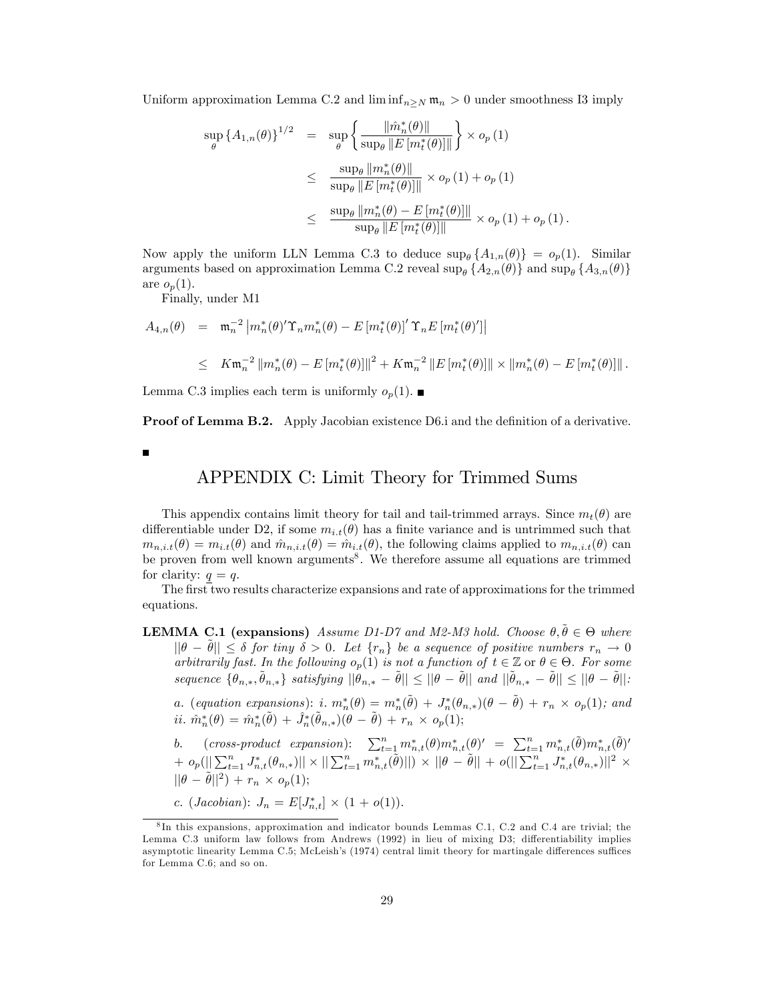Uniform approximation Lemma C.2 and  $\liminf_{n\geq N} m_n > 0$  under smoothness I3 imply

$$
\sup_{\theta} \left\{ A_{1,n}(\theta) \right\}^{1/2} = \sup_{\theta} \left\{ \frac{\|\hat{m}_n^*(\theta)\|}{\sup_{\theta} \|E[m_t^*(\theta)]\|} \right\} \times o_p(1)
$$
  

$$
\leq \frac{\sup_{\theta} \|m_n^*(\theta)\|}{\sup_{\theta} \|E[m_t^*(\theta)]\|} \times o_p(1) + o_p(1)
$$
  

$$
\leq \frac{\sup_{\theta} \|m_n^*(\theta) - E[m_t^*(\theta)]\|}{\sup_{\theta} \|E[m_t^*(\theta)]\|} \times o_p(1) + o_p(1).
$$

Now apply the uniform LLN Lemma C.3 to deduce  $\sup_{\theta} \{A_{1,n}(\theta)\} = o_p(1)$ . Similar arguments based on approximation Lemma C.2 reveal sup<sub> $\theta$ </sub>  $\{A_{2,n}(\theta)\}\$  and sup<sub> $\theta$ </sub>  $\{A_{3,n}(\theta)\}\$ are  $o_p(1)$ .

Finally, under M1

$$
A_{4,n}(\theta) = \mathfrak{m}_n^{-2} \left| m_n^*(\theta)' \Upsilon_n m_n^*(\theta) - E \left[ m_t^*(\theta) \right]' \Upsilon_n E \left[ m_t^*(\theta)' \right] \right|
$$
  

$$
\leq K \mathfrak{m}_n^{-2} \left\| m_n^*(\theta) - E \left[ m_t^*(\theta) \right] \right\|^2 + K \mathfrak{m}_n^{-2} \left\| E \left[ m_t^*(\theta) \right] \right\| \times \left\| m_n^*(\theta) - E \left[ m_t^*(\theta) \right] \right\|.
$$

Lemma C.3 implies each term is uniformly  $o_n(1)$ .

**Proof of Lemma B.2.** Apply Jacobian existence D6.i and the definition of a derivative.

П

# APPENDIX C: Limit Theory for Trimmed Sums

This appendix contains limit theory for tail and tail-trimmed arrays. Since  $m_t(\theta)$  are differentiable under D2, if some  $m_{i,t}(\theta)$  has a finite variance and is untrimmed such that  $m_{n,i,t}(\theta) = m_{i,t}(\theta)$  and  $\hat{m}_{n,i,t}(\theta) = \hat{m}_{i,t}(\theta)$ , the following claims applied to  $m_{n,i,t}(\theta)$  can be proven from well known arguments<sup>8</sup>. We therefore assume all equations are trimmed for clarity:  $q = q$ .

The first two results characterize expansions and rate of approximations for the trimmed equations.

**LEMMA C.1** (expansions) Assume D1-D7 and M2-M3 hold. Choose  $\theta, \tilde{\theta} \in \Theta$  where  $||\theta - \tilde{\theta}|| \leq \delta$  for tiny  $\delta > 0$ . Let  $\{r_n\}$  be a sequence of positive numbers  $r_n \to 0$ arbitrarily fast. In the following  $o_p(1)$  is not a function of  $t \in \mathbb{Z}$  or  $\theta \in \Theta$ . For some sequence  $\{\theta_{n,*}, \tilde{\theta}_{n,*}\}$  satisfying  $||\theta_{n,*} - \tilde{\theta}|| \le ||\theta - \tilde{\theta}||$  and  $||\tilde{\theta}_{n,*} - \tilde{\theta}|| \le ||\theta - \tilde{\theta}||$ :

*a.* (equation expansions): i.  $m_n^*(\theta) = m_n^*(\tilde{\theta}) + J_n^*(\theta_{n,*})(\theta - \tilde{\theta}) + r_n \times o_p(1)$ ; and ii.  $\hat{m}_n^*(\theta) = \hat{m}_n^*(\tilde{\theta}) + \hat{J}_n^*(\tilde{\theta}_{n,*})(\theta - \tilde{\theta}) + r_n \times o_p(1);$ 

b. (cross-product expansion):  $\sum_{t=1}^{n} m_{n,t}^*(\theta) m_{n,t}^*(\theta)' = \sum_{t=1}^{n} m_{n,t}^*(\tilde{\theta}) m_{n,t}^*(\tilde{\theta}')'$  $+ \left \| o_p \right (\left \| \sum_{t=1}^n J^*_{n,t}(\theta_{n,*}) \right \| \times \left \| \sum_{t=1}^n m^*_{n,t}(\tilde{\theta}) \right \| )\times \left \| \theta-\tilde{\theta} \right \| + \left \| o \right (\left \| \sum_{t=1}^n J^*_{n,t}(\theta_{n,*}) \right \|^2 \times$  $||\theta - \tilde{\theta}||^2$  +  $r_n \times o_p(1);$ 

c. (*Jacobian*):  $J_n = E[J_{n,t}^*] \times (1 + o(1)).$ 

<sup>8</sup> In this expansions, approximation and indicator bounds Lemmas C.1, C.2 and C.4 are trivial; the Lemma C.3 uniform law follows from Andrews (1992) in lieu of mixing D3; differentiability implies asymptotic linearity Lemma C.5; McLeish's (1974) central limit theory for martingale differences suffices for Lemma C.6; and so on.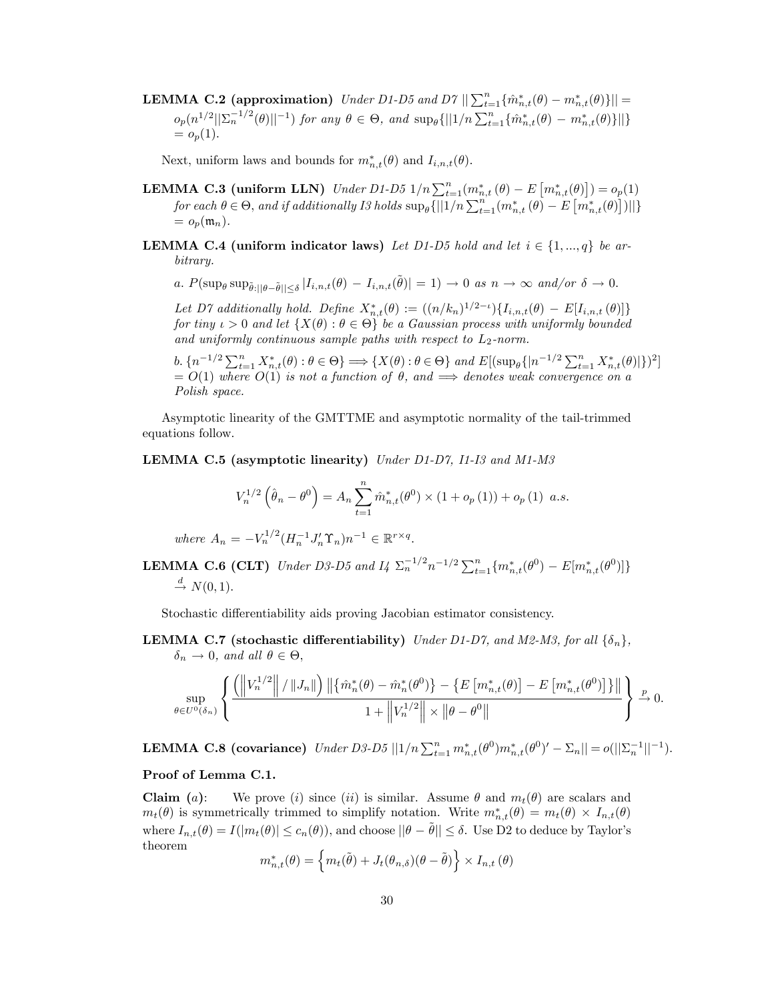**LEMMA C.2 (approximation)** Under D1-D5 and D7  $\|\sum_{t=1}^{n} {\{\hat{m}^*_{n,t}(\theta) - m^*_{n,t}(\theta)\}\|}$  $o_p(n^{1/2}||\Sigma_n^{-1/2}(\theta)||^{-1})$  for any  $\theta \in \Theta$ , and  $\sup_{\theta} \{||1/n \sum_{t=1}^n {\hat{m}^*_{n,t}(\theta) - m^*_{n,t}(\theta)}\}||\}$  $= o_p(1)$ .

Next, uniform laws and bounds for  $m_{n,t}^*(\theta)$  and  $I_{i,n,t}(\theta)$ .

- **LEMMA C.3 (uniform LLN)** Under D1-D5  $1/n \sum_{t=1}^{n} (m_{n,t}^*(\theta) E[m_{n,t}^*(\theta)]) = o_p(1)$ for each  $\theta \in \Theta$ , and if additionally I3 holds  $\sup_{\theta} \{||1/n \sum_{t=1}^{n} (m_{n,t}^*(\theta) - E\left[m_{n,t}^*(\theta)\right])||\}$  $= o_p(\mathfrak{m}_n).$
- **LEMMA C.4 (uniform indicator laws)** Let D1-D5 hold and let  $i \in \{1, ..., q\}$  be arbitrary.
	- a.  $P(\sup_{\theta} \sup_{\tilde{\theta} : ||\theta \tilde{\theta}|| \leq \delta} |I_{i,n,t}(\theta) I_{i,n,t}(\tilde{\theta})| = 1) \to 0 \text{ as } n \to \infty \text{ and/or } \delta \to 0.$

Let D7 additionally hold. Define  $X_{n,t}^*(\theta) := ((n/k_n)^{1/2-\iota})\{I_{i,n,t}(\theta) - E[I_{i,n,t}(\theta)]\}$ for tiny  $\iota > 0$  and let  $\{X(\theta) : \theta \in \Theta\}$  be a Gaussian process with uniformly bounded and uniformly continuous sample paths with respect to  $L_2$ -norm.

b.  $\{n^{-1/2} \sum_{t=1}^{n} X_{n,t}^*(\theta) : \theta \in \Theta\} \Longrightarrow \{X(\theta) : \theta \in \Theta\} \text{ and } E[(\sup_{\theta} \{|n^{-1/2} \sum_{t=1}^{n} X_{n,t}^*(\theta)|\})^2]$  $= O(1)$  where  $O(1)$  is not a function of  $\theta$ , and  $\Longrightarrow$  denotes weak convergence on a Polish space.

Asymptotic linearity of the GMTTME and asymptotic normality of the tail-trimmed equations follow.

LEMMA C.5 (asymptotic linearity) Under D1-D7, I1-I3 and M1-M3

$$
V_n^{1/2}(\hat{\theta}_n - \theta^0) = A_n \sum_{t=1}^n \hat{m}_{n,t}^*(\theta^0) \times (1 + o_p(1)) + o_p(1) \ a.s.
$$

where  $A_n = -V_n^{1/2} (H_n^{-1} J_n' \Upsilon_n)^{n-1} \in \mathbb{R}^{r \times q}$ .

**LEMMA C.6 (CLT)** Under D3-D5 and  $I_4 \sum_{n=1}^{\infty} \binom{n}{n} \sum_{t=1}^n \{m_{n,t}^*(\theta^0) - E[m_{n,t}^*(\theta^0)]\}$  $\stackrel{d}{\rightarrow} N(0, 1).$ 

Stochastic differentiability aids proving Jacobian estimator consistency.

**LEMMA C.7** (stochastic differentiability) Under D1-D7, and M2-M3, for all  $\{\delta_n\}$ ,  $\delta_n \to 0$ , and all  $\theta \in \Theta$ ,

$$
\sup_{\theta \in U^0(\delta_n)} \left\{ \frac{\left( \left\|V_n^{1/2}\right\| / \left\|J_n\right\|\right) \left\| \left\{\hat{m}_n^*(\theta) - \hat{m}_n^*(\theta^0)\right\} - \left\{E\left[m_{n,t}^*(\theta)\right] - E\left[m_{n,t}^*(\theta^0)\right] \right\}\right\|}{1 + \left\|V_n^{1/2}\right\| \times \left\|\theta - \theta^0\right\|} \right\} \xrightarrow{p} 0.
$$

**LEMMA C.8 (covariance)** Under D3-D5  $||1/n \sum_{t=1}^{n} m_{n,t}^{*}(\theta^{0})m_{n,t}^{*}(\theta^{0})' - \sum_{n}|| = o(||\sum_{n}^{-1}||^{-1}).$ 

# Proof of Lemma C.1.

**Claim** (a): We prove (i) since (ii) is similar. Assume  $\theta$  and  $m_t(\theta)$  are scalars and  $m_t(\theta)$  is symmetrically trimmed to simplify notation. Write  $m_{n,t}^*(\theta) = m_t(\theta) \times I_{n,t}(\theta)$ where  $I_{n,t}(\theta) = I(|m_t(\theta)| \leq c_n(\theta))$ , and choose  $||\theta - \tilde{\theta}|| \leq \delta$ . Use D2 to deduce by Taylor's theorem

$$
m_{n,t}^*(\theta) = \left\{ m_t(\tilde{\theta}) + J_t(\theta_{n,\delta})(\theta - \tilde{\theta}) \right\} \times I_{n,t}(\theta)
$$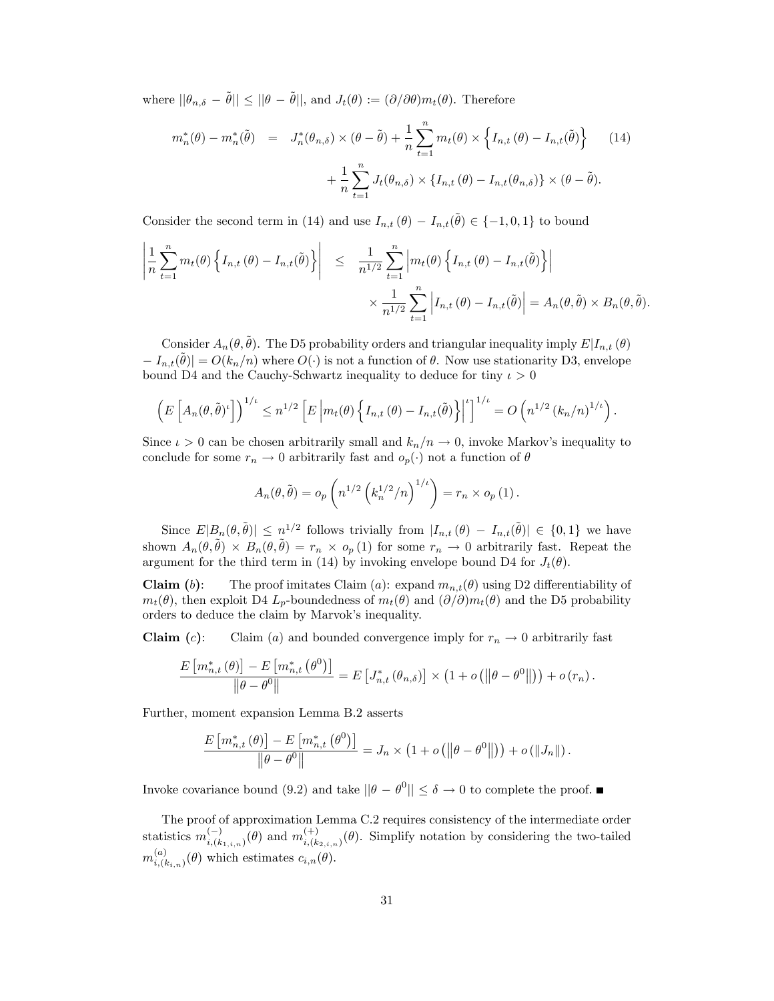where  $||\theta_{n,\delta} - \tilde{\theta}|| \le ||\theta - \tilde{\theta}||$ , and  $J_t(\theta) := (\partial/\partial \theta)m_t(\theta)$ . Therefore

$$
m_n^*(\theta) - m_n^*(\tilde{\theta}) = J_n^*(\theta_{n,\delta}) \times (\theta - \tilde{\theta}) + \frac{1}{n} \sum_{t=1}^n m_t(\theta) \times \left\{ I_{n,t}(\theta) - I_{n,t}(\tilde{\theta}) \right\} \tag{14}
$$

$$
+ \frac{1}{n} \sum_{t=1}^n J_t(\theta_{n,\delta}) \times \left\{ I_{n,t}(\theta) - I_{n,t}(\theta_{n,\delta}) \right\} \times (\theta - \tilde{\theta}).
$$

Consider the second term in (14) and use  $I_{n,t}(\theta) - I_{n,t}(\tilde{\theta}) \in \{-1,0,1\}$  to bound

$$
\left| \frac{1}{n} \sum_{t=1}^{n} m_t(\theta) \left\{ I_{n,t}(\theta) - I_{n,t}(\tilde{\theta}) \right\} \right| \leq \frac{1}{n^{1/2}} \sum_{t=1}^{n} \left| m_t(\theta) \left\{ I_{n,t}(\theta) - I_{n,t}(\tilde{\theta}) \right\} \right|
$$
  

$$
\times \frac{1}{n^{1/2}} \sum_{t=1}^{n} \left| I_{n,t}(\theta) - I_{n,t}(\tilde{\theta}) \right| = A_n(\theta, \tilde{\theta}) \times B_n(\theta, \tilde{\theta}).
$$

Consider  $A_n(\theta, \tilde{\theta})$ . The D5 probability orders and triangular inequality imply  $E|I_{n,t}(\theta)$  $I_{n,t}(\tilde{\theta}) = O(k_n/n)$  where  $O(\cdot)$  is not a function of  $\theta$ . Now use stationarity D3, envelope bound D4 and the Cauchy-Schwartz inequality to deduce for tiny  $\iota > 0$ 

$$
\left(E\left[A_n(\theta,\tilde{\theta})^{\iota}\right]\right)^{1/\iota} \leq n^{1/2} \left[E\left|m_t(\theta)\left\{I_{n,t}(\theta) - I_{n,t}(\tilde{\theta})\right\}\right|^{2}\right]^{1/\iota} = O\left(n^{1/2} \left(k_n/n\right)^{1/\iota}\right).
$$

Since  $\iota > 0$  can be chosen arbitrarily small and  $k_n/n \to 0$ , invoke Markov's inequality to conclude for some  $r_n \to 0$  arbitrarily fast and  $o_p(\cdot)$  not a function of  $\theta$ 

$$
A_n(\theta, \tilde{\theta}) = o_p\left(n^{1/2} \left(k_n^{1/2}/n\right)^{1/\iota}\right) = r_n \times o_p\left(1\right).
$$

Since  $E|B_n(\theta, \tilde{\theta})| \leq n^{1/2}$  follows trivially from  $|I_{n,t}(\theta) - I_{n,t}(\tilde{\theta})| \in \{0,1\}$  we have shown  $A_n(\theta, \tilde{\theta}) \times B_n(\theta, \tilde{\theta}) = r_n \times o_p(1)$  for some  $r_n \to 0$  arbitrarily fast. Repeat the argument for the third term in (14) by invoking envelope bound D4 for  $J_t(\theta)$ .

**Claim** (b): The proof imitates Claim (a): expand  $m_{n,t}(\theta)$  using D2 differentiability of  $m_t(\theta)$ , then exploit D4  $L_p$ -boundedness of  $m_t(\theta)$  and  $(\partial/\partial m_t(\theta))$  and the D5 probability orders to deduce the claim by Marvok's inequality.

**Claim** (c): Claim (a) and bounded convergence imply for  $r_n \to 0$  arbitrarily fast

$$
\frac{E\left[m_{n,t}^{*}\left(\theta\right)\right] - E\left[m_{n,t}^{*}\left(\theta^{0}\right)\right]}{\left\|\theta - \theta^{0}\right\|} = E\left[J_{n,t}^{*}\left(\theta_{n,\delta}\right)\right] \times \left(1 + o\left(\left\|\theta - \theta^{0}\right\|\right)\right) + o\left(r_{n}\right).
$$

Further, moment expansion Lemma B.2 asserts

$$
\frac{E\left[m_{n,t}^*\left(\theta\right)\right] - E\left[m_{n,t}^*\left(\theta^0\right)\right]}{\left\|\theta - \theta^0\right\|} = J_n \times \left(1 + o\left(\left\|\theta - \theta^0\right\|\right)\right) + o\left(\left\|J_n\right\|\right).
$$

Invoke covariance bound (9.2) and take  $||\theta - \theta^0|| \le \delta \to 0$  to complete the proof.

The proof of approximation Lemma C.2 requires consistency of the intermediate order statistics  $m_{i,(k_{1,i,n})}^{(-)}(\theta)$  and  $m_{i,(k)}^{(+)}$  $\sum_{i,(k_{2,i,n})}^{(+)}(\theta)$ . Simplify notation by considering the two-tailed  $m^{(a)}_{i~\mu}$  $\chi_{i,(k_{i,n})}^{(a)}(\theta)$  which estimates  $c_{i,n}(\theta)$ .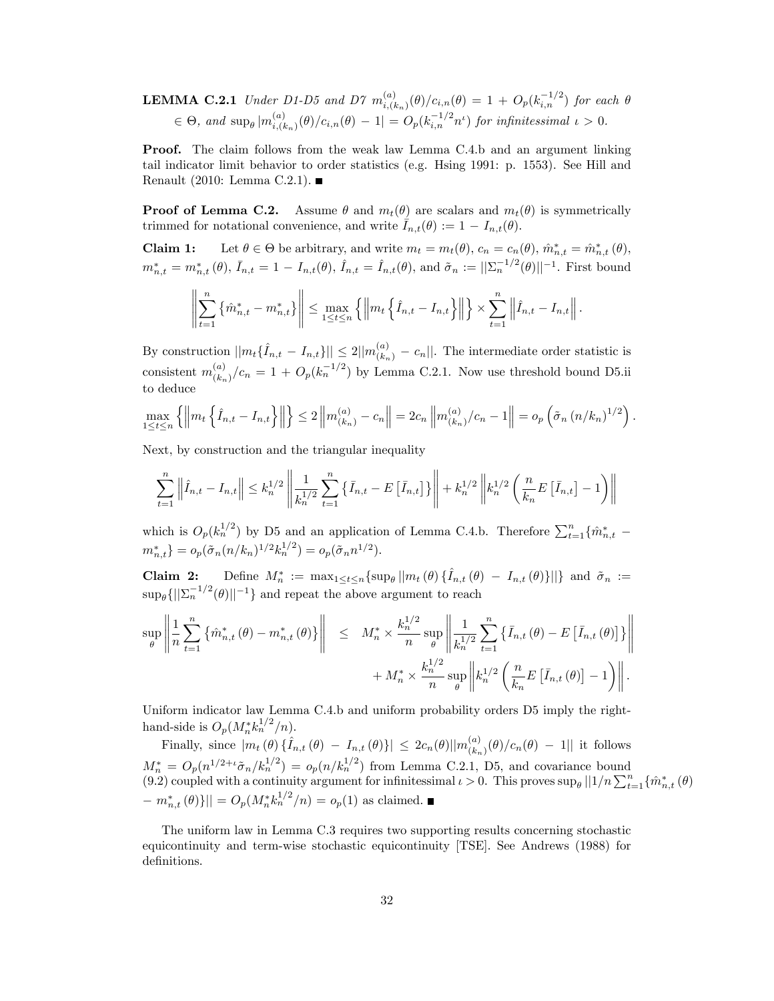**LEMMA C.2.1** Under D1-D5 and D7  $m_{i}^{(a)}$  $\sum_{i,(k_n)}^{(a)}(\theta)/c_{i,n}(\theta) = 1 + O_p(k_{i,n}^{-1/2})$  for each  $\theta$  $\in \Theta$ , and  $\sup_{\theta} | m_{i, (\theta)}^{(a)} |$  $\sum_{i,(k_n)}^{(a)}(\theta)/c_{i,n}(\theta) - 1 = O_p(k_{i,n}^{-1/2}n^{\iota})$  for infinitessimal  $\iota > 0$ .

Proof. The claim follows from the weak law Lemma C.4.b and an argument linking tail indicator limit behavior to order statistics (e.g. Hsing 1991: p. 1553). See Hill and Renault (2010: Lemma C.2.1).

**Proof of Lemma C.2.** Assume  $\theta$  and  $m_t(\theta)$  are scalars and  $m_t(\theta)$  is symmetrically trimmed for notational convenience, and write  $\bar{I}_{n,t}(\theta) := 1 - I_{n,t}(\theta)$ .

**Claim 1:** Let  $\theta \in \Theta$  be arbitrary, and write  $m_t = m_t(\theta)$ ,  $c_n = c_n(\theta)$ ,  $\hat{m}^*_{n,t} = \hat{m}^*_{n,t}(\theta)$ ,  $m_{n,t}^* = m_{n,t}^*(\theta), \bar{I}_{n,t} = 1 - I_{n,t}(\theta), \hat{I}_{n,t} = \hat{I}_{n,t}(\theta)$ , and  $\tilde{\sigma}_n := ||\Sigma_n^{-1/2}(\theta)||^{-1}$ . First bound

$$
\left\| \sum_{t=1}^{n} \left\{ \hat{m}_{n,t}^{*} - m_{n,t}^{*} \right\} \right\| \leq \max_{1 \leq t \leq n} \left\{ \left\| m_t \left\{ \hat{I}_{n,t} - I_{n,t} \right\} \right\| \right\} \times \sum_{t=1}^{n} \left\| \hat{I}_{n,t} - I_{n,t} \right\|.
$$

By construction  $||m_t\{\hat{I}_{n,t} - I_{n,t}\}|| \leq 2||m_{(k_n)}^{(a)} - c_n||$ . The intermediate order statistic is consistent  $m_{\ell k}^{(a)}$  $\binom{(a)}{(k_n)}$   $\binom{(c_n)}{n}$  = 1 +  $O_p(k_n^{-1/2})$  by Lemma C.2.1. Now use threshold bound D5.ii to deduce

$$
\max_{1 \le t \le n} \left\{ \left\| m_t \left\{ \hat{I}_{n,t} - I_{n,t} \right\} \right\| \right\} \le 2 \left\| m_{(k_n)}^{(a)} - c_n \right\| = 2c_n \left\| m_{(k_n)}^{(a)} / c_n - 1 \right\| = o_p \left( \tilde{\sigma}_n \left( n / k_n \right)^{1/2} \right).
$$

Next, by construction and the triangular inequality

$$
\sum_{t=1}^{n} \left\| \hat{I}_{n,t} - I_{n,t} \right\| \leq k_n^{1/2} \left\| \frac{1}{k_n^{1/2}} \sum_{t=1}^{n} \left\{ \bar{I}_{n,t} - E\left[ \bar{I}_{n,t} \right] \right\} \right\| + k_n^{1/2} \left\| k_n^{1/2} \left( \frac{n}{k_n} E\left[ \bar{I}_{n,t} \right] - 1 \right) \right\|
$$

which is  $O_p(k_n^{1/2})$  by D5 and an application of Lemma C.4.b. Therefore  $\sum_{t=1}^n \{\hat{m}^*_{n,t}$  $m_{n,t}^* = o_p(\tilde{\sigma}_n(n/k_n)^{1/2} k_n^{1/2}) = o_p(\tilde{\sigma}_n n^{1/2}).$ 

**Claim 2:** Define  $M_n^* := \max_{1 \leq t \leq n} \{ \sup_{\theta} ||m_t(\theta) \{ \hat{I}_{n,t}(\theta) - I_{n,t}(\theta) \} || \}$  and  $\tilde{\sigma}_n :=$  $\sup_{\theta} \{||\Sigma_n^{-1/2}(\theta)||^{-1}\}\$ and repeat the above argument to reach

$$
\sup_{\theta} \left\| \frac{1}{n} \sum_{t=1}^{n} \left\{ \hat{m}_{n,t}^{*}(\theta) - m_{n,t}^{*}(\theta) \right\} \right\| \leq M_n^{*} \times \frac{k_n^{1/2}}{n} \sup_{\theta} \left\| \frac{1}{k_n^{1/2}} \sum_{t=1}^{n} \left\{ \bar{I}_{n,t}(\theta) - E\left[\bar{I}_{n,t}(\theta)\right]\right\} \right\| + M_n^{*} \times \frac{k_n^{1/2}}{n} \sup_{\theta} \left\| k_n^{1/2} \left( \frac{n}{k_n} E\left[\bar{I}_{n,t}(\theta)\right] - 1 \right) \right\|.
$$

Uniform indicator law Lemma C.4.b and uniform probability orders D5 imply the righthand-side is  $O_p(M_n^* k_n^{1/2}/n)$ .

Finally, since  $|m_t(\theta) \{\hat{I}_{n,t}(\theta) - I_{n,t}(\theta)\}] \leq 2c_n(\theta) ||m_{(k_n)}^{(a)}(\theta)/c_n(\theta) - 1||$  it follows  $\left( k_{n}\right)$  $M_n^* = O_p(n^{1/2 + \iota} \tilde{\sigma}_n / k_n^{1/2}) = o_p(n / k_n^{1/2})$  from Lemma C.2.1, D5, and covariance bound (9.2) coupled with a continuity argument for infinitessimal  $\iota > 0$ . This proves sup<sub> $\theta$ </sub>  $||1/n \sum_{t=1}^{n} {\hat{m}^*_{n,t}(\theta)}$  $-m_{n,t}^*(\theta)$ || =  $O_p(M_n^* k_n^{1/2}/n) = o_p(1)$  as claimed.

The uniform law in Lemma C.3 requires two supporting results concerning stochastic equicontinuity and term-wise stochastic equicontinuity [TSE]. See Andrews (1988) for definitions.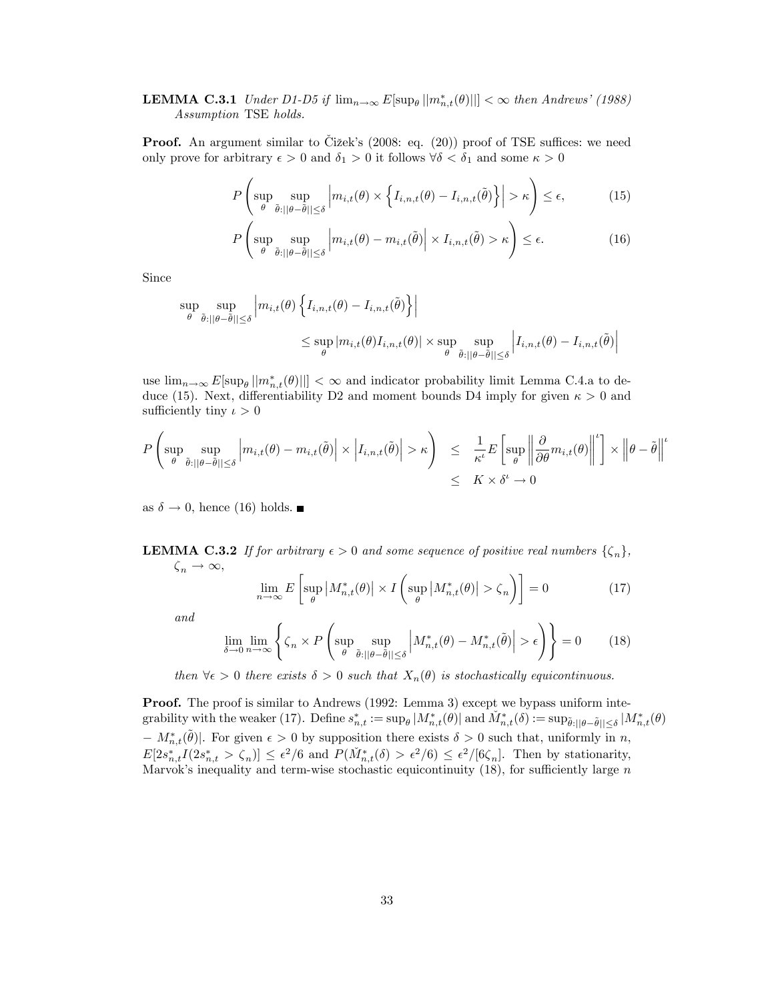# **LEMMA C.3.1** Under D1-D5 if  $\lim_{n\to\infty} E[\sup_{\theta} || m_{n,t}^*(\theta) ||] < \infty$  then Andrews' (1988) Assumption TSE holds.

**Proof.** An argument similar to Čižek's  $(2008:$  eq.  $(20))$  proof of TSE suffices: we need only prove for arbitrary  $\epsilon > 0$  and  $\delta_1 > 0$  it follows  $\forall \delta < \delta_1$  and some  $\kappa > 0$ 

$$
P\left(\sup_{\theta} \sup_{\tilde{\theta}:||\theta-\tilde{\theta}||\leq \delta} \left| m_{i,t}(\theta) \times \left\{ I_{i,n,t}(\theta) - I_{i,n,t}(\tilde{\theta}) \right\} \right| > \kappa \right) \leq \epsilon, \tag{15}
$$

$$
P\left(\sup_{\theta} \sup_{\tilde{\theta}:||\theta-\tilde{\theta}||\leq \delta} \left| m_{i,t}(\theta) - m_{i,t}(\tilde{\theta}) \right| \times I_{i,n,t}(\tilde{\theta}) > \kappa \right) \leq \epsilon.
$$
 (16)

Since

$$
\sup_{\theta} \sup_{\tilde{\theta}:||\theta-\tilde{\theta}||\leq \delta} \left| m_{i,t}(\theta) \left\{ I_{i,n,t}(\theta) - I_{i,n,t}(\tilde{\theta}) \right\} \right|
$$
  

$$
\leq \sup_{\theta} |m_{i,t}(\theta)I_{i,n,t}(\theta)| \times \sup_{\theta} \sup_{\tilde{\theta}:||\theta-\tilde{\theta}||\leq \delta} \left| I_{i,n,t}(\theta) - I_{i,n,t}(\tilde{\theta}) \right|
$$

use  $\lim_{n\to\infty} E[\sup_{\theta} ||m_{n,t}^*(\theta)||] < \infty$  and indicator probability limit Lemma C.4.a to deduce (15). Next, differentiability D2 and moment bounds D4 imply for given  $\kappa > 0$  and sufficiently tiny  $\iota > 0$ 

$$
P\left(\sup_{\theta} \sup_{\tilde{\theta}:||\theta-\tilde{\theta}||\leq \delta} \left| m_{i,t}(\theta) - m_{i,t}(\tilde{\theta}) \right| \times \left| I_{i,n,t}(\tilde{\theta}) \right| > \kappa \right) \leq \frac{1}{\kappa^{\iota}} E\left[ \sup_{\theta} \left\| \frac{\partial}{\partial \theta} m_{i,t}(\theta) \right\|^{2} \right] \times \left\| \theta - \tilde{\theta} \right\|^{2}
$$

$$
\leq K \times \delta^{\iota} \to 0
$$

as  $\delta \to 0$ , hence (16) holds.

**LEMMA C.3.2** If for arbitrary  $\epsilon > 0$  and some sequence of positive real numbers  $\{\zeta_n\}$ ,  $\zeta_n \to \infty$ ,

$$
\lim_{n \to \infty} E\left[\sup_{\theta} |M_{n,t}^*(\theta)| \times I\left(\sup_{\theta} |M_{n,t}^*(\theta)| > \zeta_n\right)\right] = 0 \tag{17}
$$

and

$$
\lim_{\delta \to 0} \lim_{n \to \infty} \left\{ \zeta_n \times P \left( \sup_{\theta} \sup_{\tilde{\theta} : ||\theta - \tilde{\theta}|| \le \delta} \left| M_{n,t}^*(\theta) - M_{n,t}^*(\tilde{\theta}) \right| > \epsilon \right) \right\} = 0 \tag{18}
$$

then  $\forall \epsilon > 0$  there exists  $\delta > 0$  such that  $X_n(\theta)$  is stochastically equicontinuous.

**Proof.** The proof is similar to Andrews (1992: Lemma 3) except we bypass uniform integrability with the weaker (17). Define  $s_{n,t}^* := \sup_{\theta} |M_{n,t}^*(\theta)|$  and  $\check{M}_{n,t}^*(\delta) := \sup_{\tilde{\theta} : ||\theta - \tilde{\theta}|| \leq \delta} |M_{n,t}^*(\theta)|$  $-M_{n,t}^{*}(\tilde{\theta})$ . For given  $\epsilon > 0$  by supposition there exists  $\delta > 0$  such that, uniformly in n,  $E[2s_{n,t}^* I(2s_{n,t}^* > \zeta_n)] \leq \epsilon^2/6$  and  $P(\check{M}_{n,t}^*(\delta) > \epsilon^2/6) \leq \epsilon^2/[6\zeta_n]$ . Then by stationarity, Marvok's inequality and term-wise stochastic equicontinuity (18), for sufficiently large  $n$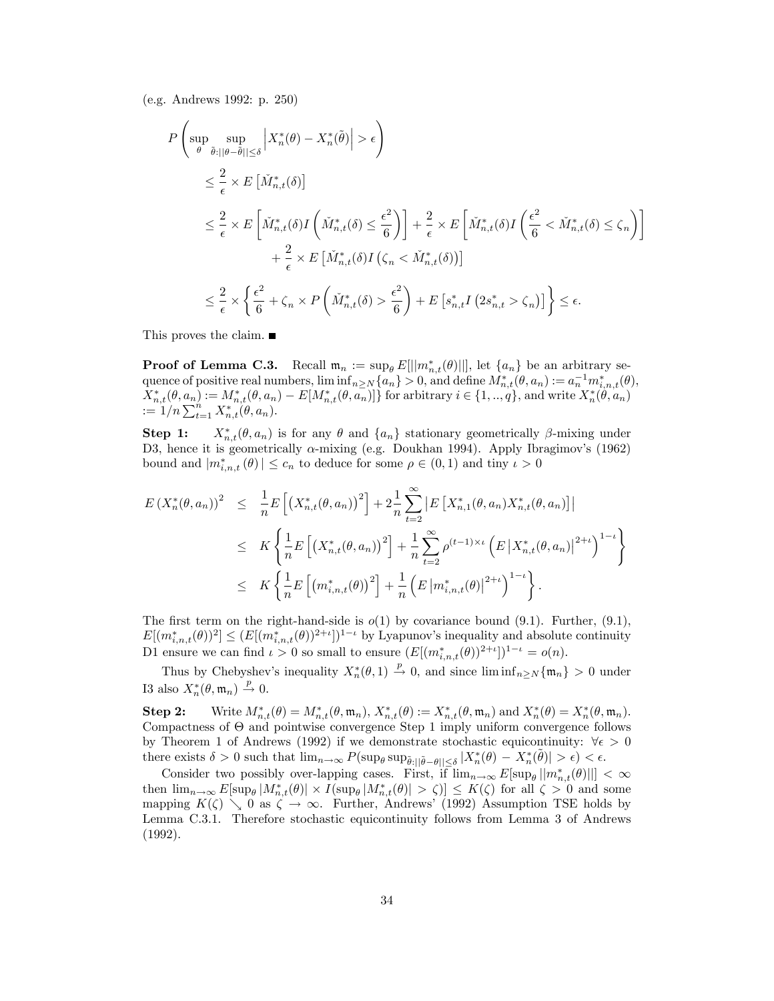(e.g. Andrews 1992: p. 250)

$$
P\left(\sup_{\theta} \sup_{\tilde{\theta}:||\theta-\tilde{\theta}||\leq \delta} \left|X_n^*(\theta) - X_n^*(\tilde{\theta})\right| > \epsilon\right)
$$
  
\n
$$
\leq \frac{2}{\epsilon} \times E\left[\check{M}_{n,t}^*(\delta)\right]
$$
  
\n
$$
\leq \frac{2}{\epsilon} \times E\left[\check{M}_{n,t}^*(\delta)I\left(\check{M}_{n,t}^*(\delta) \leq \frac{\epsilon^2}{6}\right)\right] + \frac{2}{\epsilon} \times E\left[\check{M}_{n,t}^*(\delta)I\left(\frac{\epsilon^2}{6} < \check{M}_{n,t}^*(\delta) \leq \zeta_n\right)\right]
$$
  
\n
$$
+ \frac{2}{\epsilon} \times E\left[\check{M}_{n,t}^*(\delta)I\left(\zeta_n < \check{M}_{n,t}^*(\delta)\right)\right]
$$
  
\n
$$
\leq \frac{2}{\epsilon} \times \left\{\frac{\epsilon^2}{6} + \zeta_n \times P\left(\check{M}_{n,t}^*(\delta) > \frac{\epsilon^2}{6}\right) + E\left[s_{n,t}^*\tilde{I}\left(2s_{n,t}^* > \zeta_n\right)\right]\right\} \leq \epsilon.
$$

This proves the claim. ■

**Proof of Lemma C.3.** Recall  $\mathfrak{m}_n := \sup_{\theta} E[||m_{n,t}^*(\theta)||]$ , let  $\{a_n\}$  be an arbitrary sequence of positive real numbers,  $\liminf_{n\geq N}\{a_n\} > 0$ , and define  $M^*_{n,t}(\theta, a_n) := a_n^{-1}m^*_{i,n,t}(\theta)$ ,  $X_{n,t}^*(\theta, a_n) := M_{n,t}^*(\theta, a_n) - E[M_{n,t}^*(\theta, a_n)]$  for arbitrary  $i \in \{1, ..., q\}$ , and write  $X_n^*(\theta, a_n)$  $:= 1/n \sum_{t=1}^n X_{n,t}^{*}(\theta, a_n).$ 

Step 1:  $X_{n,t}^*(\theta, a_n)$  is for any  $\theta$  and  $\{a_n\}$  stationary geometrically  $\beta$ -mixing under D3, hence it is geometrically  $\alpha$ -mixing (e.g. Doukhan 1994). Apply Ibragimov's (1962) bound and  $|m_{i,n,t}^*(\theta)| \leq c_n$  to deduce for some  $\rho \in (0,1)$  and tiny  $\iota > 0$ 

$$
E(X_n^*(\theta, a_n))^2 \leq \frac{1}{n} E\left[ \left( X_{n,t}^*(\theta, a_n) \right)^2 \right] + 2 \frac{1}{n} \sum_{t=2}^{\infty} \left| E\left[ X_{n,1}^*(\theta, a_n) X_{n,t}^*(\theta, a_n) \right] \right|
$$
  

$$
\leq K \left\{ \frac{1}{n} E\left[ \left( X_{n,t}^*(\theta, a_n) \right)^2 \right] + \frac{1}{n} \sum_{t=2}^{\infty} \rho^{(t-1)\times t} \left( E\left| X_{n,t}^*(\theta, a_n) \right|^{2+t} \right)^{1-t} \right\}
$$
  

$$
\leq K \left\{ \frac{1}{n} E\left[ \left( m_{i,n,t}^*(\theta) \right)^2 \right] + \frac{1}{n} \left( E\left| m_{i,n,t}^*(\theta) \right|^{2+t} \right)^{1-t} \right\}.
$$

The first term on the right-hand-side is  $o(1)$  by covariance bound (9.1). Further, (9.1),  $E[(m^*_{i,n,t}(\theta))^2] \leq (E[(m^*_{i,n,t}(\theta))^{2+\iota}])^{1-\iota}$  by Lyapunov's inequality and absolute continuity D1 ensure we can find  $\iota > 0$  so small to ensure  $(E[(m_{i,n,t}^*(\theta))^{2+\iota}])^{1-\iota} = o(n)$ .

Thus by Chebyshev's inequality  $X_n^*(\theta,1) \stackrel{p}{\to} 0$ , and since  $\liminf_{n\geq N} {\{\mathfrak{m}_n\}} > 0$  under I3 also  $X_n^*(\theta, \mathfrak{m}_n) \stackrel{p}{\to} 0$ .

 $\textbf{Step 2:} \qquad \text{Write } M^*_{n,t}(\theta) = M^*_{n,t}(\theta,\mathfrak{m}_n), \, X^*_{n,t}(\theta) := X^*_{n,t}(\theta,\mathfrak{m}_n) \text{ and } X^*_n(\theta) = X^*_n(\theta,\mathfrak{m}_n).$ Compactness of  $\Theta$  and pointwise convergence Step 1 imply uniform convergence follows by Theorem 1 of Andrews (1992) if we demonstrate stochastic equicontinuity:  $\forall \epsilon > 0$ there exists  $\delta > 0$  such that  $\lim_{n \to \infty} P(\sup_{\theta} \sup_{\tilde{\theta} : ||\tilde{\theta} - \theta|| \leq \delta} |X_n^*(\theta) - X_n^*(\tilde{\theta})| > \epsilon) < \epsilon$ .

Consider two possibly over-lapping cases. First, if  $\lim_{n\to\infty} E[\sup_{\theta} ||m^*_{n,t}(\theta)||] < \infty$ then  $\lim_{n\to\infty} E[\sup_{\theta}|M^*_{n,t}(\theta)| \times I(\sup_{\theta}|M^*_{n,t}(\theta)| > \zeta)] \leq K(\zeta)$  for all  $\zeta > 0$  and some mapping  $K(\zeta) \searrow 0$  as  $\zeta \to \infty$ . Further, Andrews' (1992) Assumption TSE holds by Lemma C.3.1. Therefore stochastic equicontinuity follows from Lemma 3 of Andrews (1992).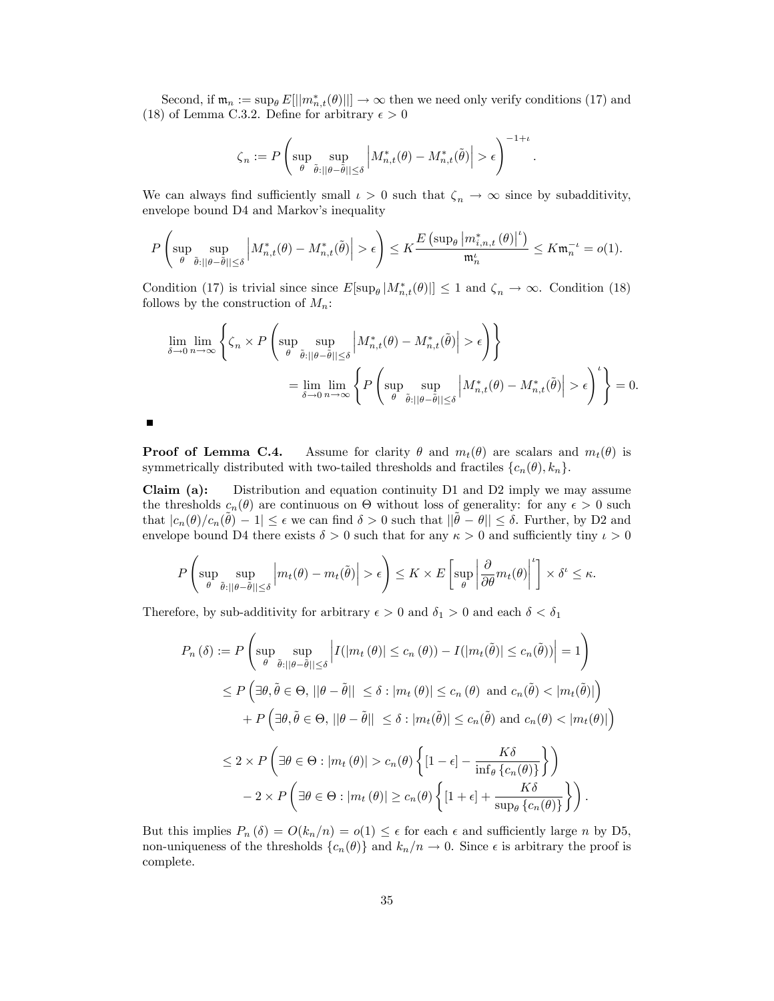Second, if  $\mathfrak{m}_n := \sup_{\theta} E[||m_{n,t}^*(\theta)||] \to \infty$  then we need only verify conditions (17) and (18) of Lemma C.3.2. Define for arbitrary  $\epsilon > 0$ 

$$
\zeta_n:=P\left(\sup_{\theta}\sup_{\tilde{\theta}:||\theta-\tilde{\theta}||\leq\delta}\left|M_{n,t}^*(\theta)-M_{n,t}^*(\tilde{\theta})\right|>\epsilon\right)^{-1+\iota}
$$

:

We can always find sufficiently small  $\iota > 0$  such that  $\zeta_n \to \infty$  since by subadditivity, envelope bound D4 and Markov's inequality

$$
P\left(\sup_{\theta} \sup_{\tilde{\theta}:||\theta-\tilde{\theta}||\leq \delta} \left|M^*_{n,t}(\theta)-M^*_{n,t}(\tilde{\theta})\right|>\epsilon\right)\leq K\frac{E\left(\sup_{\theta}\left|m^*_{i,n,t}\left(\theta\right)\right|^\iota\right)}{\mathfrak{m}_n^\iota}\leq K\mathfrak{m}_n^{-\iota}=o(1).
$$

Condition (17) is trivial since  $E[\sup_{\theta} | M_{n,t}^*(\theta) ] \leq 1$  and  $\zeta_n \to \infty$ . Condition (18) follows by the construction of  $M_n$ :

$$
\lim_{\delta \to 0} \lim_{n \to \infty} \left\{ \zeta_n \times P \left( \sup_{\theta} \sup_{\tilde{\theta}: ||\theta - \tilde{\theta}|| \le \delta} \left| M_{n,t}^*(\theta) - M_{n,t}^*(\tilde{\theta}) \right| > \epsilon \right) \right\}
$$
\n
$$
= \lim_{\delta \to 0} \lim_{n \to \infty} \left\{ P \left( \sup_{\theta} \sup_{\tilde{\theta}: ||\theta - \tilde{\theta}|| \le \delta} \left| M_{n,t}^*(\theta) - M_{n,t}^*(\tilde{\theta}) \right| > \epsilon \right)^t \right\} = 0.
$$

**Proof of Lemma C.4.** Assume for clarity  $\theta$  and  $m_t(\theta)$  are scalars and  $m_t(\theta)$  is symmetrically distributed with two-tailed thresholds and fractiles  $\{c_n(\theta), k_n\}$ .

Claim (a): Distribution and equation continuity D1 and D2 imply we may assume the thresholds  $c_n(\theta)$  are continuous on  $\Theta$  without loss of generality: for any  $\epsilon > 0$  such that  $|c_n(\theta)/c_n(\tilde{\theta})-1| \leq \epsilon$  we can find  $\delta > 0$  such that  $||\tilde{\theta} - \theta|| \leq \delta$ . Further, by D2 and envelope bound D4 there exists  $\delta > 0$  such that for any  $\kappa > 0$  and sufficiently tiny  $\iota > 0$ 

$$
P\left(\sup_{\theta}\sup_{\tilde{\theta}:||\theta-\tilde{\theta}||\leq\delta}\left|m_t(\theta)-m_t(\tilde{\theta})\right|>\epsilon\right)\leq K\times E\left[\sup_{\theta}\left|\frac{\partial}{\partial\theta}m_t(\theta)\right|^{\iota}\right]\times\delta^{\iota}\leq\kappa.
$$

Therefore, by sub-additivity for arbitrary  $\epsilon > 0$  and  $\delta_1 > 0$  and each  $\delta < \delta_1$ 

$$
P_n(\delta) := P\left(\sup_{\theta} \sup_{\tilde{\theta}:||\theta-\tilde{\theta}||\leq \delta} \left| I(|m_t(\theta)| \leq c_n(\theta)) - I(|m_t(\tilde{\theta})| \leq c_n(\tilde{\theta})) \right| = 1\right)
$$
  
\n
$$
\leq P\left(\exists \theta, \tilde{\theta} \in \Theta, ||\theta-\tilde{\theta}|| \leq \delta : |m_t(\theta)| \leq c_n(\theta) \text{ and } c_n(\tilde{\theta}) < |m_t(\tilde{\theta})|\right)
$$
  
\n
$$
+ P\left(\exists \theta, \tilde{\theta} \in \Theta, ||\theta-\tilde{\theta}|| \leq \delta : |m_t(\tilde{\theta})| \leq c_n(\tilde{\theta}) \text{ and } c_n(\theta) < |m_t(\theta)|\right)
$$
  
\n
$$
\leq 2 \times P\left(\exists \theta \in \Theta : |m_t(\theta)| > c_n(\theta) \left\{ [1-\epsilon] - \frac{K\delta}{\inf_{\theta} \{c_n(\theta)\}} \right\} \right)
$$
  
\n
$$
-2 \times P\left(\exists \theta \in \Theta : |m_t(\theta)| \geq c_n(\theta) \left\{ [1+\epsilon] + \frac{K\delta}{\sup_{\theta} \{c_n(\theta)\}} \right\} \right).
$$

But this implies  $P_n(\delta) = O(k_n/n) = o(1) \leq \epsilon$  for each  $\epsilon$  and sufficiently large n by D5, non-uniqueness of the thresholds  $\{c_n(\theta)\}\$  and  $k_n/n \to 0$ . Since  $\epsilon$  is arbitrary the proof is complete.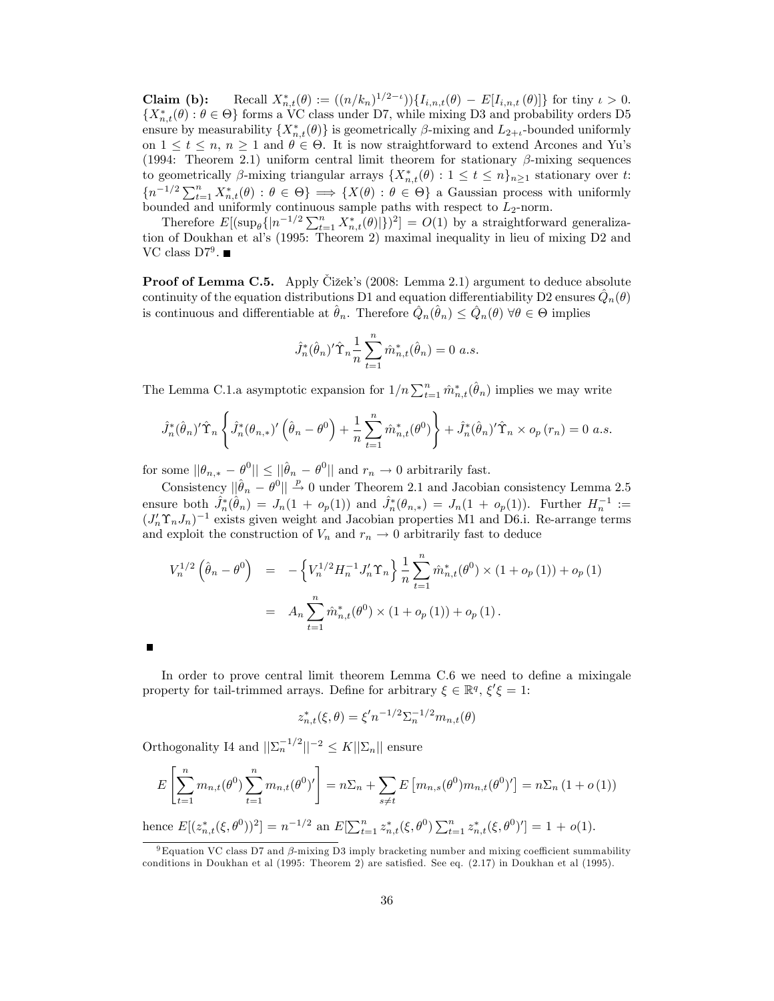**Claim (b):** Recall  $X_{n,t}^*(\theta) := ((n/k_n)^{1/2-\iota})\{I_{i,n,t}(\theta) - E[I_{i,n,t}(\theta)]\}$  for tiny  $\iota > 0$ .  ${X_{n,t}^*(\theta): \theta \in \Theta}$  forms a VC class under D7, while mixing D3 and probability orders D5 ensure by measurability  $\{X_{n,t}^*(\theta)\}\$ is geometrically  $\beta$ -mixing and  $L_{2+t}$ -bounded uniformly on  $1 \le t \le n$ ,  $n \ge 1$  and  $\theta \in \Theta$ . It is now straightforward to extend Arcones and Yu's (1994: Theorem 2.1) uniform central limit theorem for stationary  $\beta$ -mixing sequences to geometrically  $\beta$ -mixing triangular arrays  $\{X_{n,t}^*(\theta): 1 \le t \le n\}_{n\ge 1}$  stationary over t:  ${n^{-1/2}}\sum_{t=1}^n X_{n,t}^*(\theta) : \theta \in \Theta$   $\implies$  { $X(\theta) : \theta \in \Theta$ } a Gaussian process with uniformly bounded and uniformly continuous sample paths with respect to  $L_2$ -norm.

Therefore  $E[(\sup_{\theta}\{|n^{-1/2}\sum_{t=1}^{n}X_{n,t}^*(\theta)|\})^2] = O(1)$  by a straightforward generalization of Doukhan et al's (1995: Theorem 2) maximal inequality in lieu of mixing D2 and VC class  $D7^9$ .

**Proof of Lemma C.5.** Apply Cizek's (2008: Lemma 2.1) argument to deduce absolute continuity of the equation distributions D1 and equation differentiability D2 ensures  $\hat{Q}_n(\theta)$ is continuous and differentiable at  $\hat{\theta}_n$ . Therefore  $\hat{Q}_n(\hat{\theta}_n) \leq \hat{Q}_n(\theta) \,\forall \theta \in \Theta$  implies

$$
\hat{J}_n^*(\hat{\theta}_n)'\hat{\Upsilon}_n \frac{1}{n} \sum_{t=1}^n \hat{m}_{n,t}^*(\hat{\theta}_n) = 0 \ a.s.
$$

The Lemma C.1.a asymptotic expansion for  $1/n \sum_{t=1}^n \hat{m}_{n,t}^*(\hat{\theta}_n)$  implies we may write

$$
\hat{J}_n^*(\hat{\theta}_n)'\hat{\Upsilon}_n\left\{\hat{J}_n^*(\theta_{n,*})'\left(\hat{\theta}_n-\theta^0\right)+\frac{1}{n}\sum_{t=1}^n\hat{m}_{n,t}^*(\theta^0)\right\}+\hat{J}_n^*(\hat{\theta}_n)'\hat{\Upsilon}_n\times o_p(r_n)=0\ a.s.
$$

for some  $||\theta_{n,*} - \theta^0|| \le ||\hat{\theta}_n - \theta^0||$  and  $r_n \to 0$  arbitrarily fast.

Consistency  $\|\hat{\theta}_n - \theta^0\| \stackrel{p}{\rightarrow} 0$  under Theorem 2.1 and Jacobian consistency Lemma 2.5 ensure both  $\hat{J}_n^*(\hat{\theta}_n) = J_n(1 + o_p(1))$  and  $\hat{J}_n^*(\theta_{n,*}) = J_n(1 + o_p(1))$ . Further  $H_n^{-1} :=$  $(J'_n \Upsilon_n J_n)^{-1}$  exists given weight and Jacobian properties M1 and D6.i. Re-arrange terms and exploit the construction of  $V_n$  and  $r_n \to 0$  arbitrarily fast to deduce

$$
V_n^{1/2}(\hat{\theta}_n - \theta^0) = -\left\{ V_n^{1/2} H_n^{-1} J_n' \Upsilon_n \right\} \frac{1}{n} \sum_{t=1}^n \hat{m}_{n,t}^*(\theta^0) \times (1 + o_p(1)) + o_p(1)
$$
  
= 
$$
A_n \sum_{t=1}^n \hat{m}_{n,t}^*(\theta^0) \times (1 + o_p(1)) + o_p(1).
$$

In order to prove central limit theorem Lemma C.6 we need to define a mixingale property for tail-trimmed arrays. Define for arbitrary  $\xi \in \mathbb{R}^q$ ,  $\xi' \xi = 1$ :

$$
z_{n,t}^*(\xi,\theta) = \xi' n^{-1/2} \Sigma_n^{-1/2} m_{n,t}(\theta)
$$

Orthogonality I4 and  $||\sum_{n}^{-1/2}||^{-2} \leq K||\sum_{n}||$  ensure

$$
E\left[\sum_{t=1}^{n} m_{n,t}(\theta^0) \sum_{t=1}^{n} m_{n,t}(\theta^0)'\right] = n\Sigma_n + \sum_{s \neq t} E\left[m_{n,s}(\theta^0) m_{n,t}(\theta^0)'\right] = n\Sigma_n (1 + o(1))
$$

hence  $E[(z_{n,t}^*(\xi, \theta^0))^2] = n^{-1/2}$  an  $E[\sum_{t=1}^n z_{n,t}^*(\xi, \theta^0) \sum_{t=1}^n z_{n,t}^*(\xi, \theta^0)^t] = 1 + o(1)$ .

 $9$  Equation VC class D7 and  $\beta$ -mixing D3 imply bracketing number and mixing coefficient summability conditions in Doukhan et al  $(1995: Theorem 2)$  are satisfied. See eq.  $(2.17)$  in Doukhan et al  $(1995)$ .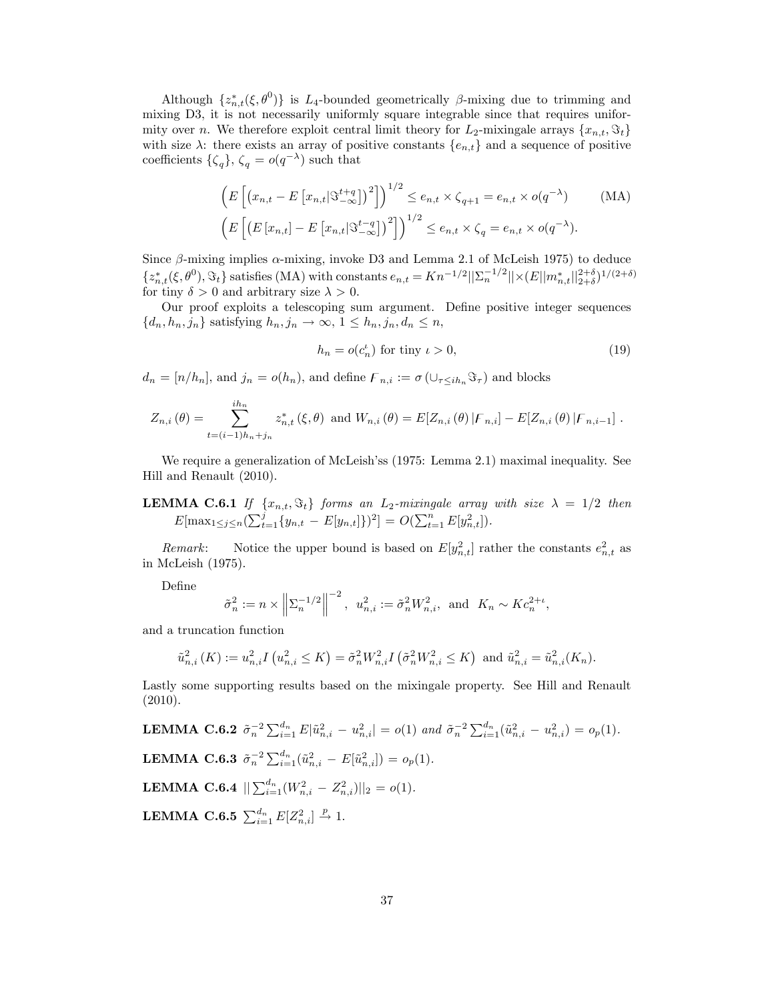Although  $\{z_{n,t}^*(\xi, \theta^0)\}\$ is L<sub>4</sub>-bounded geometrically  $\beta$ -mixing due to trimming and mixing D3, it is not necessarily uniformly square integrable since that requires uniformity over n. We therefore exploit central limit theory for  $L_2$ -mixingale arrays  $\{x_{n,t}, \Im_t\}$ with size  $\lambda$ : there exists an array of positive constants  $\{e_{n,t}\}\$  and a sequence of positive coefficients  $\{\zeta_q\}, \zeta_q = o(q^{-\lambda})$  such that

$$
\left(E\left[\left(x_{n,t} - E\left[x_{n,t}|\mathfrak{S}_{-\infty}^{t+q}\right]\right)^2\right]\right)^{1/2} \le e_{n,t} \times \zeta_{q+1} = e_{n,t} \times o(q^{-\lambda}) \qquad \text{(MA)}
$$
\n
$$
\left(E\left[\left(E\left[x_{n,t}\right] - E\left[x_{n,t}|\mathfrak{S}_{-\infty}^{t-q}\right]\right)^2\right]\right)^{1/2} \le e_{n,t} \times \zeta_q = e_{n,t} \times o(q^{-\lambda}).
$$

Since  $\beta$ -mixing implies  $\alpha$ -mixing, invoke D3 and Lemma 2.1 of McLeish 1975) to deduce  $\{z_{n,t}^*(\xi, \theta^0), \Im_t\}$  satisfies (MA) with constants  $e_{n,t} = Kn^{-1/2} ||\Sigma_n^{-1/2}|| \times (E||m_{n,t}^*||_{2+\delta}^{2+\delta})^{1/(2+\delta)}$ for tiny  $\delta > 0$  and arbitrary size  $\lambda > 0$ .

Our proof exploits a telescoping sum argument. Define positive integer sequences  $\{d_n, h_n, j_n\}$  satisfying  $h_n, j_n \to \infty$ ,  $1 \leq h_n, j_n, d_n \leq n$ ,

$$
h_n = o(c_n^{\iota}) \text{ for tiny } \iota > 0,
$$
\n<sup>(19)</sup>

 $d_n = [n/h_n]$ , and  $j_n = o(h_n)$ , and define  $F_{n,i} := \sigma(\cup_{\tau \leq ih_n} \mathfrak{S}_{\tau})$  and blocks

$$
Z_{n,i}(\theta) = \sum_{t=(i-1)h_n+j_n}^{ih_n} z_{n,t}^*(\xi,\theta) \text{ and } W_{n,i}(\theta) = E[Z_{n,i}(\theta) | \mathcal{F}_{n,i}] - E[Z_{n,i}(\theta) | \mathcal{F}_{n,i-1}].
$$

We require a generalization of McLeish'ss (1975: Lemma 2.1) maximal inequality. See Hill and Renault (2010).

# **LEMMA C.6.1** If  $\{x_{n,t}, \Im_t\}$  forms an L<sub>2</sub>-mixingale array with size  $\lambda = 1/2$  then  $E[\max_{1 \leq j \leq n} (\sum_{t=1}^j \{y_{n,t} - E[y_{n,t}]\})^2] = O(\sum_{t=1}^n E[y_{n,t}^2]).$

Remark: Notice the upper bound is based on  $E[y_{n,t}^2]$  rather the constants  $e_{n,t}^2$  as in McLeish (1975).

Define

$$
\tilde{\sigma}_n^2 := n \times \left\| \sum_{n=1}^{-1/2} \right\|^{-2}, \ u_{n,i}^2 := \tilde{\sigma}_n^2 W_{n,i}^2, \ \text{and} \ \ K_n \sim K c_n^{2+\iota},
$$

and a truncation function

$$
\tilde{u}_{n,i}^2\left(K\right):=u_{n,i}^2I\left(u_{n,i}^2\leq K\right)=\tilde{\sigma}_n^2W_{n,i}^2I\left(\tilde{\sigma}_n^2W_{n,i}^2\leq K\right) \text{ and }\tilde{u}_{n,i}^2=\tilde{u}_{n,i}^2(K_n).
$$

Lastly some supporting results based on the mixingale property. See Hill and Renault (2010).

LEMMA C.6.2 
$$
\tilde{\sigma}_n^{-2} \sum_{i=1}^{d_n} E|\tilde{u}_{n,i}^2 - u_{n,i}^2| = o(1)
$$
 and  $\tilde{\sigma}_n^{-2} \sum_{i=1}^{d_n} (\tilde{u}_{n,i}^2 - u_{n,i}^2) = o_p(1)$ .  
\nLEMMA C.6.3  $\tilde{\sigma}_n^{-2} \sum_{i=1}^{d_n} (\tilde{u}_{n,i}^2 - E[\tilde{u}_{n,i}^2]) = o_p(1)$ .  
\nLEMMA C.6.4  $||\sum_{i=1}^{d_n} (W_{n,i}^2 - Z_{n,i}^2)||_2 = o(1)$ .  
\nLEMMA C.6.5  $\sum_{i=1}^{d_n} E[Z_{n,i}^2] \stackrel{p}{\to} 1$ .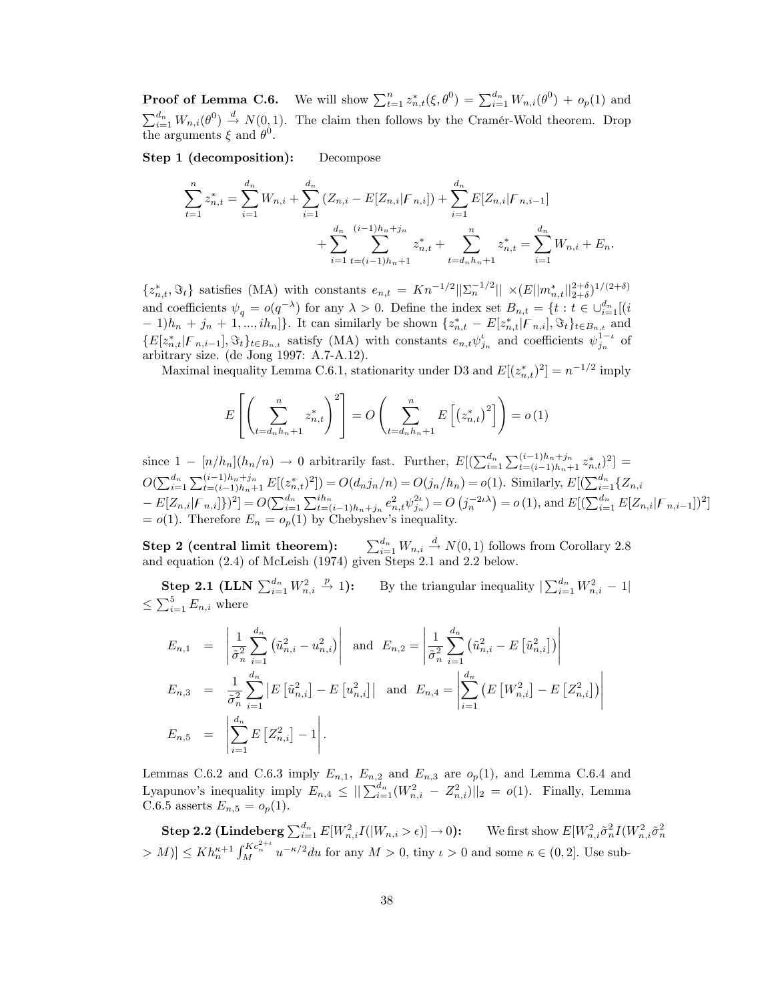**Proof of Lemma C.6.** We will show  $\sum_{t=1}^{n} z_{n,t}^*(\xi, \theta^0) = \sum_{i=1}^{d_n} W_{n,i}(\theta^0) + o_p(1)$  and  $\sum_{i=1}^{d_n} W_{n,i}(\theta^0) \stackrel{d}{\rightarrow} N(0,1)$ . The claim then follows by the Cramér-Wold theorem. Drop the arguments  $\xi$  and  $\theta^0$ .

Step 1 (decomposition): Decompose

$$
\sum_{t=1}^{n} z_{n,t}^{*} = \sum_{i=1}^{d_n} W_{n,i} + \sum_{i=1}^{d_n} (Z_{n,i} - E[Z_{n,i}|F_{n,i}]) + \sum_{i=1}^{d_n} E[Z_{n,i}|F_{n,i-1}] + \sum_{i=1}^{d_n} \sum_{t=(i-1)h_n+1}^{(i-1)h_n+j_n} z_{n,t}^{*} + \sum_{t=d_nh_n+1}^{n} z_{n,t}^{*} = \sum_{i=1}^{d_n} W_{n,i} + E_n.
$$

 $\{z_{n,t}^*, \Im_t\}$  satisfies (MA) with constants  $e_{n,t} = Kn^{-1/2} ||\Sigma_n^{-1/2}|| \times (E||m_{n,t}^*||_{2+\delta}^{2+\delta})^{1/(2+\delta)}$ and coefficients  $\psi_q = o(q^{-\lambda})$  for any  $\lambda > 0$ . Define the index set  $B_{n,t} = \{t : t \in \bigcup_{i=1}^{d_n} [(i\theta_{i-1})\sum_{i=1}^{d_n} d_i - (t\theta_{i-1})\sum_{i=1}^{d_n} d_i - (t\theta_{i-1})\sum_{i=1}^{d_n} d_i\}$  $-1)h_n + j_n + 1, ..., ih_n$ . It can similarly be shown  $\{z_{n,t}^* - E[z_{n,t}^*|F_{n,i}], \Im_t\}_{t \in B_{n,t}}$  and  $\{E[z_{n,t}^*|F_{n,i-1}], \Im_t\}_{t \in B_{n,t}}$  satisfy (MA) with constants  $e_{n,t} \psi_{j_n}^t$  and coefficients  $\psi_{j_n}^{1-t}$  of arbitrary size. (de Jong 1997: A.7-A.12).

Maximal inequality Lemma C.6.1, stationarity under D3 and  $E[(z_{n,t}^*)^2] = n^{-1/2}$  imply

$$
E\left[\left(\sum_{t=d_n h_n+1}^n z_{n,t}^*\right)^2\right] = O\left(\sum_{t=d_n h_n+1}^n E\left[\left(z_{n,t}^*\right)^2\right]\right) = o\left(1\right)
$$

since  $1 - [n/h_n](h_n/n) \to 0$  arbitrarily fast. Further,  $E[(\sum_{i=1}^{d_n} \sum_{t=(i-1)h_n+1}^{(i-1)h_n+j_n} z_{n,t}^*)^2] =$  $O(\sum_{i=1}^{d_n} \sum_{t=(i-1)h_n+1}^{(i-1)h_n+j_n} E[(z_{n,t}^*)^2]) = O(d_nj_n/n) = O(j_n/h_n) = o(1)$ . Similarly,  $E[(\sum_{i=1}^{d_n} {Z_{n,i}})$  $-E[Z_{n,i}|F_{n,i}]\}^2] = O(\sum_{i=1}^{d_n} \sum_{t=(i-1)h_n+j_n}^{ih_n} e_{n,t}^2 \psi_{j_n}^{2t}) = O(j_n^{-2\iota\lambda}) = o(1),$  and  $E[(\sum_{i=1}^{d_n} E[Z_{n,i}|F_{n,i-1}])^2]$  $= o(1)$ . Therefore  $E_n = o_p(1)$  by Chebyshev's inequality.

**Step 2 (central limit theorem):**  $\sum_{i=1}^{d_n} W_{n,i} \stackrel{d}{\rightarrow} N(0,1)$  follows from Corollary 2.8 and equation (2.4) of McLeish (1974) given Steps 2.1 and 2.2 below.

 $\textbf{Step 2.1 (LLN }\sum_{i=1}^{d_n}W_{n,i}^2$  $\stackrel{p}{\rightarrow}$  1): By the triangular inequality  $\sum_{i=1}^{d_n} W_{n,i}^2 - 1$  $\leq \sum_{i=1}^{5} E_{n,i}$  where

$$
E_{n,1} = \left| \frac{1}{\hat{\sigma}_n^2} \sum_{i=1}^{d_n} (\tilde{u}_{n,i}^2 - u_{n,i}^2) \right| \text{ and } E_{n,2} = \left| \frac{1}{\hat{\sigma}_n^2} \sum_{i=1}^{d_n} (\tilde{u}_{n,i}^2 - E[\tilde{u}_{n,i}^2]) \right|
$$
  
\n
$$
E_{n,3} = \frac{1}{\hat{\sigma}_n^2} \sum_{i=1}^{d_n} |E[\tilde{u}_{n,i}^2] - E[u_{n,i}^2]| \text{ and } E_{n,4} = \left| \sum_{i=1}^{d_n} (E[W_{n,i}^2] - E[Z_{n,i}^2]) \right|
$$
  
\n
$$
E_{n,5} = \left| \sum_{i=1}^{d_n} E[Z_{n,i}^2] - 1 \right|.
$$

Lemmas C.6.2 and C.6.3 imply  $E_{n,1}$ ,  $E_{n,2}$  and  $E_{n,3}$  are  $o_p(1)$ , and Lemma C.6.4 and Lyapunov's inequality imply  $E_{n,4} \leq ||\sum_{i=1}^{d_n} (W_{n,i}^2 - Z_{n,i}^2)||_2 = o(1)$ . Finally, Lemma C.6.5 asserts  $E_{n,5} = o_p(1)$ .

**Step 2.2 (Lindeberg**  $\sum_{i=1}^{d_n} E[W_{n,i}^2 I(|W_{n,i} > \epsilon)] \to 0$ ): We first show  $E[W_{n,i}^2 \tilde{\sigma}_n^2 I(W_{n,i}^2 \tilde{\sigma}_n^2$  $> M$ )]  $\leq Kh_n^{\kappa+1} \int_M^{Kc_n^{2+\iota}} u^{-\kappa/2} du$  for any  $M > 0$ , tiny  $\iota > 0$  and some  $\kappa \in (0, 2]$ . Use sub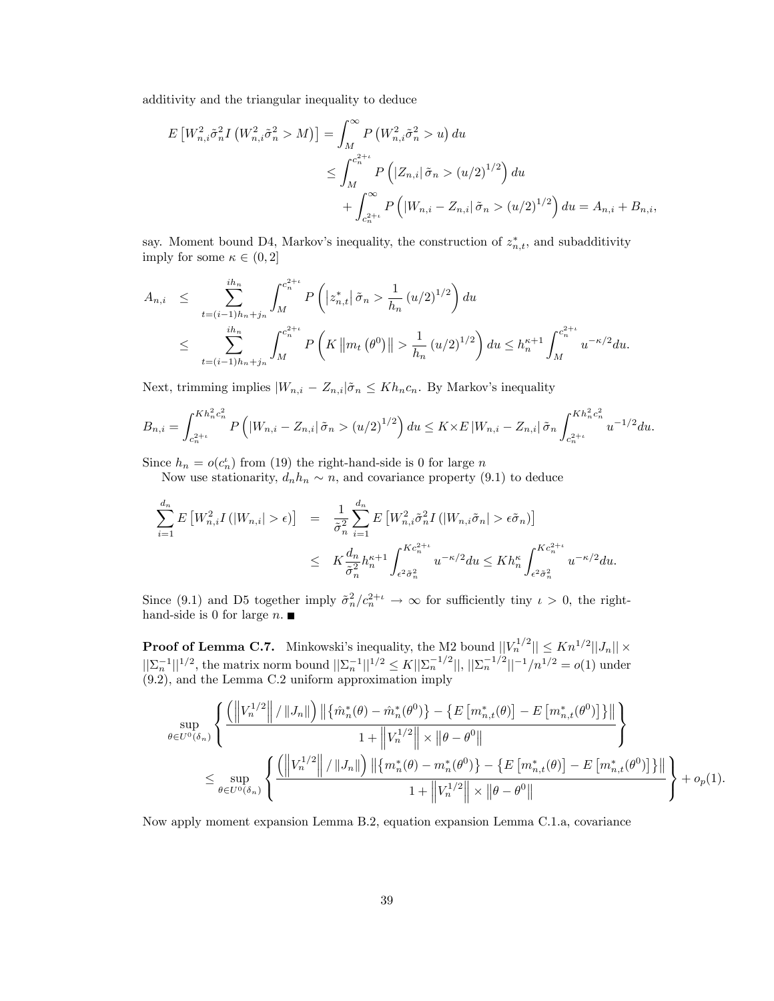additivity and the triangular inequality to deduce

$$
E\left[W_{n,i}^{2}\tilde{\sigma}_{n}^{2}I\left(W_{n,i}^{2}\tilde{\sigma}_{n}^{2} > M\right)\right] = \int_{M}^{\infty} P\left(W_{n,i}^{2}\tilde{\sigma}_{n}^{2} > u\right) du
$$
  

$$
\leq \int_{M}^{c_{n}^{2}+1} P\left(|Z_{n,i}| \tilde{\sigma}_{n} > (u/2)^{1/2}\right) du
$$
  

$$
+ \int_{c_{n}^{2}+1}^{\infty} P\left(|W_{n,i} - Z_{n,i}| \tilde{\sigma}_{n} > (u/2)^{1/2}\right) du = A_{n,i} + B_{n,i},
$$

say. Moment bound D4, Markov's inequality, the construction of  $z_{n,t}^*$ , and subadditivity imply for some  $\kappa \in (0, 2]$ 

$$
A_{n,i} \leq \sum_{t=(i-1)h_n+j_n}^{ih_n} \int_M^{c_n^{2+i}} P\left( |z_{n,t}^*| \tilde{\sigma}_n > \frac{1}{h_n} (u/2)^{1/2} \right) du
$$
  

$$
\leq \sum_{t=(i-1)h_n+j_n}^{ih_n} \int_M^{c_n^{2+i}} P\left( K \left\| m_t \left( \theta^0 \right) \right\| > \frac{1}{h_n} (u/2)^{1/2} \right) du \leq h_n^{\kappa+1} \int_M^{c_n^{2+i}} u^{-\kappa/2} du.
$$

Next, trimming implies  $|W_{n,i} - Z_{n,i}| \tilde{\sigma}_n \le Kh_nc_n$ . By Markov's inequality

$$
B_{n,i} = \int_{c_n^{2+\iota}}^{Kh_n^2 c_n^2} P\left( |W_{n,i} - Z_{n,i}| \tilde{\sigma}_n > (u/2)^{1/2} \right) du \le K \times E \left| W_{n,i} - Z_{n,i} \right| \tilde{\sigma}_n \int_{c_n^{2+\iota}}^{Kh_n^2 c_n^2} u^{-1/2} du.
$$

Since  $h_n = o(c_n)$  from (19) the right-hand-side is 0 for large n

Now use stationarity,  $d_n h_n \sim n$ , and covariance property (9.1) to deduce

$$
\sum_{i=1}^{d_n} E\left[W_{n,i}^2 I\left(\left|W_{n,i}\right|>\epsilon\right)\right] = \frac{1}{\tilde{\sigma}_n^2} \sum_{i=1}^{d_n} E\left[W_{n,i}^2 \tilde{\sigma}_n^2 I\left(\left|W_{n,i} \tilde{\sigma}_n\right|>\epsilon \tilde{\sigma}_n\right)\right]
$$
  

$$
\leq K \frac{d_n}{\tilde{\sigma}_n^2} h_n^{\kappa+1} \int_{\epsilon^2 \tilde{\sigma}_n^2}^{Kc_n^{2+\iota}} u^{-\kappa/2} du \leq Kh_n^{\kappa} \int_{\epsilon^2 \tilde{\sigma}_n^2}^{Kc_n^{2+\iota}} u^{-\kappa/2} du.
$$

Since (9.1) and D5 together imply  $\tilde{\sigma}_n^2/c_n^{2+\iota} \to \infty$  for sufficiently tiny  $\iota > 0$ , the righthand-side is 0 for large  $n$ .

**Proof of Lemma C.7.** Minkowski's inequality, the M2 bound  $||V_n^{1/2}|| \le Kn^{1/2}||J_n|| \times ||\Sigma_n^{-1}||^{1/2}$ , the matrix norm bound  $||\Sigma_n^{-1}||^{1/2} \le K||\Sigma_n^{-1/2}||, ||\Sigma_n^{-1/2}||^{-1}/n^{1/2} = o(1)$  under (9.2), and the Lemma C.2 uniform approximation imply

$$
\sup_{\theta \in U^{0}(\delta_{n})} \left\{ \frac{\left( \left\| V_{n}^{1/2} \right\| / \left\| J_{n} \right\| \right) \left\| \left\{ \hat{m}_{n}^{*}(\theta) - \hat{m}_{n}^{*}(\theta^{0}) \right\} - \left\{ E \left[ m_{n,t}^{*}(\theta) \right] - E \left[ m_{n,t}^{*}(\theta^{0}) \right] \right\} \right\|}{1 + \left\| V_{n}^{1/2} \right\| \times \left\| \theta - \theta^{0} \right\|} \right\} \n\leq \sup_{\theta \in U^{0}(\delta_{n})} \left\{ \frac{\left( \left\| V_{n}^{1/2} \right\| / \left\| J_{n} \right\| \right) \left\| \left\{ m_{n}^{*}(\theta) - m_{n}^{*}(\theta^{0}) \right\} - \left\{ E \left[ m_{n,t}^{*}(\theta) \right] - E \left[ m_{n,t}^{*}(\theta^{0}) \right] \right\} \right\|}{1 + \left\| V_{n}^{1/2} \right\| \times \left\| \theta - \theta^{0} \right\|} \right\} + o_{p}(1).
$$

Now apply moment expansion Lemma B.2, equation expansion Lemma C.1.a, covariance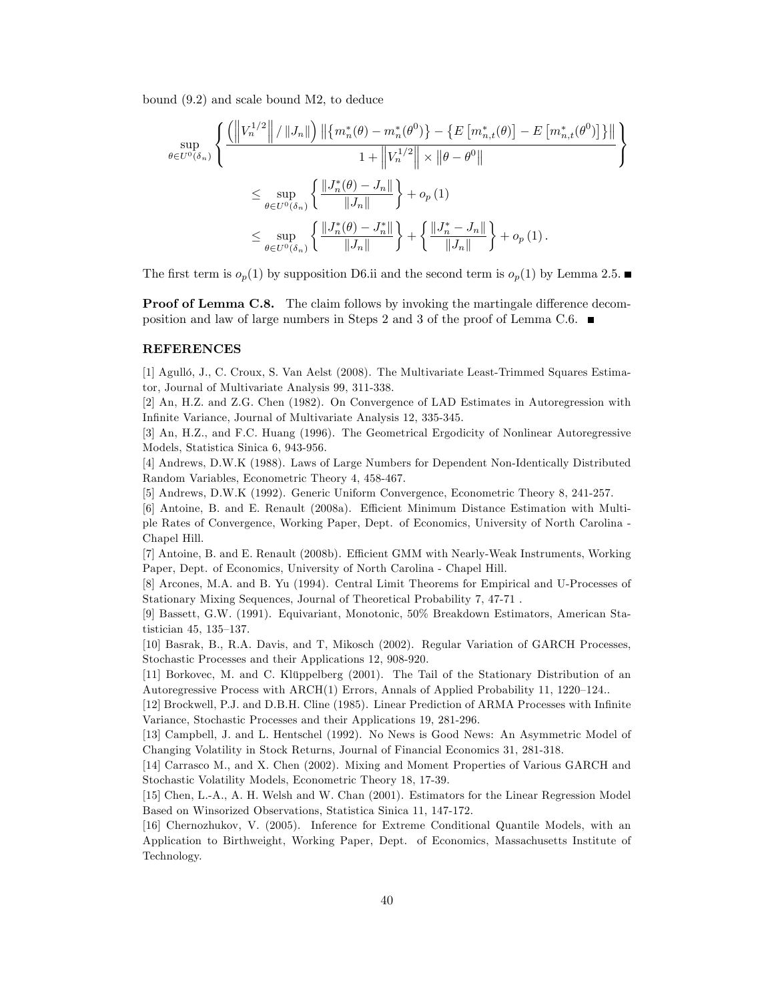bound (9.2) and scale bound M2, to deduce

$$
\sup_{\theta \in U^{0}(\delta_{n})} \left\{ \frac{\left( \left\|V_{n}^{1/2}\right\| / \left\|J_{n}\right\|\right) \left\| \left\{m_{n}^{*}(\theta) - m_{n}^{*}(\theta^{0})\right\} - \left\{E\left[m_{n,t}^{*}(\theta)\right] - E\left[m_{n,t}^{*}(\theta^{0})\right]\right\}\right\|}{1 + \left\|V_{n}^{1/2}\right\| \times \left\|\theta - \theta^{0}\right\|} \right\}
$$
\n
$$
\leq \sup_{\theta \in U^{0}(\delta_{n})} \left\{ \frac{\left\|J_{n}^{*}(\theta) - J_{n}\right\|}{\left\|J_{n}\right\|} \right\} + o_{p}\left(1\right)
$$
\n
$$
\leq \sup_{\theta \in U^{0}(\delta_{n})} \left\{ \frac{\left\|J_{n}^{*}(\theta) - J_{n}^{*}\right\|}{\left\|J_{n}\right\|} \right\} + \left\{ \frac{\left\|J_{n}^{*} - J_{n}\right\|}{\left\|J_{n}\right\|} \right\} + o_{p}\left(1\right).
$$

The first term is  $o_p(1)$  by supposition D6.ii and the second term is  $o_p(1)$  by Lemma 2.5.

**Proof of Lemma C.8.** The claim follows by invoking the martingale difference decomposition and law of large numbers in Steps 2 and 3 of the proof of Lemma C.6.  $\blacksquare$ 

#### REFERENCES

[1] Agulló, J., C. Croux, S. Van Aelst (2008). The Multivariate Least-Trimmed Squares Estimator, Journal of Multivariate Analysis 99, 311-338.

[2] An, H.Z. and Z.G. Chen (1982). On Convergence of LAD Estimates in Autoregression with InÖnite Variance, Journal of Multivariate Analysis 12, 335-345.

[3] An, H.Z., and F.C. Huang (1996). The Geometrical Ergodicity of Nonlinear Autoregressive Models, Statistica Sinica 6, 943-956.

[4] Andrews, D.W.K (1988). Laws of Large Numbers for Dependent Non-Identically Distributed Random Variables, Econometric Theory 4, 458-467.

[5] Andrews, D.W.K (1992). Generic Uniform Convergence, Econometric Theory 8, 241-257.

[6] Antoine, B. and E. Renault (2008a). Efficient Minimum Distance Estimation with Multiple Rates of Convergence, Working Paper, Dept. of Economics, University of North Carolina - Chapel Hill.

[7] Antoine, B. and E. Renault (2008b). Efficient GMM with Nearly-Weak Instruments, Working Paper, Dept. of Economics, University of North Carolina - Chapel Hill.

[8] Arcones, M.A. and B. Yu (1994). Central Limit Theorems for Empirical and U-Processes of Stationary Mixing Sequences, Journal of Theoretical Probability 7, 47-71 .

[9] Bassett, G.W. (1991). Equivariant, Monotonic, 50% Breakdown Estimators, American Statistician 45, 135–137.

[10] Basrak, B., R.A. Davis, and T, Mikosch (2002). Regular Variation of GARCH Processes, Stochastic Processes and their Applications 12, 908-920.

[11] Borkovec, M. and C. Klüppelberg (2001). The Tail of the Stationary Distribution of an Autoregressive Process with  $ARCH(1)$  Errors, Annals of Applied Probability 11, 1220–124..

[12] Brockwell, P.J. and D.B.H. Cline (1985). Linear Prediction of ARMA Processes with Infinite Variance, Stochastic Processes and their Applications 19, 281-296.

[13] Campbell, J. and L. Hentschel (1992). No News is Good News: An Asymmetric Model of Changing Volatility in Stock Returns, Journal of Financial Economics 31, 281-318.

[14] Carrasco M., and X. Chen (2002). Mixing and Moment Properties of Various GARCH and Stochastic Volatility Models, Econometric Theory 18, 17-39.

[15] Chen, L.-A., A. H. Welsh and W. Chan (2001). Estimators for the Linear Regression Model Based on Winsorized Observations, Statistica Sinica 11, 147-172.

[16] Chernozhukov, V. (2005). Inference for Extreme Conditional Quantile Models, with an Application to Birthweight, Working Paper, Dept. of Economics, Massachusetts Institute of Technology.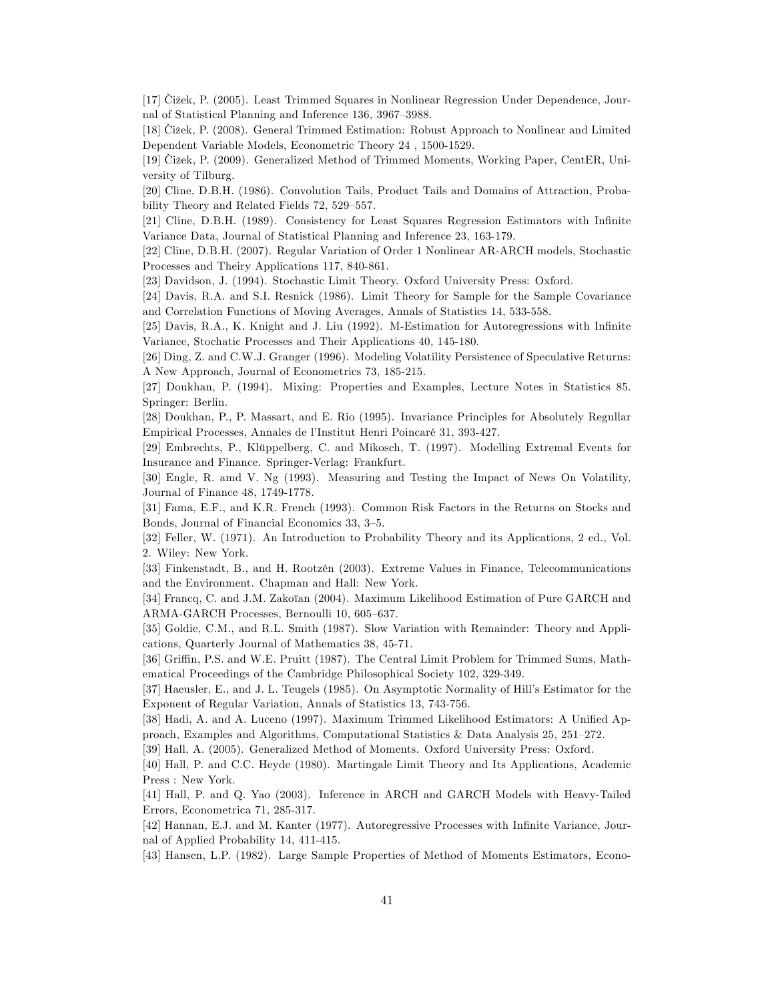[17] Čižek, P. (2005). Least Trimmed Squares in Nonlinear Regression Under Dependence, Journal of Statistical Planning and Inference 136, 3967–3988.

[18] Čižek, P. (2008). General Trimmed Estimation: Robust Approach to Nonlinear and Limited Dependent Variable Models, Econometric Theory 24 , 1500-1529.

[19] Čižek, P. (2009). Generalized Method of Trimmed Moments, Working Paper, CentER, University of Tilburg.

[20] Cline, D.B.H. (1986). Convolution Tails, Product Tails and Domains of Attraction, Probability Theory and Related Fields 72, 529–557.

[21] Cline, D.B.H. (1989). Consistency for Least Squares Regression Estimators with Infinite Variance Data, Journal of Statistical Planning and Inference 23, 163-179.

[22] Cline, D.B.H. (2007). Regular Variation of Order 1 Nonlinear AR-ARCH models, Stochastic Processes and Theiry Applications 117, 840-861.

[23] Davidson, J. (1994). Stochastic Limit Theory. Oxford University Press: Oxford.

[24] Davis, R.A. and S.I. Resnick (1986). Limit Theory for Sample for the Sample Covariance and Correlation Functions of Moving Averages, Annals of Statistics 14, 533-558.

[25] Davis, R.A., K. Knight and J. Liu (1992). M-Estimation for Autoregressions with Infinite Variance, Stochatic Processes and Their Applications 40, 145-180.

[26] Ding, Z. and C.W.J. Granger (1996). Modeling Volatility Persistence of Speculative Returns: A New Approach, Journal of Econometrics 73, 185-215.

[27] Doukhan, P. (1994). Mixing: Properties and Examples, Lecture Notes in Statistics 85. Springer: Berlin.

[28] Doukhan, P., P. Massart, and E. Rio (1995). Invariance Principles for Absolutely Regullar Empirical Processes, Annales de l'Institut Henri Poincaré 31, 393-427.

[29] Embrechts, P., Klüppelberg, C. and Mikosch, T. (1997). Modelling Extremal Events for Insurance and Finance. Springer-Verlag: Frankfurt.

[30] Engle, R. amd V. Ng (1993). Measuring and Testing the Impact of News On Volatility, Journal of Finance 48, 1749-1778.

[31] Fama, E.F., and K.R. French (1993). Common Risk Factors in the Returns on Stocks and Bonds, Journal of Financial Economics 33, 3-5.

[32] Feller, W. (1971). An Introduction to Probability Theory and its Applications, 2 ed., Vol. 2. Wiley: New York.

[33] Finkenstadt, B., and H. Rootzén (2003). Extreme Values in Finance, Telecommunications and the Environment. Chapman and Hall: New York.

[34] Francq, C. and J.M. Zakoïan (2004). Maximum Likelihood Estimation of Pure GARCH and ARMA-GARCH Processes, Bernoulli 10, 605-637.

[35] Goldie, C.M., and R.L. Smith (1987). Slow Variation with Remainder: Theory and Applications, Quarterly Journal of Mathematics 38, 45-71.

[36] Griffin, P.S. and W.E. Pruitt (1987). The Central Limit Problem for Trimmed Sums, Mathematical Proceedings of the Cambridge Philosophical Society 102, 329-349.

[37] Haeusler, E., and J. L. Teugels (1985). On Asymptotic Normality of Hillís Estimator for the Exponent of Regular Variation, Annals of Statistics 13, 743-756.

[38] Hadi, A. and A. Luceno (1997). Maximum Trimmed Likelihood Estimators: A Unified Approach, Examples and Algorithms, Computational Statistics  $\&$  Data Analysis 25, 251–272.

[39] Hall, A. (2005). Generalized Method of Moments. Oxford University Press: Oxford.

[40] Hall, P. and C.C. Heyde (1980). Martingale Limit Theory and Its Applications, Academic Press : New York.

[41] Hall, P. and Q. Yao (2003). Inference in ARCH and GARCH Models with Heavy-Tailed Errors, Econometrica 71, 285-317.

[42] Hannan, E.J. and M. Kanter (1977). Autoregressive Processes with Infinite Variance, Journal of Applied Probability 14, 411-415.

[43] Hansen, L.P. (1982). Large Sample Properties of Method of Moments Estimators, Econo-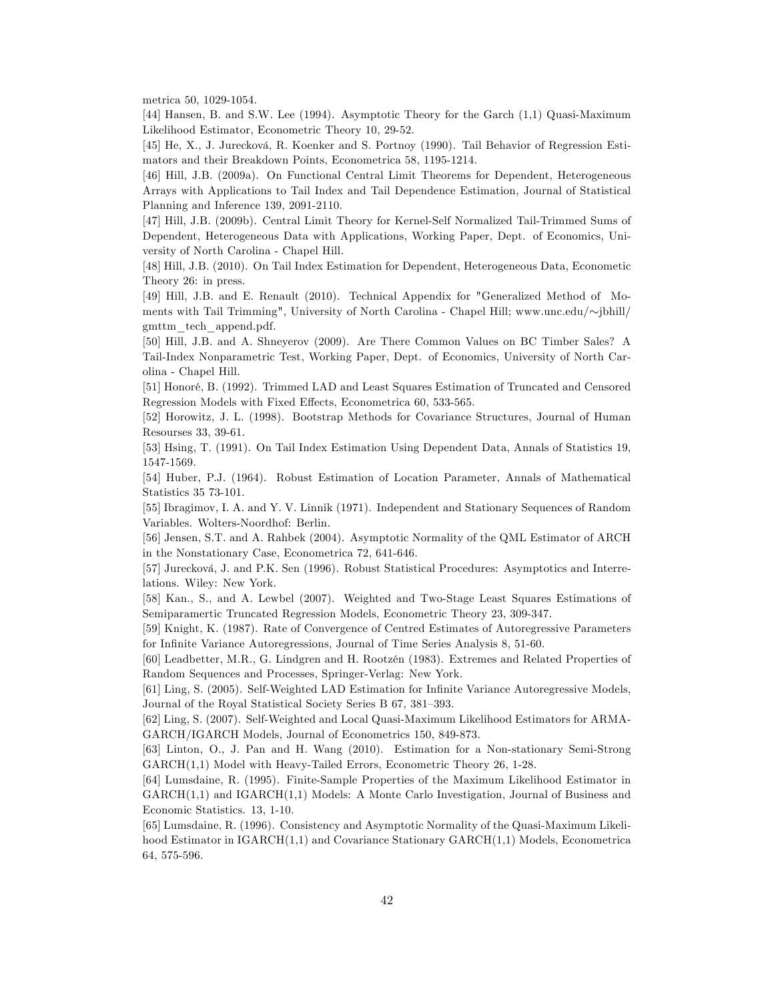metrica 50, 1029-1054.

[44] Hansen, B. and S.W. Lee (1994). Asymptotic Theory for the Garch (1,1) Quasi-Maximum Likelihood Estimator, Econometric Theory 10, 29-52.

[45] He, X., J. Jurecková, R. Koenker and S. Portnoy (1990). Tail Behavior of Regression Estimators and their Breakdown Points, Econometrica 58, 1195-1214.

[46] Hill, J.B. (2009a). On Functional Central Limit Theorems for Dependent, Heterogeneous Arrays with Applications to Tail Index and Tail Dependence Estimation, Journal of Statistical Planning and Inference 139, 2091-2110.

[47] Hill, J.B. (2009b). Central Limit Theory for Kernel-Self Normalized Tail-Trimmed Sums of Dependent, Heterogeneous Data with Applications, Working Paper, Dept. of Economics, University of North Carolina - Chapel Hill.

[48] Hill, J.B. (2010). On Tail Index Estimation for Dependent, Heterogeneous Data, Econometic Theory 26: in press.

[49] Hill, J.B. and E. Renault (2010). Technical Appendix for "Generalized Method of Moments with Tail Trimming", University of North Carolina - Chapel Hill; www.unc.edu/ $\sim$ jbhill/ gmttm\_tech\_append.pdf.

[50] Hill, J.B. and A. Shneyerov (2009). Are There Common Values on BC Timber Sales? A Tail-Index Nonparametric Test, Working Paper, Dept. of Economics, University of North Carolina - Chapel Hill.

[51] Honoré, B. (1992). Trimmed LAD and Least Squares Estimation of Truncated and Censored Regression Models with Fixed Effects, Econometrica 60, 533-565.

[52] Horowitz, J. L. (1998). Bootstrap Methods for Covariance Structures, Journal of Human Resourses 33, 39-61.

[53] Hsing, T. (1991). On Tail Index Estimation Using Dependent Data, Annals of Statistics 19, 1547-1569.

[54] Huber, P.J. (1964). Robust Estimation of Location Parameter, Annals of Mathematical Statistics 35 73-101.

[55] Ibragimov, I. A. and Y. V. Linnik (1971). Independent and Stationary Sequences of Random Variables. Wolters-Noordhof: Berlin.

[56] Jensen, S.T. and A. Rahbek (2004). Asymptotic Normality of the QML Estimator of ARCH in the Nonstationary Case, Econometrica 72, 641-646.

[57] Jurecková, J. and P.K. Sen (1996). Robust Statistical Procedures: Asymptotics and Interrelations. Wiley: New York.

[58] Kan., S., and A. Lewbel (2007). Weighted and Two-Stage Least Squares Estimations of Semiparamertic Truncated Regression Models, Econometric Theory 23, 309-347.

[59] Knight, K. (1987). Rate of Convergence of Centred Estimates of Autoregressive Parameters for Infinite Variance Autoregressions, Journal of Time Series Analysis 8, 51-60.

[60] Leadbetter, M.R., G. Lindgren and H. Rootzén (1983). Extremes and Related Properties of Random Sequences and Processes, Springer-Verlag: New York.

[61] Ling, S. (2005). Self-Weighted LAD Estimation for Infinite Variance Autoregressive Models, Journal of the Royal Statistical Society Series B 67, 381-393.

[62] Ling, S. (2007). Self-Weighted and Local Quasi-Maximum Likelihood Estimators for ARMA-GARCH/IGARCH Models, Journal of Econometrics 150, 849-873.

[63] Linton, O., J. Pan and H. Wang (2010). Estimation for a Non-stationary Semi-Strong GARCH(1,1) Model with Heavy-Tailed Errors, Econometric Theory 26, 1-28.

[64] Lumsdaine, R. (1995). Finite-Sample Properties of the Maximum Likelihood Estimator in GARCH(1,1) and IGARCH(1,1) Models: A Monte Carlo Investigation, Journal of Business and Economic Statistics. 13, 1-10.

[65] Lumsdaine, R. (1996). Consistency and Asymptotic Normality of the Quasi-Maximum Likelihood Estimator in IGARCH(1,1) and Covariance Stationary GARCH(1,1) Models, Econometrica 64, 575-596.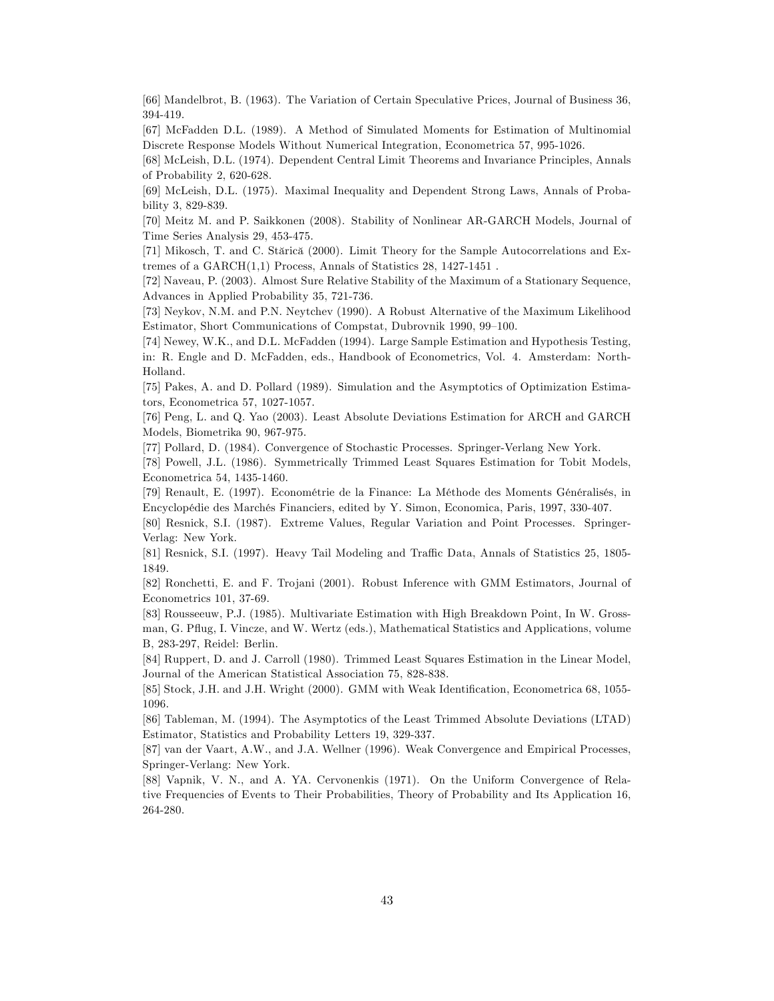[66] Mandelbrot, B. (1963). The Variation of Certain Speculative Prices, Journal of Business 36, 394-419.

[67] McFadden D.L. (1989). A Method of Simulated Moments for Estimation of Multinomial Discrete Response Models Without Numerical Integration, Econometrica 57, 995-1026.

[68] McLeish, D.L. (1974). Dependent Central Limit Theorems and Invariance Principles, Annals of Probability 2, 620-628.

[69] McLeish, D.L. (1975). Maximal Inequality and Dependent Strong Laws, Annals of Probability 3, 829-839.

[70] Meitz M. and P. Saikkonen (2008). Stability of Nonlinear AR-GARCH Models, Journal of Time Series Analysis 29, 453-475.

[71] Mikosch, T. and C. Stărică (2000). Limit Theory for the Sample Autocorrelations and Extremes of a GARCH(1,1) Process, Annals of Statistics 28, 1427-1451 .

[72] Naveau, P. (2003). Almost Sure Relative Stability of the Maximum of a Stationary Sequence, Advances in Applied Probability 35, 721-736.

[73] Neykov, N.M. and P.N. Neytchev (1990). A Robust Alternative of the Maximum Likelihood Estimator, Short Communications of Compstat, Dubrovnik 1990, 99-100.

[74] Newey, W.K., and D.L. McFadden (1994). Large Sample Estimation and Hypothesis Testing, in: R. Engle and D. McFadden, eds., Handbook of Econometrics, Vol. 4. Amsterdam: North-Holland.

[75] Pakes, A. and D. Pollard (1989). Simulation and the Asymptotics of Optimization Estimators, Econometrica 57, 1027-1057.

[76] Peng, L. and Q. Yao (2003). Least Absolute Deviations Estimation for ARCH and GARCH Models, Biometrika 90, 967-975.

[77] Pollard, D. (1984). Convergence of Stochastic Processes. Springer-Verlang New York.

[78] Powell, J.L. (1986). Symmetrically Trimmed Least Squares Estimation for Tobit Models, Econometrica 54, 1435-1460.

[79] Renault, E. (1997). EconomÈtrie de la Finance: La MÈthode des Moments GÈnÈralisÈs, in EncyclopÈdie des MarchÈs Financiers, edited by Y. Simon, Economica, Paris, 1997, 330-407.

[80] Resnick, S.I. (1987). Extreme Values, Regular Variation and Point Processes. Springer-Verlag: New York.

[81] Resnick, S.I. (1997). Heavy Tail Modeling and Traffic Data, Annals of Statistics 25, 1805-1849.

[82] Ronchetti, E. and F. Trojani (2001). Robust Inference with GMM Estimators, Journal of Econometrics 101, 37-69.

[83] Rousseeuw, P.J. (1985). Multivariate Estimation with High Breakdown Point, In W. Grossman, G. Páug, I. Vincze, and W. Wertz (eds.), Mathematical Statistics and Applications, volume B, 283-297, Reidel: Berlin.

[84] Ruppert, D. and J. Carroll (1980). Trimmed Least Squares Estimation in the Linear Model, Journal of the American Statistical Association 75, 828-838.

[85] Stock, J.H. and J.H. Wright (2000). GMM with Weak Identification, Econometrica 68, 1055-1096.

[86] Tableman, M. (1994). The Asymptotics of the Least Trimmed Absolute Deviations (LTAD) Estimator, Statistics and Probability Letters 19, 329-337.

[87] van der Vaart, A.W., and J.A. Wellner (1996). Weak Convergence and Empirical Processes, Springer-Verlang: New York.

[88] Vapnik, V. N., and A. YA. Cervonenkis (1971). On the Uniform Convergence of Relative Frequencies of Events to Their Probabilities, Theory of Probability and Its Application 16, 264-280.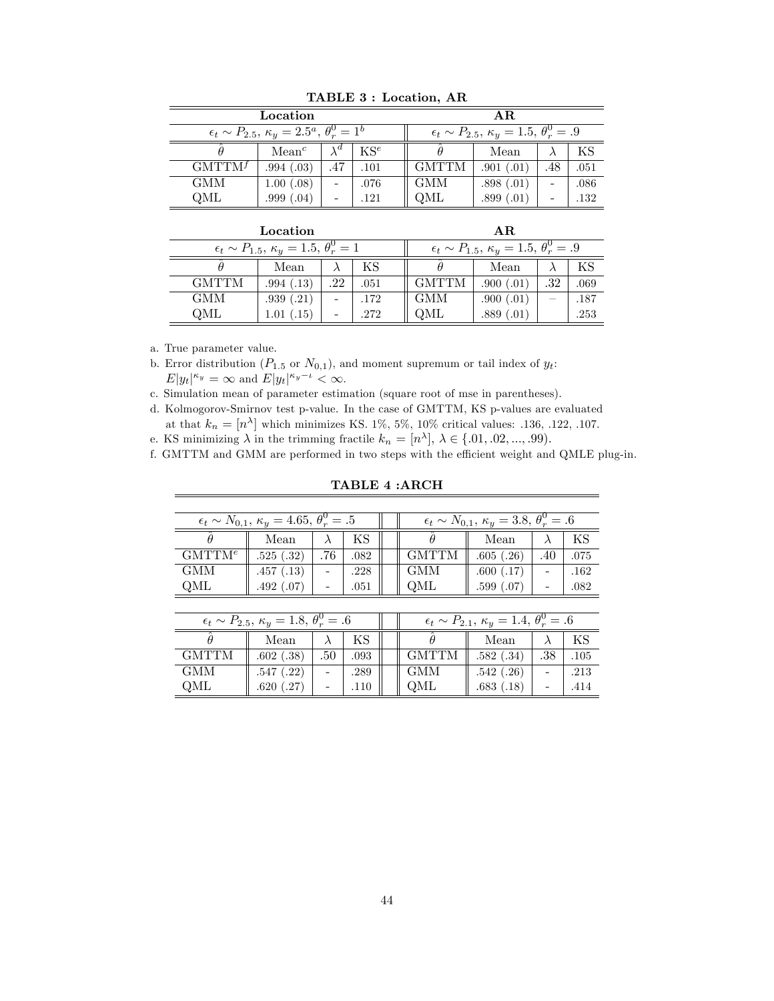|                                                                     | AR.               |             |      |              |                                                                  |     |      |
|---------------------------------------------------------------------|-------------------|-------------|------|--------------|------------------------------------------------------------------|-----|------|
| $\epsilon_t \sim P_{2.5}, \, \kappa_y = 2.5^a, \, \theta_x^0 = 1^b$ |                   |             |      |              | $\epsilon_t \sim P_{2.5}, \, \kappa_y = 1.5, \, \theta_r^0 = .9$ |     |      |
|                                                                     | Mean <sup>c</sup> | $\lambda^d$ | KSe  |              | Mean                                                             |     | ΚS   |
| $GMTTM^f$                                                           | .994(.03)         | .47         | .101 | <b>GMTTM</b> | .901(.01)                                                        | .48 | .051 |
| <b>GMM</b>                                                          | 1.00(.08)         |             | .076 | <b>GMM</b>   | .898(.01)                                                        |     | .086 |
| OML                                                                 | .999(.04)         |             | .121 | QML          | .899(.01)                                                        |     | .132 |

TABLE 3 : Location, AR

|                                                                 |            | AR.                                                              |      |              |           |     |      |
|-----------------------------------------------------------------|------------|------------------------------------------------------------------|------|--------------|-----------|-----|------|
| $\epsilon_t \sim P_{1.5}, \, \kappa_y = 1.5, \, \theta_r^0 = 1$ |            | $\epsilon_t \sim P_{1.5}, \, \kappa_y = 1.5, \, \theta_r^0 = .9$ |      |              |           |     |      |
|                                                                 | Mean       |                                                                  | ΚS   |              | Mean      |     | ΚS   |
| <b>GMTTM</b>                                                    | .994(.13)  | .22                                                              | .051 | <b>GMTTM</b> | .900(.01) | .32 | .069 |
| <b>GMM</b>                                                      | .939(.21)  |                                                                  | .172 | <b>GMM</b>   | .900(.01) |     | .187 |
| OML                                                             | 1.01(0.15) |                                                                  | .272 | QML          | .889(.01) |     | .253 |

a. True parameter value.

b. Error distribution ( $P_{1.5}$  or  $N_{0,1}$ ), and moment supremum or tail index of  $y_t$ :  $E|y_t|^{\kappa_y} = \infty$  and  $E|y_t|^{\kappa_y-\iota} < \infty$ .

c. Simulation mean of parameter estimation (square root of mse in parentheses).

d. Kolmogorov-Smirnov test p-value. In the case of GMTTM, KS p-values are evaluated at that  $k_n = [n^{\lambda}]$  which minimizes KS. 1%, 5%, 10% critical values: .136, .122, .107.

e. KS minimizing  $\lambda$  in the trimming fractile  $k_n = [n^{\lambda}], \lambda \in \{.01, .02, ..., .99\}.$ 

f. GMTTM and GMM are performed in two steps with the efficient weight and QMLE plug-in.

TABLE 4 :ARCH

| $\epsilon_t \sim N_{0,1}, \, \kappa_y = 4.65, \, \theta_r^0 = .5$ |           |     |      |              | $\epsilon_t \sim N_{0,1}, \, \kappa_y = 3.8, \, \theta_r^0 = .6$ |     |      |
|-------------------------------------------------------------------|-----------|-----|------|--------------|------------------------------------------------------------------|-----|------|
|                                                                   | Mean      |     | ΚS   |              | Mean                                                             |     | ΚS   |
| GMTT M <sup>e</sup>                                               | .525(.32) | .76 | .082 | <b>GMTTM</b> | .605(.26)                                                        | .40 | .075 |
| <b>GMM</b>                                                        | .457(.13) |     | .228 | <b>GMM</b>   | .600(.17)                                                        |     | .162 |
| QML                                                               | .492(.07) |     | .051 | OML          | .599(.07)                                                        |     | .082 |

| $\epsilon_t \sim P_{2.5}, \, \kappa_y = 1.8, \, \theta_r^0 = .6$ |           |     |      |              | $\epsilon_t \sim P_{2.1}, \, \kappa_y = 1.4, \, \theta_r^0 = .6$ |     |      |
|------------------------------------------------------------------|-----------|-----|------|--------------|------------------------------------------------------------------|-----|------|
|                                                                  | Mean      |     |      |              | Mean                                                             |     | ΚS   |
| GMTTM                                                            | .602(.38) | .50 | .093 | <b>GMTTM</b> | .582(.34)                                                        | .38 | .105 |
| <b>GMM</b>                                                       | .547(.22) |     | .289 | <b>GMM</b>   | .542(.26)                                                        |     | .213 |
| OML                                                              | .620(.27) |     | .110 | OML          | .683(.18)                                                        |     | .414 |